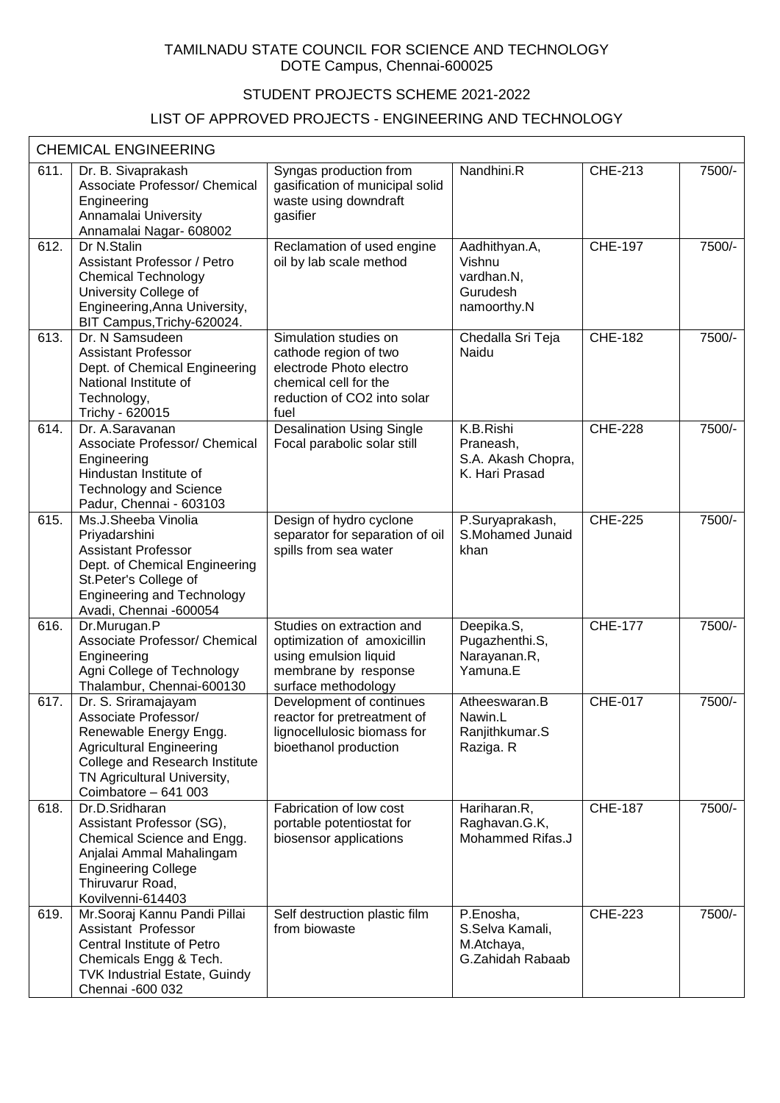## TAMILNADU STATE COUNCIL FOR SCIENCE AND TECHNOLOGY DOTE Campus, Chennai-600025

## STUDENT PROJECTS SCHEME 2021-2022

## LIST OF APPROVED PROJECTS - ENGINEERING AND TECHNOLOGY

|      | <b>CHEMICAL ENGINEERING</b>                                                                                                                                                                       |                                                                                                                                           |                                                                  |                |        |
|------|---------------------------------------------------------------------------------------------------------------------------------------------------------------------------------------------------|-------------------------------------------------------------------------------------------------------------------------------------------|------------------------------------------------------------------|----------------|--------|
| 611. | Dr. B. Sivaprakash<br>Associate Professor/ Chemical<br>Engineering<br>Annamalai University<br>Annamalai Nagar- 608002                                                                             | Syngas production from<br>gasification of municipal solid<br>waste using downdraft<br>gasifier                                            | Nandhini.R                                                       | <b>CHE-213</b> | 7500/- |
| 612. | Dr N.Stalin<br>Assistant Professor / Petro<br><b>Chemical Technology</b><br>University College of<br>Engineering, Anna University,<br>BIT Campus, Trichy-620024.                                  | Reclamation of used engine<br>oil by lab scale method                                                                                     | Aadhithyan.A,<br>Vishnu<br>vardhan.N,<br>Gurudesh<br>namoorthy.N | <b>CHE-197</b> | 7500/- |
| 613. | Dr. N Samsudeen<br><b>Assistant Professor</b><br>Dept. of Chemical Engineering<br>National Institute of<br>Technology,<br>Trichy - 620015                                                         | Simulation studies on<br>cathode region of two<br>electrode Photo electro<br>chemical cell for the<br>reduction of CO2 into solar<br>fuel | Chedalla Sri Teja<br>Naidu                                       | <b>CHE-182</b> | 7500/- |
| 614. | Dr. A.Saravanan<br>Associate Professor/ Chemical<br>Engineering<br>Hindustan Institute of<br><b>Technology and Science</b><br>Padur, Chennai - 603103                                             | <b>Desalination Using Single</b><br>Focal parabolic solar still                                                                           | K.B.Rishi<br>Praneash,<br>S.A. Akash Chopra,<br>K. Hari Prasad   | <b>CHE-228</b> | 7500/- |
| 615. | Ms.J.Sheeba Vinolia<br>Priyadarshini<br><b>Assistant Professor</b><br>Dept. of Chemical Engineering<br>St.Peter's College of<br><b>Engineering and Technology</b><br>Avadi, Chennai -600054       | Design of hydro cyclone<br>separator for separation of oil<br>spills from sea water                                                       | P.Suryaprakash,<br>S.Mohamed Junaid<br>khan                      | <b>CHE-225</b> | 7500/- |
| 616. | Dr.Murugan.P<br>Associate Professor/ Chemical<br>Engineering<br>Agni College of Technology<br>Thalambur, Chennai-600130                                                                           | Studies on extraction and<br>optimization of amoxicillin<br>using emulsion liquid<br>membrane by response<br>surface methodology          | Deepika.S,<br>Pugazhenthi.S,<br>Narayanan.R,<br>Yamuna.E         | <b>CHE-177</b> | 7500/- |
| 617. | Dr. S. Sriramajayam<br>Associate Professor/<br>Renewable Energy Engg.<br><b>Agricultural Engineering</b><br>College and Research Institute<br>TN Agricultural University,<br>Coimbatore - 641 003 | Development of continues<br>reactor for pretreatment of<br>lignocellulosic biomass for<br>bioethanol production                           | Atheeswaran.B<br>Nawin.L<br>Ranjithkumar.S<br>Raziga. R          | <b>CHE-017</b> | 7500/- |
| 618. | Dr.D.Sridharan<br>Assistant Professor (SG),<br>Chemical Science and Engg.<br>Anjalai Ammal Mahalingam<br><b>Engineering College</b><br>Thiruvarur Road,<br>Kovilvenni-614403                      | Fabrication of low cost<br>portable potentiostat for<br>biosensor applications                                                            | Hariharan.R,<br>Raghavan.G.K,<br>Mohammed Rifas.J                | <b>CHE-187</b> | 7500/- |
| 619. | Mr. Sooraj Kannu Pandi Pillai<br>Assistant Professor<br>Central Institute of Petro<br>Chemicals Engg & Tech.<br><b>TVK Industrial Estate, Guindy</b><br>Chennai -600 032                          | Self destruction plastic film<br>from biowaste                                                                                            | P.Enosha,<br>S.Selva Kamali,<br>M.Atchaya,<br>G.Zahidah Rabaab   | <b>CHE-223</b> | 7500/- |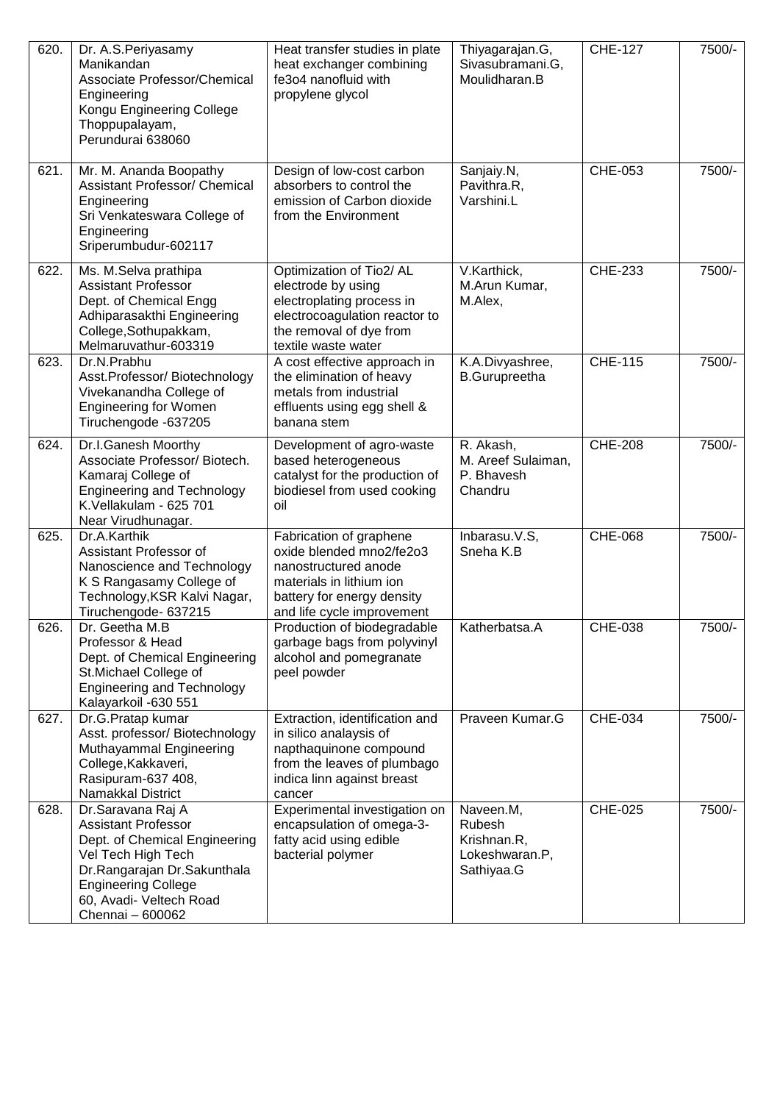| 620. | Dr. A.S. Periyasamy<br>Manikandan<br>Associate Professor/Chemical<br>Engineering<br>Kongu Engineering College<br>Thoppupalayam,<br>Perundurai 638060                                                                | Heat transfer studies in plate<br>heat exchanger combining<br>fe3o4 nanofluid with<br>propylene glycol                                                              | Thiyagarajan.G,<br>Sivasubramani.G,<br>Moulidharan.B               | <b>CHE-127</b> | 7500/- |
|------|---------------------------------------------------------------------------------------------------------------------------------------------------------------------------------------------------------------------|---------------------------------------------------------------------------------------------------------------------------------------------------------------------|--------------------------------------------------------------------|----------------|--------|
| 621. | Mr. M. Ananda Boopathy<br>Assistant Professor/ Chemical<br>Engineering<br>Sri Venkateswara College of<br>Engineering<br>Sriperumbudur-602117                                                                        | Design of low-cost carbon<br>absorbers to control the<br>emission of Carbon dioxide<br>from the Environment                                                         | Sanjaiy.N,<br>Pavithra.R,<br>Varshini.L                            | CHE-053        | 7500/- |
| 622. | Ms. M.Selva prathipa<br><b>Assistant Professor</b><br>Dept. of Chemical Engg<br>Adhiparasakthi Engineering<br>College, Sothupakkam,<br>Melmaruvathur-603319                                                         | Optimization of Tio2/ AL<br>electrode by using<br>electroplating process in<br>electrocoagulation reactor to<br>the removal of dye from<br>textile waste water      | V.Karthick,<br>M.Arun Kumar,<br>M.Alex,                            | <b>CHE-233</b> | 7500/- |
| 623. | Dr.N.Prabhu<br>Asst.Professor/Biotechnology<br>Vivekanandha College of<br><b>Engineering for Women</b><br>Tiruchengode -637205                                                                                      | A cost effective approach in<br>the elimination of heavy<br>metals from industrial<br>effluents using egg shell &<br>banana stem                                    | K.A.Divyashree,<br><b>B.Gurupreetha</b>                            | <b>CHE-115</b> | 7500/- |
| 624. | Dr.I.Ganesh Moorthy<br>Associate Professor/ Biotech.<br>Kamaraj College of<br><b>Engineering and Technology</b><br>K. Vellakulam - 625 701<br>Near Virudhunagar.                                                    | Development of agro-waste<br>based heterogeneous<br>catalyst for the production of<br>biodiesel from used cooking<br>oil                                            | R. Akash,<br>M. Areef Sulaiman,<br>P. Bhavesh<br>Chandru           | <b>CHE-208</b> | 7500/- |
| 625. | Dr.A.Karthik<br>Assistant Professor of<br>Nanoscience and Technology<br>K S Rangasamy College of<br>Technology, KSR Kalvi Nagar,<br>Tiruchengode- 637215                                                            | Fabrication of graphene<br>oxide blended mno2/fe2o3<br>nanostructured anode<br>materials in lithium ion<br>battery for energy density<br>and life cycle improvement | Inbarasu.V.S,<br>Sneha K.B                                         | <b>CHE-068</b> | 7500/- |
| 626. | Dr. Geetha M.B<br>Professor & Head<br>Dept. of Chemical Engineering<br>St.Michael College of<br><b>Engineering and Technology</b><br>Kalayarkoil -630 551                                                           | Production of biodegradable<br>garbage bags from polyvinyl<br>alcohol and pomegranate<br>peel powder                                                                | Katherbatsa.A                                                      | CHE-038        | 7500/- |
| 627. | Dr.G.Pratap kumar<br>Asst. professor/ Biotechnology<br>Muthayammal Engineering<br>College, Kakkaveri,<br>Rasipuram-637 408,<br>Namakkal District                                                                    | Extraction, identification and<br>in silico analaysis of<br>napthaquinone compound<br>from the leaves of plumbago<br>indica linn against breast<br>cancer           | Praveen Kumar.G                                                    | CHE-034        | 7500/- |
| 628. | Dr. Saravana Raj A<br><b>Assistant Professor</b><br>Dept. of Chemical Engineering<br>Vel Tech High Tech<br>Dr.Rangarajan Dr.Sakunthala<br><b>Engineering College</b><br>60, Avadi- Veltech Road<br>Chennai - 600062 | Experimental investigation on<br>encapsulation of omega-3-<br>fatty acid using edible<br>bacterial polymer                                                          | Naveen.M,<br>Rubesh<br>Krishnan.R,<br>Lokeshwaran.P,<br>Sathiyaa.G | CHE-025        | 7500/- |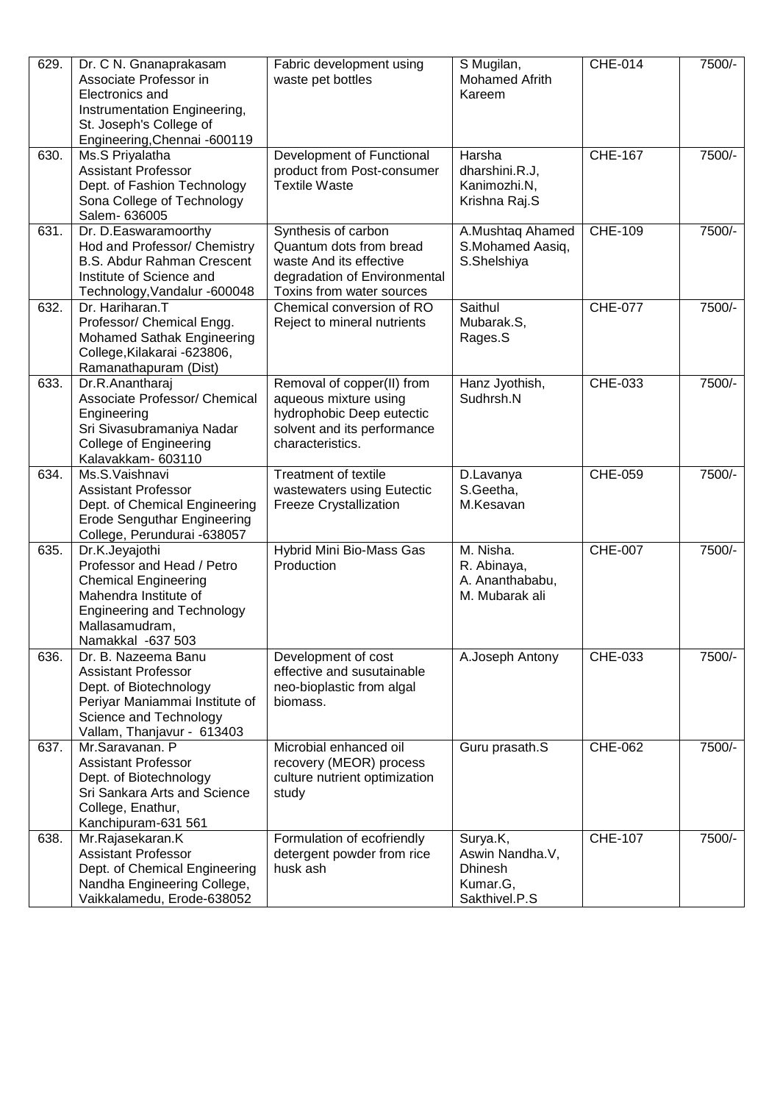| 629. | Dr. C N. Gnanaprakasam<br>Associate Professor in<br>Electronics and<br>Instrumentation Engineering,<br>St. Joseph's College of<br>Engineering, Chennai -600119                   | Fabric development using<br>waste pet bottles                                                                                          | S Mugilan,<br>Mohamed Afrith<br>Kareem                                     | <b>CHE-014</b> | 7500/- |
|------|----------------------------------------------------------------------------------------------------------------------------------------------------------------------------------|----------------------------------------------------------------------------------------------------------------------------------------|----------------------------------------------------------------------------|----------------|--------|
| 630. | Ms.S Priyalatha<br><b>Assistant Professor</b><br>Dept. of Fashion Technology<br>Sona College of Technology<br>Salem- 636005                                                      | Development of Functional<br>product from Post-consumer<br><b>Textile Waste</b>                                                        | Harsha<br>dharshini.R.J,<br>Kanimozhi.N,<br>Krishna Raj.S                  | <b>CHE-167</b> | 7500/- |
| 631. | Dr. D.Easwaramoorthy<br>Hod and Professor/ Chemistry<br><b>B.S. Abdur Rahman Crescent</b><br>Institute of Science and<br>Technology, Vandalur -600048                            | Synthesis of carbon<br>Quantum dots from bread<br>waste And its effective<br>degradation of Environmental<br>Toxins from water sources | A.Mushtaq Ahamed<br>S.Mohamed Aasiq,<br>S.Shelshiya                        | <b>CHE-109</b> | 7500/- |
| 632. | Dr. Hariharan.T<br>Professor/ Chemical Engg.<br>Mohamed Sathak Engineering<br>College, Kilakarai - 623806,<br>Ramanathapuram (Dist)                                              | Chemical conversion of RO<br>Reject to mineral nutrients                                                                               | Saithul<br>Mubarak.S,<br>Rages.S                                           | <b>CHE-077</b> | 7500/- |
| 633. | Dr.R.Anantharaj<br>Associate Professor/ Chemical<br>Engineering<br>Sri Sivasubramaniya Nadar<br><b>College of Engineering</b><br>Kalavakkam- 603110                              | Removal of copper(II) from<br>aqueous mixture using<br>hydrophobic Deep eutectic<br>solvent and its performance<br>characteristics.    | Hanz Jyothish,<br>Sudhrsh.N                                                | CHE-033        | 7500/- |
| 634. | Ms.S.Vaishnavi<br><b>Assistant Professor</b><br>Dept. of Chemical Engineering<br><b>Erode Senguthar Engineering</b><br>College, Perundurai -638057                               | <b>Treatment of textile</b><br>wastewaters using Eutectic<br><b>Freeze Crystallization</b>                                             | D.Lavanya<br>S.Geetha,<br>M.Kesavan                                        | CHE-059        | 7500/- |
| 635. | Dr.K.Jeyajothi<br>Professor and Head / Petro<br><b>Chemical Engineering</b><br>Mahendra Institute of<br><b>Engineering and Technology</b><br>Mallasamudram,<br>Namakkal -637 503 | Hybrid Mini Bio-Mass Gas<br>Production                                                                                                 | M. Nisha.<br>R. Abinaya,<br>A. Ananthababu,<br>M. Mubarak ali              | <b>CHE-007</b> | 7500/- |
| 636. | Dr. B. Nazeema Banu<br><b>Assistant Professor</b><br>Dept. of Biotechnology<br>Periyar Maniammai Institute of<br>Science and Technology<br>Vallam, Thanjavur - 613403            | Development of cost<br>effective and susutainable<br>neo-bioplastic from algal<br>biomass.                                             | A.Joseph Antony                                                            | CHE-033        | 7500/- |
| 637. | Mr.Saravanan. P<br><b>Assistant Professor</b><br>Dept. of Biotechnology<br>Sri Sankara Arts and Science<br>College, Enathur,<br>Kanchipuram-631 561                              | Microbial enhanced oil<br>recovery (MEOR) process<br>culture nutrient optimization<br>study                                            | Guru prasath.S                                                             | <b>CHE-062</b> | 7500/- |
| 638. | Mr.Rajasekaran.K<br><b>Assistant Professor</b><br>Dept. of Chemical Engineering<br>Nandha Engineering College,<br>Vaikkalamedu, Erode-638052                                     | Formulation of ecofriendly<br>detergent powder from rice<br>husk ash                                                                   | Surya.K,<br>Aswin Nandha.V,<br><b>Dhinesh</b><br>Kumar.G,<br>Sakthivel.P.S | <b>CHE-107</b> | 7500/- |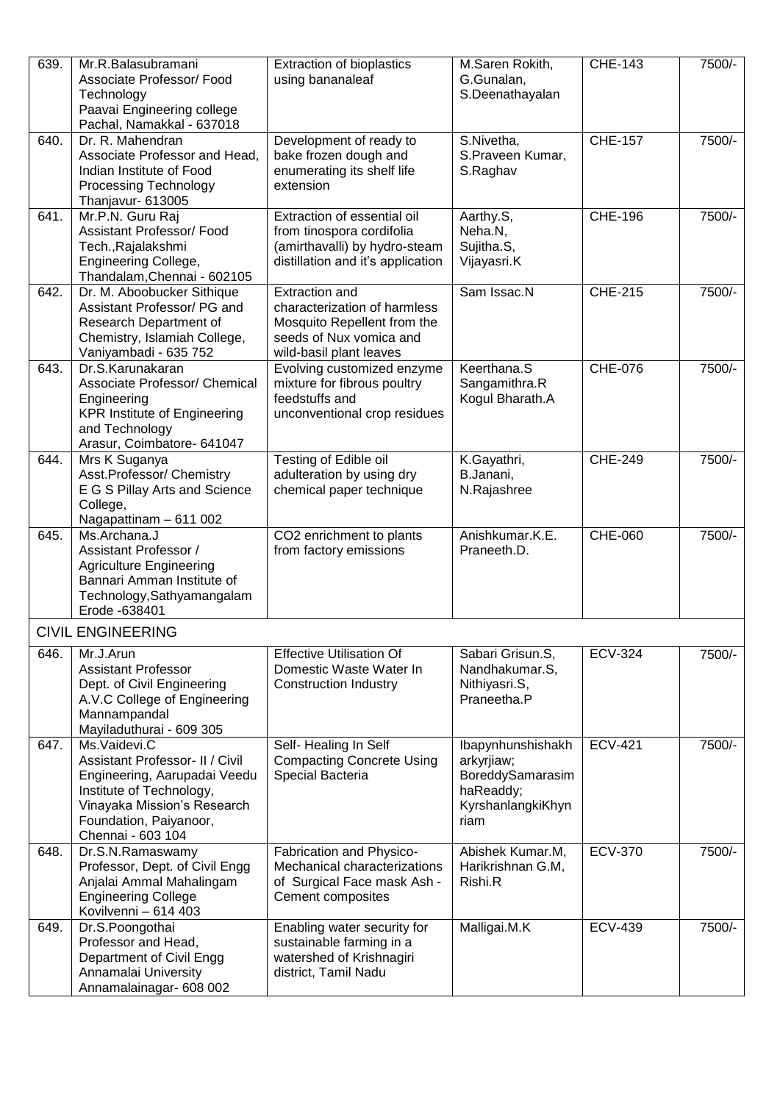| 639. | Mr.R.Balasubramani<br>Associate Professor/ Food<br>Technology<br>Paavai Engineering college<br>Pachal, Namakkal - 637018                                                                  | <b>Extraction of bioplastics</b><br>using bananaleaf                                                                                       | M.Saren Rokith,<br>G.Gunalan,<br>S.Deenathayalan                                              | <b>CHE-143</b> | 7500/- |
|------|-------------------------------------------------------------------------------------------------------------------------------------------------------------------------------------------|--------------------------------------------------------------------------------------------------------------------------------------------|-----------------------------------------------------------------------------------------------|----------------|--------|
| 640. | Dr. R. Mahendran<br>Associate Professor and Head,<br>Indian Institute of Food<br><b>Processing Technology</b><br>Thanjavur- 613005                                                        | Development of ready to<br>bake frozen dough and<br>enumerating its shelf life<br>extension                                                | S.Nivetha,<br>S.Praveen Kumar,<br>S.Raghav                                                    | <b>CHE-157</b> | 7500/- |
| 641. | Mr.P.N. Guru Raj<br>Assistant Professor/ Food<br>Tech., Rajalakshmi<br><b>Engineering College,</b><br>Thandalam, Chennai - 602105                                                         | Extraction of essential oil<br>from tinospora cordifolia<br>(amirthavalli) by hydro-steam<br>distillation and it's application             | Aarthy.S,<br>Neha.N,<br>Sujitha.S,<br>Vijayasri.K                                             | <b>CHE-196</b> | 7500/- |
| 642. | Dr. M. Aboobucker Sithique<br>Assistant Professor/ PG and<br>Research Department of<br>Chemistry, Islamiah College,<br>Vaniyambadi - 635 752                                              | <b>Extraction and</b><br>characterization of harmless<br>Mosquito Repellent from the<br>seeds of Nux vomica and<br>wild-basil plant leaves | Sam Issac.N                                                                                   | <b>CHE-215</b> | 7500/- |
| 643. | Dr.S.Karunakaran<br>Associate Professor/ Chemical<br>Engineering<br><b>KPR Institute of Engineering</b><br>and Technology<br>Arasur, Coimbatore- 641047                                   | Evolving customized enzyme<br>mixture for fibrous poultry<br>feedstuffs and<br>unconventional crop residues                                | Keerthana.S<br>Sangamithra.R<br>Kogul Bharath.A                                               | <b>CHE-076</b> | 7500/- |
| 644. | Mrs K Suganya<br>Asst.Professor/ Chemistry<br>E G S Pillay Arts and Science<br>College,<br>Nagapattinam - 611 002                                                                         | Testing of Edible oil<br>adulteration by using dry<br>chemical paper technique                                                             | K.Gayathri,<br>B.Janani,<br>N.Rajashree                                                       | <b>CHE-249</b> | 7500/- |
| 645. | Ms.Archana.J<br>Assistant Professor /<br><b>Agriculture Engineering</b><br>Bannari Amman Institute of<br>Technology, Sathyamangalam<br>Erode -638401                                      | CO2 enrichment to plants<br>from factory emissions                                                                                         | Anishkumar.K.E.<br>Praneeth.D.                                                                | CHE-060        | 7500/- |
|      | <b>CIVIL ENGINEERING</b>                                                                                                                                                                  |                                                                                                                                            |                                                                                               |                |        |
| 646. | Mr.J.Arun<br><b>Assistant Professor</b><br>Dept. of Civil Engineering<br>A.V.C College of Engineering<br>Mannampandal<br>Mayiladuthurai - 609 305                                         | <b>Effective Utilisation Of</b><br>Domestic Waste Water In<br><b>Construction Industry</b>                                                 | Sabari Grisun.S,<br>Nandhakumar.S,<br>Nithiyasri.S,<br>Praneetha.P                            | <b>ECV-324</b> | 7500/- |
| 647. | Ms.Vaidevi.C<br>Assistant Professor- II / Civil<br>Engineering, Aarupadai Veedu<br>Institute of Technology,<br>Vinayaka Mission's Research<br>Foundation, Paiyanoor,<br>Chennai - 603 104 | Self-Healing In Self<br><b>Compacting Concrete Using</b><br>Special Bacteria                                                               | Ibapynhunshishakh<br>arkyrjiaw;<br>BoreddySamarasim<br>haReaddy;<br>KyrshanlangkiKhyn<br>riam | <b>ECV-421</b> | 7500/- |
| 648. | Dr.S.N.Ramaswamy<br>Professor, Dept. of Civil Engg<br>Anjalai Ammal Mahalingam<br><b>Engineering College</b><br>Kovilvenni - 614 403                                                      | Fabrication and Physico-<br>Mechanical characterizations<br>of Surgical Face mask Ash -<br>Cement composites                               | Abishek Kumar.M,<br>Harikrishnan G.M,<br>Rishi.R                                              | <b>ECV-370</b> | 7500/- |
| 649. | Dr.S.Poongothai<br>Professor and Head,<br>Department of Civil Engg<br>Annamalai University<br>Annamalainagar- 608 002                                                                     | Enabling water security for<br>sustainable farming in a<br>watershed of Krishnagiri<br>district, Tamil Nadu                                | Malligai.M.K                                                                                  | <b>ECV-439</b> | 7500/- |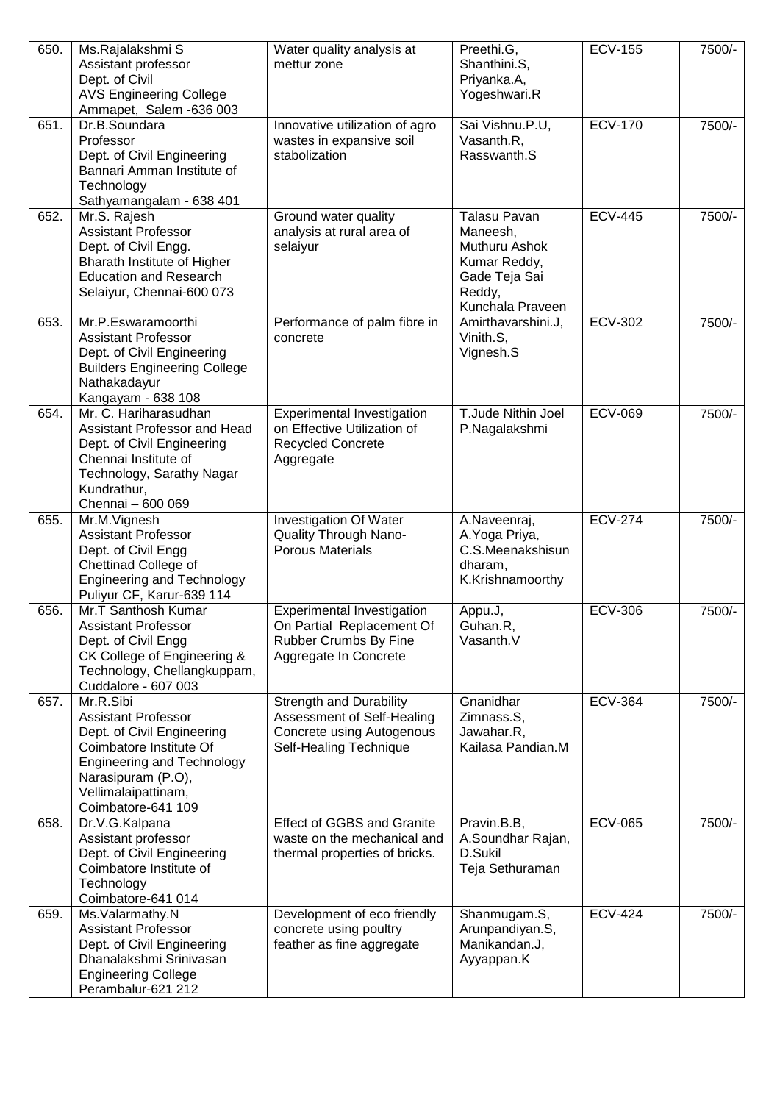| 650. | Ms.Rajalakshmi S<br>Assistant professor<br>Dept. of Civil<br><b>AVS Engineering College</b><br>Ammapet, Salem -636 003                                                                                   | Water quality analysis at<br>mettur zone                                                                                   | Preethi.G,<br>Shanthini.S,<br>Priyanka.A,<br>Yogeshwari.R                                                       | <b>ECV-155</b> | 7500/- |
|------|----------------------------------------------------------------------------------------------------------------------------------------------------------------------------------------------------------|----------------------------------------------------------------------------------------------------------------------------|-----------------------------------------------------------------------------------------------------------------|----------------|--------|
| 651. | Dr.B.Soundara<br>Professor<br>Dept. of Civil Engineering<br>Bannari Amman Institute of<br>Technology<br>Sathyamangalam - 638 401                                                                         | Innovative utilization of agro<br>wastes in expansive soil<br>stabolization                                                | Sai Vishnu.P.U,<br>Vasanth.R,<br>Rasswanth.S                                                                    | <b>ECV-170</b> | 7500/- |
| 652. | Mr.S. Rajesh<br><b>Assistant Professor</b><br>Dept. of Civil Engg.<br>Bharath Institute of Higher<br><b>Education and Research</b><br>Selaiyur, Chennai-600 073                                          | Ground water quality<br>analysis at rural area of<br>selaiyur                                                              | <b>Talasu Pavan</b><br>Maneesh,<br>Muthuru Ashok<br>Kumar Reddy,<br>Gade Teja Sai<br>Reddy,<br>Kunchala Praveen | <b>ECV-445</b> | 7500/- |
| 653. | Mr.P.Eswaramoorthi<br><b>Assistant Professor</b><br>Dept. of Civil Engineering<br><b>Builders Engineering College</b><br>Nathakadayur<br>Kangayam - 638 108                                              | Performance of palm fibre in<br>concrete                                                                                   | Amirthavarshini.J,<br>Vinith.S,<br>Vignesh.S                                                                    | <b>ECV-302</b> | 7500/- |
| 654. | Mr. C. Hariharasudhan<br>Assistant Professor and Head<br>Dept. of Civil Engineering<br>Chennai Institute of<br>Technology, Sarathy Nagar<br>Kundrathur,<br>Chennai - 600 069                             | <b>Experimental Investigation</b><br>on Effective Utilization of<br><b>Recycled Concrete</b><br>Aggregate                  | T.Jude Nithin Joel<br>P.Nagalakshmi                                                                             | <b>ECV-069</b> | 7500/- |
| 655. | Mr.M.Vignesh<br><b>Assistant Professor</b><br>Dept. of Civil Engg<br>Chettinad College of<br><b>Engineering and Technology</b><br>Puliyur CF, Karur-639 114                                              | Investigation Of Water<br>Quality Through Nano-<br><b>Porous Materials</b>                                                 | A.Naveenraj,<br>A. Yoga Priya,<br>C.S.Meenakshisun<br>dharam,<br>K.Krishnamoorthy                               | <b>ECV-274</b> | 7500/- |
| 656. | Mr.T Santhosh Kumar<br>Assistant Professor<br>Dept. of Civil Engg<br>CK College of Engineering &<br>Technology, Chellangkuppam,<br>Cuddalore - 607 003                                                   | <b>Experimental Investigation</b><br>On Partial Replacement Of<br>Rubber Crumbs By Fine<br>Aggregate In Concrete           | Appu.J,<br>Guhan.R.<br>Vasanth.V                                                                                | <b>ECV-306</b> | 7500/- |
| 657. | Mr.R.Sibi<br><b>Assistant Professor</b><br>Dept. of Civil Engineering<br>Coimbatore Institute Of<br><b>Engineering and Technology</b><br>Narasipuram (P.O),<br>Vellimalaipattinam,<br>Coimbatore-641 109 | <b>Strength and Durability</b><br>Assessment of Self-Healing<br><b>Concrete using Autogenous</b><br>Self-Healing Technique | Gnanidhar<br>Zimnass.S,<br>Jawahar.R,<br>Kailasa Pandian.M                                                      | <b>ECV-364</b> | 7500/- |
| 658. | Dr.V.G.Kalpana<br>Assistant professor<br>Dept. of Civil Engineering<br>Coimbatore Institute of<br>Technology<br>Coimbatore-641 014                                                                       | <b>Effect of GGBS and Granite</b><br>waste on the mechanical and<br>thermal properties of bricks.                          | Pravin.B.B,<br>A.Soundhar Rajan,<br>D.Sukil<br>Teja Sethuraman                                                  | <b>ECV-065</b> | 7500/- |
| 659. | Ms.Valarmathy.N<br><b>Assistant Professor</b><br>Dept. of Civil Engineering<br>Dhanalakshmi Srinivasan<br><b>Engineering College</b><br>Perambalur-621 212                                               | Development of eco friendly<br>concrete using poultry<br>feather as fine aggregate                                         | Shanmugam.S,<br>Arunpandiyan.S,<br>Manikandan.J,<br>Ayyappan.K                                                  | <b>ECV-424</b> | 7500/- |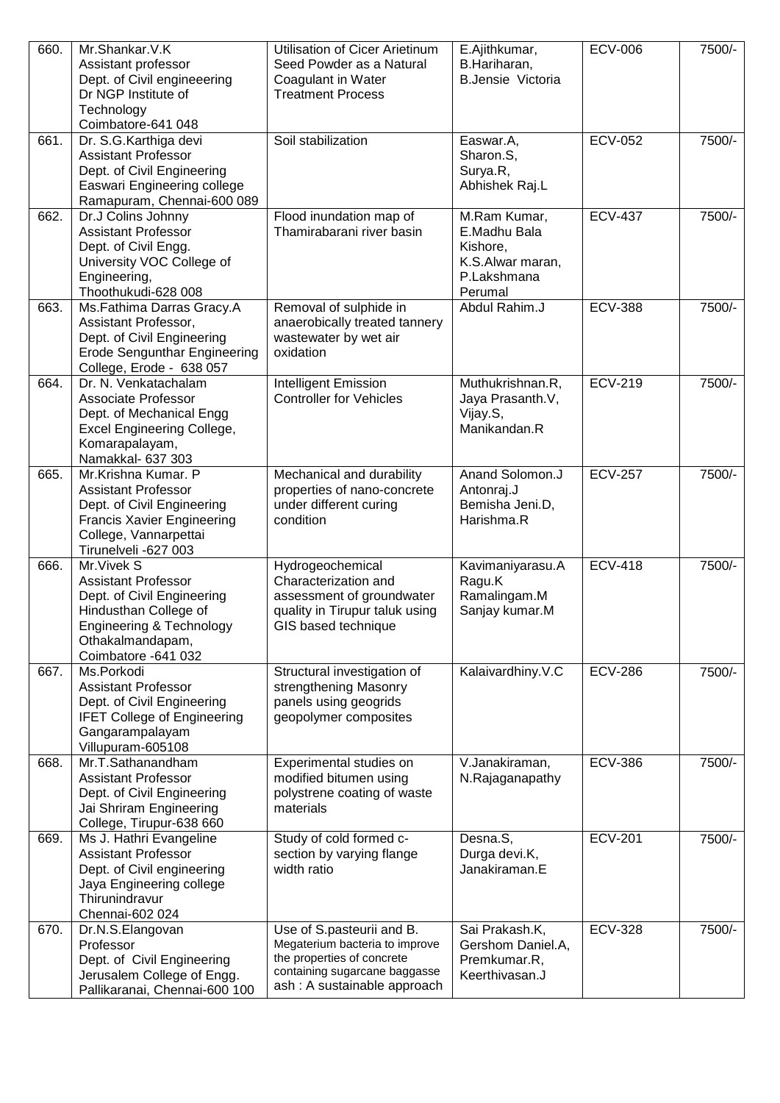| 660. | Mr.Shankar.V.K<br>Assistant professor<br>Dept. of Civil engineeering<br>Dr NGP Institute of<br>Technology<br>Coimbatore-641 048                                         | Utilisation of Cicer Arietinum<br>Seed Powder as a Natural<br>Coagulant in Water<br><b>Treatment Process</b>                                              | E.Ajithkumar,<br>B.Hariharan,<br><b>B.Jensie Victoria</b>                              | <b>ECV-006</b> | 7500/- |
|------|-------------------------------------------------------------------------------------------------------------------------------------------------------------------------|-----------------------------------------------------------------------------------------------------------------------------------------------------------|----------------------------------------------------------------------------------------|----------------|--------|
| 661. | Dr. S.G. Karthiga devi<br><b>Assistant Professor</b><br>Dept. of Civil Engineering<br>Easwari Engineering college<br>Ramapuram, Chennai-600 089                         | Soil stabilization                                                                                                                                        | Easwar.A,<br>Sharon.S,<br>Surya.R,<br>Abhishek Raj.L                                   | <b>ECV-052</b> | 7500/- |
| 662. | Dr.J Colins Johnny<br><b>Assistant Professor</b><br>Dept. of Civil Engg.<br>University VOC College of<br>Engineering,<br>Thoothukudi-628 008                            | Flood inundation map of<br>Thamirabarani river basin                                                                                                      | M.Ram Kumar,<br>E.Madhu Bala<br>Kishore,<br>K.S.Alwar maran,<br>P.Lakshmana<br>Perumal | <b>ECV-437</b> | 7500/- |
| 663. | Ms.Fathima Darras Gracy.A<br>Assistant Professor,<br>Dept. of Civil Engineering<br><b>Erode Sengunthar Engineering</b><br>College, Erode - 638 057                      | Removal of sulphide in<br>anaerobically treated tannery<br>wastewater by wet air<br>oxidation                                                             | Abdul Rahim.J                                                                          | <b>ECV-388</b> | 7500/- |
| 664. | Dr. N. Venkatachalam<br>Associate Professor<br>Dept. of Mechanical Engg<br><b>Excel Engineering College,</b><br>Komarapalayam,<br>Namakkal- 637 303                     | Intelligent Emission<br><b>Controller for Vehicles</b>                                                                                                    | Muthukrishnan.R,<br>Jaya Prasanth.V,<br>Vijay.S,<br>Manikandan.R                       | <b>ECV-219</b> | 7500/- |
| 665. | Mr.Krishna Kumar. P<br><b>Assistant Professor</b><br>Dept. of Civil Engineering<br><b>Francis Xavier Engineering</b><br>College, Vannarpettai<br>Tirunelveli -627 003   | Mechanical and durability<br>properties of nano-concrete<br>under different curing<br>condition                                                           | Anand Solomon.J<br>Antonraj.J<br>Bemisha Jeni.D,<br>Harishma.R                         | <b>ECV-257</b> | 7500/- |
| 666. | Mr. Vivek S<br><b>Assistant Professor</b><br>Dept. of Civil Engineering<br>Hindusthan College of<br>Engineering & Technology<br>Othakalmandapam,<br>Coimbatore -641 032 | Hydrogeochemical<br>Characterization and<br>assessment of groundwater<br>quality in Tirupur taluk using<br>GIS based technique                            | Kavimaniyarasu.A<br>Ragu.K<br>Ramalingam.M<br>Sanjay kumar.M                           | <b>ECV-418</b> | 7500/- |
| 667. | Ms.Porkodi<br><b>Assistant Professor</b><br>Dept. of Civil Engineering<br><b>IFET College of Engineering</b><br>Gangarampalayam<br>Villupuram-605108                    | Structural investigation of<br>strengthening Masonry<br>panels using geogrids<br>geopolymer composites                                                    | Kalaivardhiny.V.C                                                                      | <b>ECV-286</b> | 7500/- |
| 668. | Mr.T.Sathanandham<br><b>Assistant Professor</b><br>Dept. of Civil Engineering<br>Jai Shriram Engineering<br>College, Tirupur-638 660                                    | Experimental studies on<br>modified bitumen using<br>polystrene coating of waste<br>materials                                                             | V.Janakiraman,<br>N.Rajaganapathy                                                      | <b>ECV-386</b> | 7500/- |
| 669. | Ms J. Hathri Evangeline<br><b>Assistant Professor</b><br>Dept. of Civil engineering<br>Jaya Engineering college<br>Thirunindravur<br>Chennai-602 024                    | Study of cold formed c-<br>section by varying flange<br>width ratio                                                                                       | Desna.S,<br>Durga devi.K,<br>Janakiraman.E                                             | <b>ECV-201</b> | 7500/- |
| 670. | Dr.N.S.Elangovan<br>Professor<br>Dept. of Civil Engineering<br>Jerusalem College of Engg.<br>Pallikaranai, Chennai-600 100                                              | Use of S.pasteurii and B.<br>Megaterium bacteria to improve<br>the properties of concrete<br>containing sugarcane baggasse<br>ash: A sustainable approach | Sai Prakash.K,<br>Gershom Daniel.A,<br>Premkumar.R,<br>Keerthivasan.J                  | <b>ECV-328</b> | 7500/- |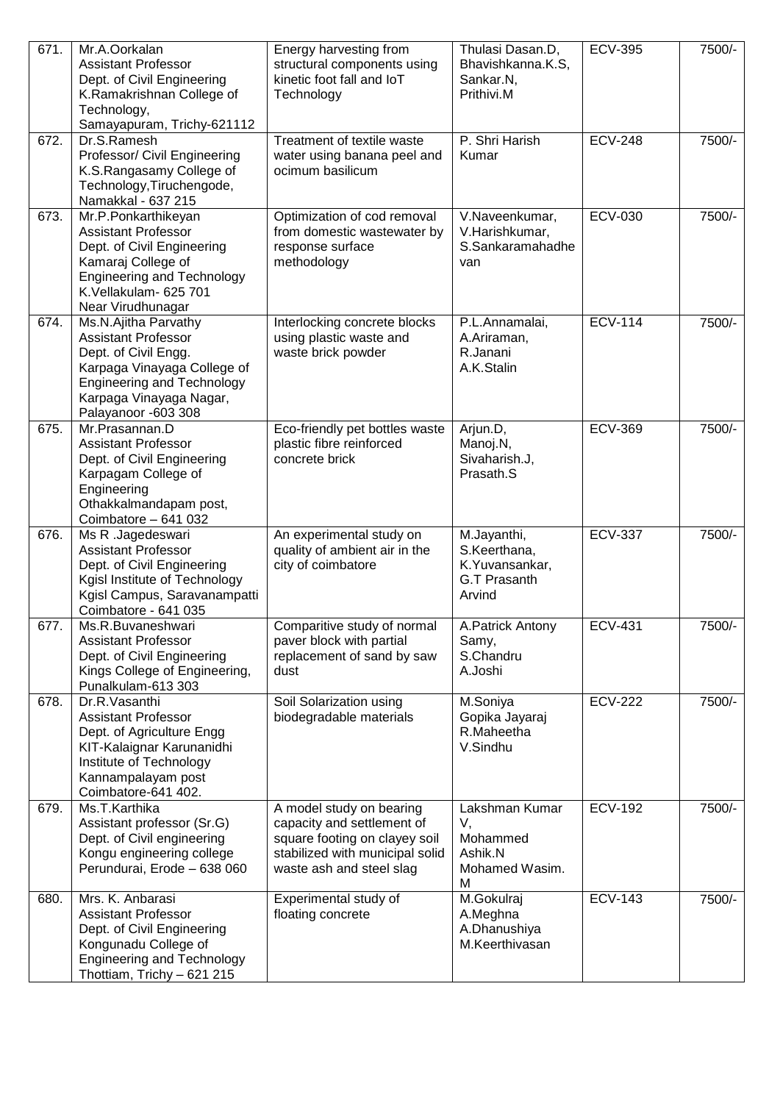| 671. | Mr.A.Oorkalan<br><b>Assistant Professor</b><br>Dept. of Civil Engineering<br>K.Ramakrishnan College of<br>Technology,<br>Samayapuram, Trichy-621112                                              | Energy harvesting from<br>structural components using<br>kinetic foot fall and IoT<br>Technology                                                       | Thulasi Dasan.D,<br>Bhavishkanna.K.S,<br>Sankar.N,<br>Prithivi.M               | <b>ECV-395</b> | 7500/- |
|------|--------------------------------------------------------------------------------------------------------------------------------------------------------------------------------------------------|--------------------------------------------------------------------------------------------------------------------------------------------------------|--------------------------------------------------------------------------------|----------------|--------|
| 672. | Dr.S.Ramesh<br>Professor/ Civil Engineering<br>K.S.Rangasamy College of<br>Technology, Tiruchengode,<br>Namakkal - 637 215                                                                       | Treatment of textile waste<br>water using banana peel and<br>ocimum basilicum                                                                          | P. Shri Harish<br>Kumar                                                        | <b>ECV-248</b> | 7500/- |
| 673. | Mr.P.Ponkarthikeyan<br><b>Assistant Professor</b><br>Dept. of Civil Engineering<br>Kamaraj College of<br><b>Engineering and Technology</b><br>K.Vellakulam- 625 701<br>Near Virudhunagar         | Optimization of cod removal<br>from domestic wastewater by<br>response surface<br>methodology                                                          | V.Naveenkumar,<br>V.Harishkumar,<br>S.Sankaramahadhe<br>van                    | <b>ECV-030</b> | 7500/- |
| 674. | Ms.N.Ajitha Parvathy<br><b>Assistant Professor</b><br>Dept. of Civil Engg.<br>Karpaga Vinayaga College of<br><b>Engineering and Technology</b><br>Karpaga Vinayaga Nagar,<br>Palayanoor -603 308 | Interlocking concrete blocks<br>using plastic waste and<br>waste brick powder                                                                          | P.L.Annamalai,<br>A.Ariraman,<br>R.Janani<br>A.K.Stalin                        | <b>ECV-114</b> | 7500/- |
| 675. | Mr.Prasannan.D<br><b>Assistant Professor</b><br>Dept. of Civil Engineering<br>Karpagam College of<br>Engineering<br>Othakkalmandapam post,<br>Coimbatore - 641 032                               | Eco-friendly pet bottles waste<br>plastic fibre reinforced<br>concrete brick                                                                           | Arjun.D,<br>Manoj.N,<br>Sivaharish.J,<br>Prasath.S                             | <b>ECV-369</b> | 7500/- |
| 676. | Ms R .Jagedeswari<br><b>Assistant Professor</b><br>Dept. of Civil Engineering<br>Kgisl Institute of Technology<br>Kgisl Campus, Saravanampatti<br>Coimbatore - 641 035                           | An experimental study on<br>quality of ambient air in the<br>city of coimbatore                                                                        | M.Jayanthi,<br>S.Keerthana,<br>K.Yuvansankar,<br><b>G.T Prasanth</b><br>Arvind | <b>ECV-337</b> | 7500/- |
| 677. | Ms.R.Buvaneshwari<br><b>Assistant Professor</b><br>Dept. of Civil Engineering<br>Kings College of Engineering,<br>Punalkulam-613 303                                                             | Comparitive study of normal<br>paver block with partial<br>replacement of sand by saw<br>dust                                                          | A.Patrick Antony<br>Samy,<br>S.Chandru<br>A.Joshi                              | <b>ECV-431</b> | 7500/- |
| 678. | Dr.R.Vasanthi<br><b>Assistant Professor</b><br>Dept. of Agriculture Engg<br>KIT-Kalaignar Karunanidhi<br>Institute of Technology<br>Kannampalayam post<br>Coimbatore-641 402.                    | Soil Solarization using<br>biodegradable materials                                                                                                     | M.Soniya<br>Gopika Jayaraj<br>R.Maheetha<br>V.Sindhu                           | <b>ECV-222</b> | 7500/- |
| 679. | Ms.T.Karthika<br>Assistant professor (Sr.G)<br>Dept. of Civil engineering<br>Kongu engineering college<br>Perundurai, Erode - 638 060                                                            | A model study on bearing<br>capacity and settlement of<br>square footing on clayey soil<br>stabilized with municipal solid<br>waste ash and steel slag | Lakshman Kumar<br>V,<br>Mohammed<br>Ashik.N<br>Mohamed Wasim.<br>M             | <b>ECV-192</b> | 7500/- |
| 680. | Mrs. K. Anbarasi<br><b>Assistant Professor</b><br>Dept. of Civil Engineering<br>Kongunadu College of<br><b>Engineering and Technology</b><br>Thottiam, Trichy - 621 215                          | Experimental study of<br>floating concrete                                                                                                             | M.Gokulraj<br>A.Meghna<br>A.Dhanushiya<br>M.Keerthivasan                       | <b>ECV-143</b> | 7500/- |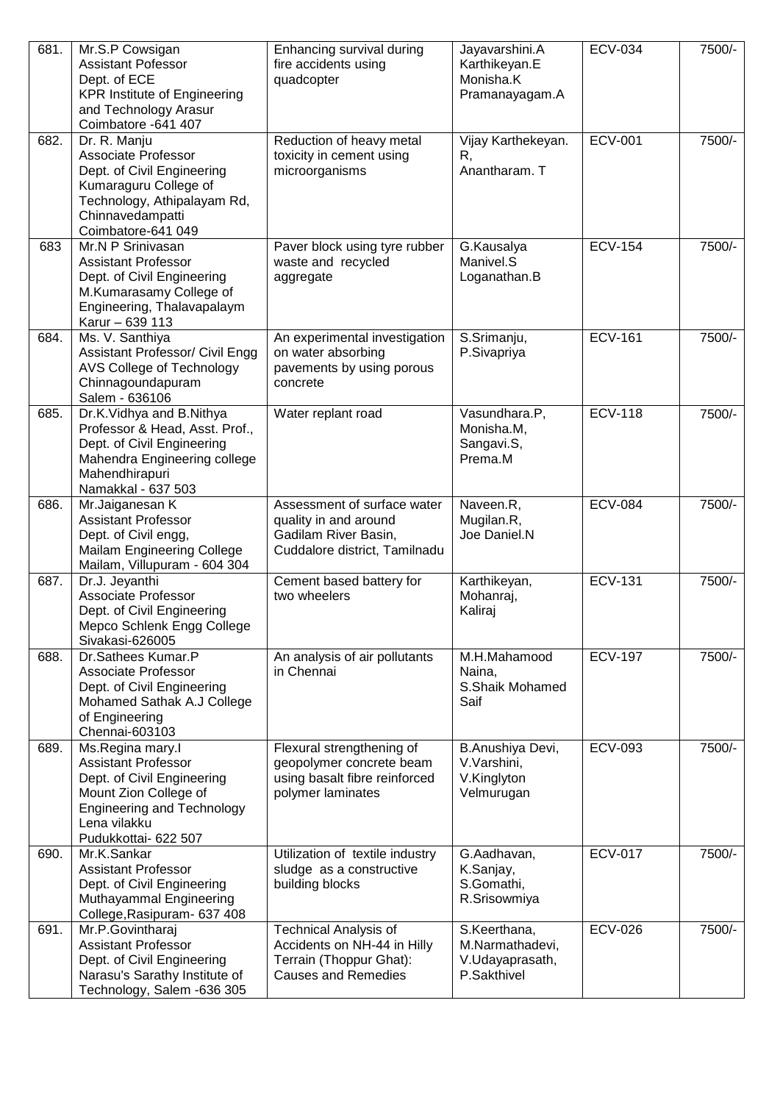| 681. | Mr.S.P Cowsigan<br><b>Assistant Pofessor</b><br>Dept. of ECE<br><b>KPR Institute of Engineering</b><br>and Technology Arasur<br>Coimbatore -641 407                                | Enhancing survival during<br>fire accidents using<br>quadcopter                                                      | Jayavarshini.A<br>Karthikeyan.E<br>Monisha.K<br>Pramanayagam.A    | <b>ECV-034</b> | 7500/- |
|------|------------------------------------------------------------------------------------------------------------------------------------------------------------------------------------|----------------------------------------------------------------------------------------------------------------------|-------------------------------------------------------------------|----------------|--------|
| 682. | Dr. R. Manju<br>Associate Professor<br>Dept. of Civil Engineering<br>Kumaraguru College of<br>Technology, Athipalayam Rd,<br>Chinnavedampatti<br>Coimbatore-641 049                | Reduction of heavy metal<br>toxicity in cement using<br>microorganisms                                               | Vijay Karthekeyan.<br>R,<br>Anantharam. T                         | <b>ECV-001</b> | 7500/- |
| 683  | Mr.N P Srinivasan<br><b>Assistant Professor</b><br>Dept. of Civil Engineering<br>M.Kumarasamy College of<br>Engineering, Thalavapalaym<br>Karur - 639 113                          | Paver block using tyre rubber<br>waste and recycled<br>aggregate                                                     | G.Kausalya<br>Manivel.S<br>Loganathan.B                           | <b>ECV-154</b> | 7500/- |
| 684. | Ms. V. Santhiya<br><b>Assistant Professor/ Civil Engg</b><br>AVS College of Technology<br>Chinnagoundapuram<br>Salem - 636106                                                      | An experimental investigation<br>on water absorbing<br>pavements by using porous<br>concrete                         | S.Srimanju,<br>P.Sivapriya                                        | <b>ECV-161</b> | 7500/- |
| 685. | Dr.K.Vidhya and B.Nithya<br>Professor & Head, Asst. Prof.,<br>Dept. of Civil Engineering<br>Mahendra Engineering college<br>Mahendhirapuri<br>Namakkal - 637 503                   | Water replant road                                                                                                   | Vasundhara.P,<br>Monisha.M,<br>Sangavi.S,<br>Prema.M              | <b>ECV-118</b> | 7500/- |
| 686. | Mr.Jaiganesan K<br><b>Assistant Professor</b><br>Dept. of Civil engg,<br>Mailam Engineering College<br>Mailam, Villupuram - 604 304                                                | Assessment of surface water<br>quality in and around<br>Gadilam River Basin,<br>Cuddalore district, Tamilnadu        | Naveen.R,<br>Mugilan.R,<br>Joe Daniel.N                           | <b>ECV-084</b> | 7500/- |
| 687. | Dr.J. Jeyanthi<br>Associate Professor<br>Dept. of Civil Engineering<br>Mepco Schlenk Engg College<br>Sivakasi-626005                                                               | Cement based battery for<br>two wheelers                                                                             | Karthikeyan,<br>Mohanraj,<br>Kaliraj                              | <b>ECV-131</b> | 7500/- |
| 688. | Dr.Sathees Kumar.P<br>Associate Professor<br>Dept. of Civil Engineering<br>Mohamed Sathak A.J College<br>of Engineering<br>Chennai-603103                                          | An analysis of air pollutants<br>in Chennai                                                                          | M.H.Mahamood<br>Naina,<br>S.Shaik Mohamed<br>Saif                 | <b>ECV-197</b> | 7500/- |
| 689. | Ms.Regina mary.I<br><b>Assistant Professor</b><br>Dept. of Civil Engineering<br>Mount Zion College of<br><b>Engineering and Technology</b><br>Lena vilakku<br>Pudukkottai- 622 507 | Flexural strengthening of<br>geopolymer concrete beam<br>using basalt fibre reinforced<br>polymer laminates          | B.Anushiya Devi,<br>V.Varshini,<br>V.Kinglyton<br>Velmurugan      | <b>ECV-093</b> | 7500/- |
| 690. | Mr.K.Sankar<br><b>Assistant Professor</b><br>Dept. of Civil Engineering<br>Muthayammal Engineering<br>College, Rasipuram - 637 408                                                 | Utilization of textile industry<br>sludge as a constructive<br>building blocks                                       | G.Aadhavan,<br>K.Sanjay,<br>S.Gomathi,<br>R.Srisowmiya            | <b>ECV-017</b> | 7500/- |
| 691. | Mr.P.Govintharaj<br><b>Assistant Professor</b><br>Dept. of Civil Engineering<br>Narasu's Sarathy Institute of<br>Technology, Salem -636 305                                        | <b>Technical Analysis of</b><br>Accidents on NH-44 in Hilly<br>Terrain (Thoppur Ghat):<br><b>Causes and Remedies</b> | S.Keerthana,<br>M.Narmathadevi,<br>V.Udayaprasath,<br>P.Sakthivel | <b>ECV-026</b> | 7500/- |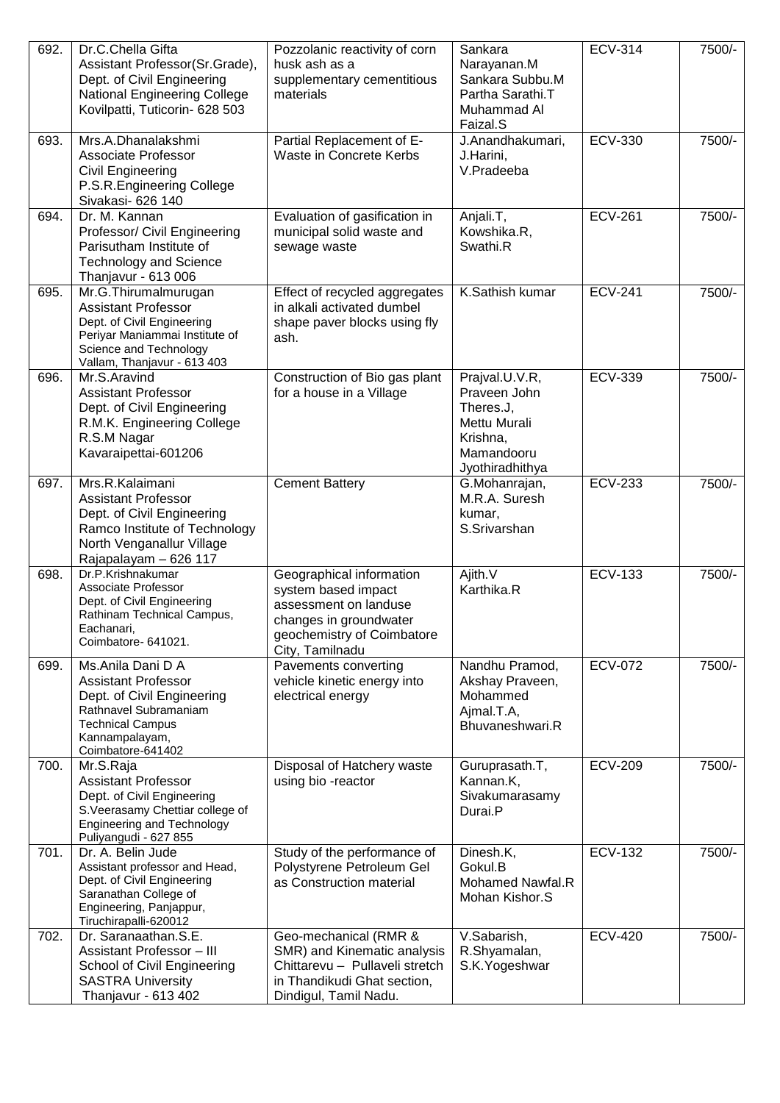| 692. | Dr.C.Chella Gifta<br>Assistant Professor(Sr.Grade),<br>Dept. of Civil Engineering<br><b>National Engineering College</b><br>Kovilpatti, Tuticorin- 628 503                  | Pozzolanic reactivity of corn<br>husk ash as a<br>supplementary cementitious<br>materials                                                           | Sankara<br>Narayanan.M<br>Sankara Subbu.M<br>Partha Sarathi.T<br>Muhammad Al<br>Faizal.S                 | <b>ECV-314</b> | 7500/- |
|------|-----------------------------------------------------------------------------------------------------------------------------------------------------------------------------|-----------------------------------------------------------------------------------------------------------------------------------------------------|----------------------------------------------------------------------------------------------------------|----------------|--------|
| 693. | Mrs.A.Dhanalakshmi<br>Associate Professor<br>Civil Engineering<br>P.S.R.Engineering College<br>Sivakasi- 626 140                                                            | Partial Replacement of E-<br>Waste in Concrete Kerbs                                                                                                | J.Anandhakumari,<br>J.Harini,<br>V.Pradeeba                                                              | <b>ECV-330</b> | 7500/- |
| 694. | Dr. M. Kannan<br>Professor/ Civil Engineering<br>Parisutham Institute of<br><b>Technology and Science</b><br>Thanjavur - 613 006                                            | Evaluation of gasification in<br>municipal solid waste and<br>sewage waste                                                                          | Anjali.T,<br>Kowshika.R,<br>Swathi.R                                                                     | <b>ECV-261</b> | 7500/- |
| 695. | Mr.G.Thirumalmurugan<br><b>Assistant Professor</b><br>Dept. of Civil Engineering<br>Periyar Maniammai Institute of<br>Science and Technology<br>Vallam, Thanjavur - 613 403 | Effect of recycled aggregates<br>in alkali activated dumbel<br>shape paver blocks using fly<br>ash.                                                 | K.Sathish kumar                                                                                          | <b>ECV-241</b> | 7500/- |
| 696. | Mr.S.Aravind<br><b>Assistant Professor</b><br>Dept. of Civil Engineering<br>R.M.K. Engineering College<br>R.S.M Nagar<br>Kavaraipettai-601206                               | Construction of Bio gas plant<br>for a house in a Village                                                                                           | Prajval.U.V.R,<br>Praveen John<br>Theres.J,<br>Mettu Murali<br>Krishna,<br>Mamandooru<br>Jyothiradhithya | <b>ECV-339</b> | 7500/- |
| 697. | Mrs.R.Kalaimani<br><b>Assistant Professor</b><br>Dept. of Civil Engineering<br>Ramco Institute of Technology<br>North Venganallur Village<br>Rajapalayam - 626 117          | <b>Cement Battery</b>                                                                                                                               | G.Mohanrajan,<br>M.R.A. Suresh<br>kumar,<br>S.Srivarshan                                                 | <b>ECV-233</b> | 7500/- |
| 698. | Dr.P.Krishnakumar<br>Associate Professor<br>Dept. of Civil Engineering<br>Rathinam Technical Campus,<br>Eachanari,<br>Coimbatore- 641021.                                   | Geographical information<br>system based impact<br>assessment on landuse<br>changes in groundwater<br>geochemistry of Coimbatore<br>City, Tamilnadu | Ajith.V<br>Karthika.R                                                                                    | <b>ECV-133</b> | 7500/- |
| 699. | Ms.Anila Dani D A<br><b>Assistant Professor</b><br>Dept. of Civil Engineering<br>Rathnavel Subramaniam<br><b>Technical Campus</b><br>Kannampalayam,<br>Coimbatore-641402    | Pavements converting<br>vehicle kinetic energy into<br>electrical energy                                                                            | Nandhu Pramod,<br>Akshay Praveen,<br>Mohammed<br>Ajmal.T.A,<br>Bhuvaneshwari.R                           | <b>ECV-072</b> | 7500/- |
| 700. | Mr.S.Raja<br><b>Assistant Professor</b><br>Dept. of Civil Engineering<br>S.Veerasamy Chettiar college of<br><b>Engineering and Technology</b><br>Puliyangudi - 627 855      | Disposal of Hatchery waste<br>using bio -reactor                                                                                                    | Guruprasath.T,<br>Kannan.K,<br>Sivakumarasamy<br>Durai.P                                                 | <b>ECV-209</b> | 7500/- |
| 701. | Dr. A. Belin Jude<br>Assistant professor and Head,<br>Dept. of Civil Engineering<br>Saranathan College of<br>Engineering, Panjappur,<br>Tiruchirapalli-620012               | Study of the performance of<br>Polystyrene Petroleum Gel<br>as Construction material                                                                | Dinesh.K,<br>Gokul.B<br><b>Mohamed Nawfal.R</b><br>Mohan Kishor.S                                        | <b>ECV-132</b> | 7500/- |
| 702. | Dr. Saranaathan.S.E.<br>Assistant Professor - III<br>School of Civil Engineering<br><b>SASTRA University</b><br>Thanjavur - 613 402                                         | Geo-mechanical (RMR &<br>SMR) and Kinematic analysis<br>Chittarevu - Pullaveli stretch<br>in Thandikudi Ghat section,<br>Dindigul, Tamil Nadu.      | V.Sabarish,<br>R.Shyamalan,<br>S.K. Yogeshwar                                                            | <b>ECV-420</b> | 7500/- |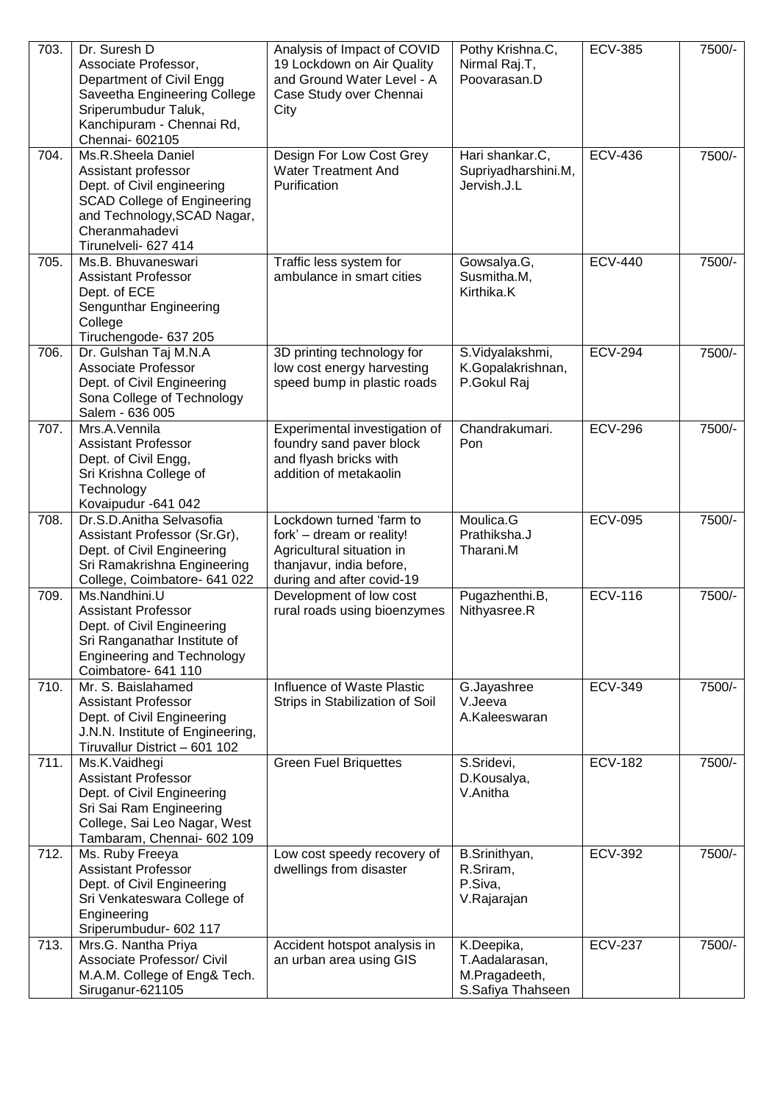| 703. | Dr. Suresh D<br>Associate Professor,<br>Department of Civil Engg<br>Saveetha Engineering College<br>Sriperumbudur Taluk,<br>Kanchipuram - Chennai Rd,<br>Chennai- 602105               | Analysis of Impact of COVID<br>19 Lockdown on Air Quality<br>and Ground Water Level - A<br>Case Study over Chennai<br>City                  | Pothy Krishna.C,<br>Nirmal Raj.T,<br>Poovarasan.D                  | <b>ECV-385</b> | 7500/- |
|------|----------------------------------------------------------------------------------------------------------------------------------------------------------------------------------------|---------------------------------------------------------------------------------------------------------------------------------------------|--------------------------------------------------------------------|----------------|--------|
| 704. | Ms.R.Sheela Daniel<br>Assistant professor<br>Dept. of Civil engineering<br><b>SCAD College of Engineering</b><br>and Technology, SCAD Nagar,<br>Cheranmahadevi<br>Tirunelveli- 627 414 | Design For Low Cost Grey<br><b>Water Treatment And</b><br>Purification                                                                      | Hari shankar.C,<br>Supriyadharshini.M,<br>Jervish.J.L              | <b>ECV-436</b> | 7500/- |
| 705. | Ms.B. Bhuvaneswari<br><b>Assistant Professor</b><br>Dept. of ECE<br>Sengunthar Engineering<br>College<br>Tiruchengode- 637 205                                                         | Traffic less system for<br>ambulance in smart cities                                                                                        | Gowsalya.G,<br>Susmitha.M,<br>Kirthika.K                           | <b>ECV-440</b> | 7500/- |
| 706. | Dr. Gulshan Taj M.N.A<br>Associate Professor<br>Dept. of Civil Engineering<br>Sona College of Technology<br>Salem - 636 005                                                            | 3D printing technology for<br>low cost energy harvesting<br>speed bump in plastic roads                                                     | S.Vidyalakshmi,<br>K.Gopalakrishnan,<br>P.Gokul Raj                | <b>ECV-294</b> | 7500/- |
| 707. | Mrs.A.Vennila<br><b>Assistant Professor</b><br>Dept. of Civil Engg,<br>Sri Krishna College of<br>Technology<br>Kovaipudur - 641 042                                                    | Experimental investigation of<br>foundry sand paver block<br>and flyash bricks with<br>addition of metakaolin                               | Chandrakumari.<br>Pon                                              | <b>ECV-296</b> | 7500/- |
| 708. | Dr.S.D.Anitha Selvasofia<br>Assistant Professor (Sr.Gr),<br>Dept. of Civil Engineering<br>Sri Ramakrishna Engineering<br>College, Coimbatore- 641 022                                  | Lockdown turned 'farm to<br>fork' - dream or reality!<br>Agricultural situation in<br>thanjavur, india before,<br>during and after covid-19 | Moulica.G<br>Prathiksha.J<br>Tharani.M                             | <b>ECV-095</b> | 7500/- |
| 709. | Ms.Nandhini.U<br><b>Assistant Professor</b><br>Dept. of Civil Engineering<br>Sri Ranganathar Institute of<br><b>Engineering and Technology</b><br>Coimbatore- 641 110                  | Development of low cost<br>rural roads using bioenzymes                                                                                     | Pugazhenthi.B,<br>Nithyasree.R                                     | <b>ECV-116</b> | 7500/- |
| 710. | Mr. S. Baislahamed<br><b>Assistant Professor</b><br>Dept. of Civil Engineering<br>J.N.N. Institute of Engineering,<br>Tiruvallur District - 601 102                                    | Influence of Waste Plastic<br>Strips in Stabilization of Soil                                                                               | G.Jayashree<br>V.Jeeva<br>A.Kaleeswaran                            | <b>ECV-349</b> | 7500/- |
| 711. | Ms.K.Vaidhegi<br><b>Assistant Professor</b><br>Dept. of Civil Engineering<br>Sri Sai Ram Engineering<br>College, Sai Leo Nagar, West<br>Tambaram, Chennai- 602 109                     | <b>Green Fuel Briquettes</b>                                                                                                                | S.Sridevi,<br>D.Kousalya,<br>V.Anitha                              | <b>ECV-182</b> | 7500/- |
| 712. | Ms. Ruby Freeya<br><b>Assistant Professor</b><br>Dept. of Civil Engineering<br>Sri Venkateswara College of<br>Engineering<br>Sriperumbudur- 602 117                                    | Low cost speedy recovery of<br>dwellings from disaster                                                                                      | B.Srinithyan,<br>R.Sriram,<br>P.Siva,<br>V.Rajarajan               | <b>ECV-392</b> | 7500/- |
| 713. | Mrs.G. Nantha Priya<br>Associate Professor/ Civil<br>M.A.M. College of Eng& Tech.<br>Siruganur-621105                                                                                  | Accident hotspot analysis in<br>an urban area using GIS                                                                                     | K.Deepika,<br>T.Aadalarasan,<br>M.Pragadeeth,<br>S.Safiya Thahseen | <b>ECV-237</b> | 7500/- |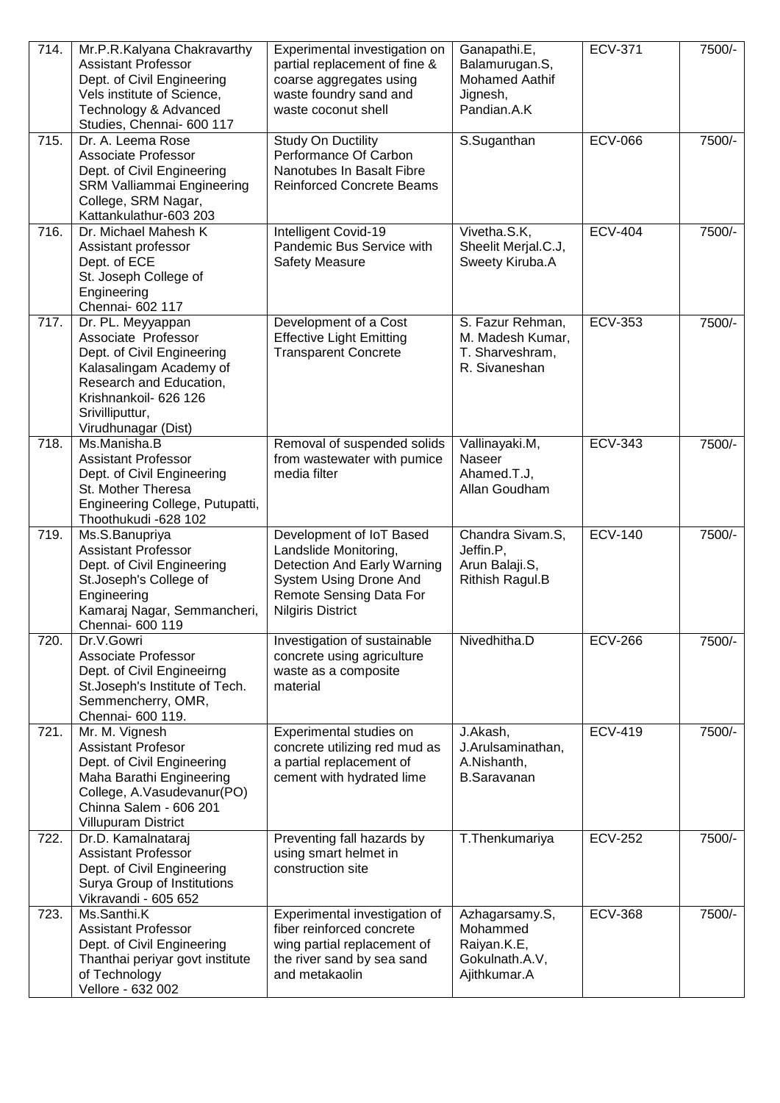| 714. | Mr.P.R.Kalyana Chakravarthy<br><b>Assistant Professor</b><br>Dept. of Civil Engineering<br>Vels institute of Science,<br>Technology & Advanced<br>Studies, Chennai- 600 117                     | Experimental investigation on<br>partial replacement of fine &<br>coarse aggregates using<br>waste foundry sand and<br>waste coconut shell                               | Ganapathi.E,<br>Balamurugan.S,<br><b>Mohamed Aathif</b><br>Jignesh,<br>Pandian.A.K | <b>ECV-371</b> | 7500/- |
|------|-------------------------------------------------------------------------------------------------------------------------------------------------------------------------------------------------|--------------------------------------------------------------------------------------------------------------------------------------------------------------------------|------------------------------------------------------------------------------------|----------------|--------|
| 715. | Dr. A. Leema Rose<br>Associate Professor<br>Dept. of Civil Engineering<br>SRM Valliammai Engineering<br>College, SRM Nagar,<br>Kattankulathur-603 203                                           | Study On Ductility<br>Performance Of Carbon<br>Nanotubes In Basalt Fibre<br><b>Reinforced Concrete Beams</b>                                                             | S.Suganthan                                                                        | <b>ECV-066</b> | 7500/- |
| 716. | Dr. Michael Mahesh K<br>Assistant professor<br>Dept. of ECE<br>St. Joseph College of<br>Engineering<br>Chennai- 602 117                                                                         | Intelligent Covid-19<br>Pandemic Bus Service with<br><b>Safety Measure</b>                                                                                               | Vivetha.S.K,<br>Sheelit Merjal.C.J,<br>Sweety Kiruba.A                             | <b>ECV-404</b> | 7500/- |
| 717. | Dr. PL. Meyyappan<br>Associate Professor<br>Dept. of Civil Engineering<br>Kalasalingam Academy of<br>Research and Education,<br>Krishnankoil- 626 126<br>Srivilliputtur,<br>Virudhunagar (Dist) | Development of a Cost<br><b>Effective Light Emitting</b><br><b>Transparent Concrete</b>                                                                                  | S. Fazur Rehman,<br>M. Madesh Kumar,<br>T. Sharveshram,<br>R. Sivaneshan           | <b>ECV-353</b> | 7500/- |
| 718. | Ms.Manisha.B<br><b>Assistant Professor</b><br>Dept. of Civil Engineering<br>St. Mother Theresa<br>Engineering College, Putupatti,<br>Thoothukudi -628 102                                       | Removal of suspended solids<br>from wastewater with pumice<br>media filter                                                                                               | Vallinayaki.M,<br>Naseer<br>Ahamed.T.J,<br>Allan Goudham                           | <b>ECV-343</b> | 7500/- |
| 719. | Ms.S.Banupriya<br><b>Assistant Professor</b><br>Dept. of Civil Engineering<br>St.Joseph's College of<br>Engineering<br>Kamaraj Nagar, Semmancheri,<br>Chennai- 600 119                          | Development of IoT Based<br>Landslide Monitoring,<br><b>Detection And Early Warning</b><br>System Using Drone And<br>Remote Sensing Data For<br><b>Nilgiris District</b> | Chandra Sivam.S,<br>Jeffin.P,<br>Arun Balaji.S,<br>Rithish Ragul.B                 | <b>ECV-140</b> | 7500/- |
| 720. | Dr.V.Gowri<br>Associate Professor<br>Dept. of Civil Engineeirng<br>St.Joseph's Institute of Tech.<br>Semmencherry, OMR,<br>Chennai- 600 119.                                                    | Investigation of sustainable<br>concrete using agriculture<br>waste as a composite<br>material                                                                           | Nivedhitha.D                                                                       | <b>ECV-266</b> | 7500/- |
| 721. | Mr. M. Vignesh<br><b>Assistant Profesor</b><br>Dept. of Civil Engineering<br>Maha Barathi Engineering<br>College, A.Vasudevanur(PO)<br>Chinna Salem - 606 201<br><b>Villupuram District</b>     | Experimental studies on<br>concrete utilizing red mud as<br>a partial replacement of<br>cement with hydrated lime                                                        | J.Akash,<br>J.Arulsaminathan,<br>A.Nishanth,<br><b>B.Saravanan</b>                 | <b>ECV-419</b> | 7500/- |
| 722. | Dr.D. Kamalnataraj<br><b>Assistant Professor</b><br>Dept. of Civil Engineering<br>Surya Group of Institutions<br>Vikravandi - 605 652                                                           | Preventing fall hazards by<br>using smart helmet in<br>construction site                                                                                                 | T.Thenkumariya                                                                     | <b>ECV-252</b> | 7500/- |
| 723. | Ms.Santhi.K<br><b>Assistant Professor</b><br>Dept. of Civil Engineering<br>Thanthai periyar govt institute<br>of Technology<br>Vellore - 632 002                                                | Experimental investigation of<br>fiber reinforced concrete<br>wing partial replacement of<br>the river sand by sea sand<br>and metakaolin                                | Azhagarsamy.S,<br>Mohammed<br>Raiyan.K.E,<br>Gokulnath.A.V,<br>Ajithkumar.A        | <b>ECV-368</b> | 7500/- |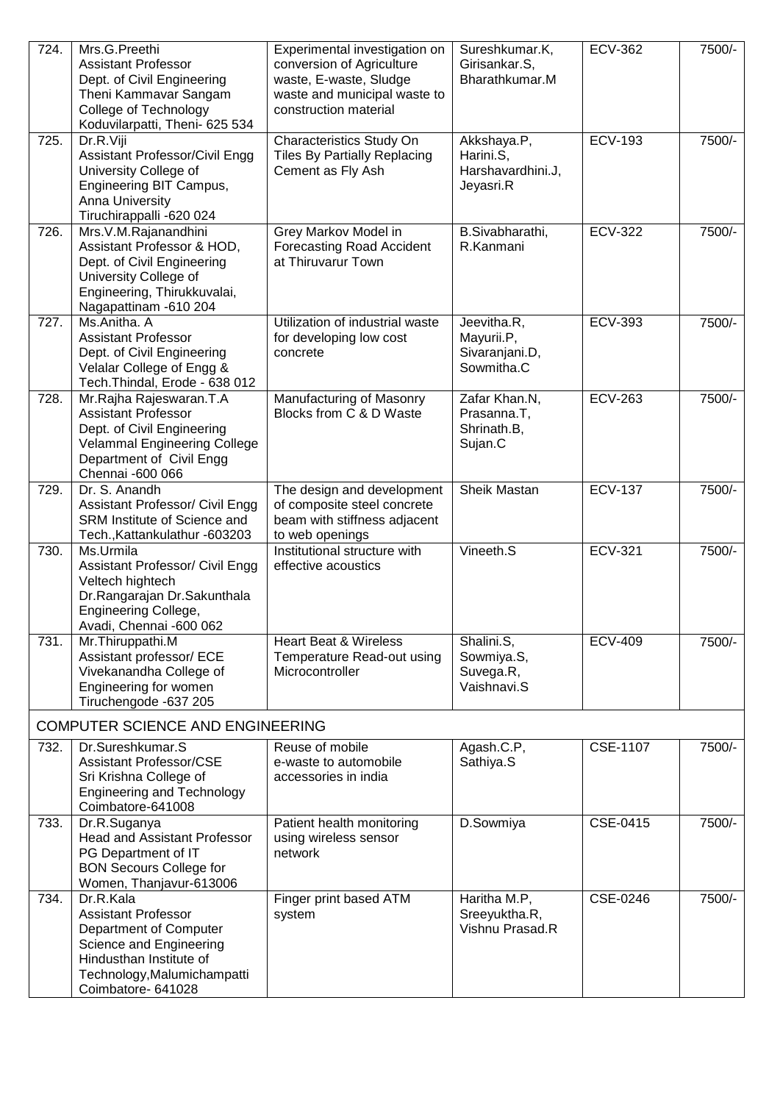| 724. | Mrs.G.Preethi<br><b>Assistant Professor</b><br>Dept. of Civil Engineering<br>Theni Kammavar Sangam<br>College of Technology<br>Koduvilarpatti, Theni- 625 534                | Experimental investigation on<br>conversion of Agriculture<br>waste, E-waste, Sludge<br>waste and municipal waste to<br>construction material | Sureshkumar.K,<br>Girisankar.S,<br>Bharathkumar.M          | <b>ECV-362</b>  | 7500/- |
|------|------------------------------------------------------------------------------------------------------------------------------------------------------------------------------|-----------------------------------------------------------------------------------------------------------------------------------------------|------------------------------------------------------------|-----------------|--------|
| 725. | Dr.R.Viji<br><b>Assistant Professor/Civil Engg</b><br>University College of<br>Engineering BIT Campus,<br>Anna University<br>Tiruchirappalli -620 024                        | Characteristics Study On<br><b>Tiles By Partially Replacing</b><br>Cement as Fly Ash                                                          | Akkshaya.P,<br>Harini.S,<br>Harshavardhini.J,<br>Jeyasri.R | <b>ECV-193</b>  | 7500/- |
| 726. | Mrs.V.M.Rajanandhini<br>Assistant Professor & HOD,<br>Dept. of Civil Engineering<br>University College of<br>Engineering, Thirukkuvalai,<br>Nagapattinam - 610 204           | Grey Markov Model in<br><b>Forecasting Road Accident</b><br>at Thiruvarur Town                                                                | B.Sivabharathi,<br>R.Kanmani                               | <b>ECV-322</b>  | 7500/- |
| 727. | Ms.Anitha. A<br><b>Assistant Professor</b><br>Dept. of Civil Engineering<br>Velalar College of Engg &<br>Tech. Thindal, Erode - 638 012                                      | Utilization of industrial waste<br>for developing low cost<br>concrete                                                                        | Jeevitha.R,<br>Mayurii.P,<br>Sivaranjani.D,<br>Sowmitha.C  | <b>ECV-393</b>  | 7500/- |
| 728. | Mr.Rajha Rajeswaran.T.A<br><b>Assistant Professor</b><br>Dept. of Civil Engineering<br><b>Velammal Engineering College</b><br>Department of Civil Engg<br>Chennai -600 066   | Manufacturing of Masonry<br>Blocks from C & D Waste                                                                                           | Zafar Khan.N,<br>Prasanna.T,<br>Shrinath.B,<br>Sujan.C     | <b>ECV-263</b>  | 7500/- |
| 729. | Dr. S. Anandh<br>Assistant Professor/ Civil Engg<br>SRM Institute of Science and<br>Tech., Kattankulathur - 603203                                                           | The design and development<br>of composite steel concrete<br>beam with stiffness adjacent<br>to web openings                                  | Sheik Mastan                                               | <b>ECV-137</b>  | 7500/- |
| 730. | Ms.Urmila<br>Assistant Professor/ Civil Engg<br>Veltech hightech<br>Dr.Rangarajan Dr.Sakunthala<br>Engineering College,<br>Avadi, Chennai -600 062                           | Institutional structure with<br>effective acoustics                                                                                           | Vineeth.S                                                  | <b>ECV-321</b>  | 7500/- |
| 731. | Mr. Thiruppathi.M<br>Assistant professor/ ECE<br>Vivekanandha College of<br>Engineering for women<br>Tiruchengode -637 205                                                   | <b>Heart Beat &amp; Wireless</b><br>Temperature Read-out using<br>Microcontroller                                                             | Shalini.S,<br>Sowmiya.S,<br>Suvega.R,<br>Vaishnavi.S       | <b>ECV-409</b>  | 7500/- |
|      | <b>COMPUTER SCIENCE AND ENGINEERING</b>                                                                                                                                      |                                                                                                                                               |                                                            |                 |        |
| 732. | Dr.Sureshkumar.S<br><b>Assistant Professor/CSE</b><br>Sri Krishna College of<br><b>Engineering and Technology</b><br>Coimbatore-641008                                       | Reuse of mobile<br>e-waste to automobile<br>accessories in india                                                                              | Agash.C.P,<br>Sathiya.S                                    | <b>CSE-1107</b> | 7500/- |
| 733. | Dr.R.Suganya<br><b>Head and Assistant Professor</b><br>PG Department of IT<br><b>BON Secours College for</b><br>Women, Thanjavur-613006                                      | Patient health monitoring<br>using wireless sensor<br>network                                                                                 | D.Sowmiya                                                  | CSE-0415        | 7500/- |
| 734. | Dr.R.Kala<br><b>Assistant Professor</b><br>Department of Computer<br>Science and Engineering<br>Hindusthan Institute of<br>Technology, Malumichampatti<br>Coimbatore- 641028 | Finger print based ATM<br>system                                                                                                              | Haritha M.P,<br>Sreeyuktha.R,<br>Vishnu Prasad.R           | CSE-0246        | 7500/- |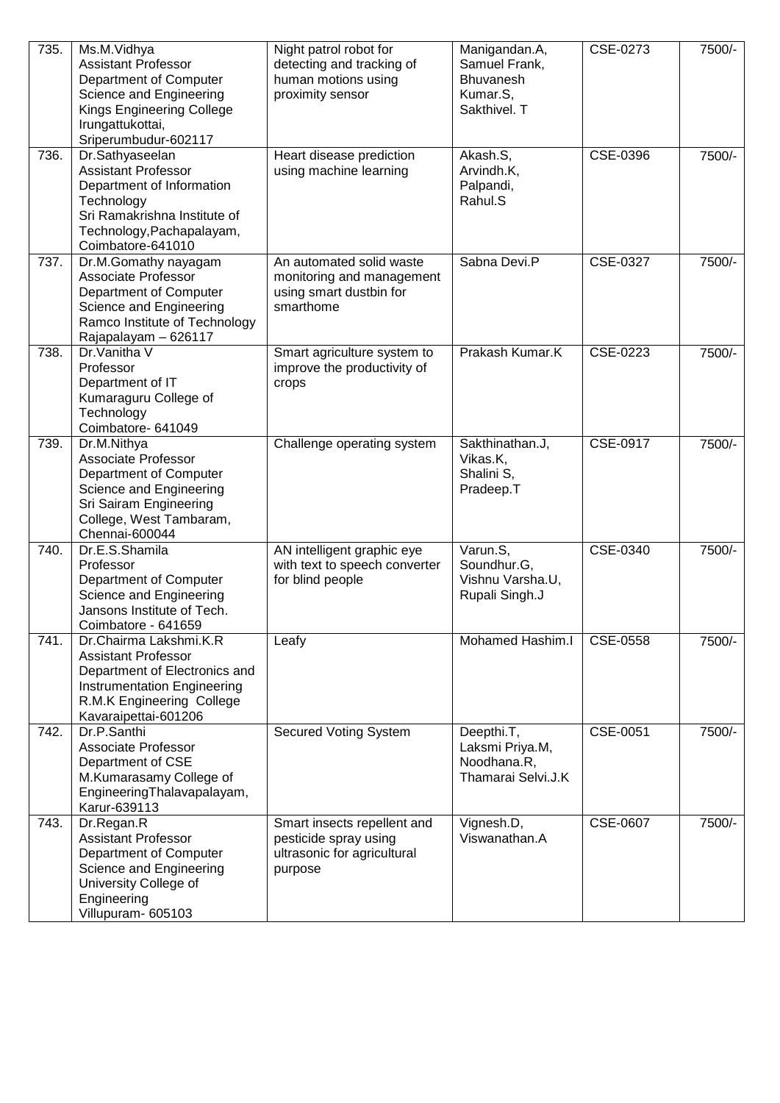| 735. | Ms.M.Vidhya<br><b>Assistant Professor</b><br>Department of Computer<br>Science and Engineering<br>Kings Engineering College<br>Irungattukottai,<br>Sriperumbudur-602117    | Night patrol robot for<br>detecting and tracking of<br>human motions using<br>proximity sensor | Manigandan.A,<br>Samuel Frank,<br>Bhuvanesh<br>Kumar.S,<br>Sakthivel. T | CSE-0273 | 7500/- |
|------|----------------------------------------------------------------------------------------------------------------------------------------------------------------------------|------------------------------------------------------------------------------------------------|-------------------------------------------------------------------------|----------|--------|
| 736. | Dr.Sathyaseelan<br><b>Assistant Professor</b><br>Department of Information<br>Technology<br>Sri Ramakrishna Institute of<br>Technology, Pachapalayam,<br>Coimbatore-641010 | Heart disease prediction<br>using machine learning                                             | Akash.S,<br>Arvindh.K,<br>Palpandi,<br>Rahul.S                          | CSE-0396 | 7500/- |
| 737. | Dr.M.Gomathy nayagam<br>Associate Professor<br>Department of Computer<br>Science and Engineering<br>Ramco Institute of Technology<br>Rajapalayam - 626117                  | An automated solid waste<br>monitoring and management<br>using smart dustbin for<br>smarthome  | Sabna Devi.P                                                            | CSE-0327 | 7500/- |
| 738. | Dr.Vanitha V<br>Professor<br>Department of IT<br>Kumaraguru College of<br>Technology<br>Coimbatore- 641049                                                                 | Smart agriculture system to<br>improve the productivity of<br>crops                            | Prakash Kumar.K                                                         | CSE-0223 | 7500/- |
| 739. | Dr.M.Nithya<br>Associate Professor<br>Department of Computer<br>Science and Engineering<br>Sri Sairam Engineering<br>College, West Tambaram,<br>Chennai-600044             | Challenge operating system                                                                     | Sakthinathan.J,<br>Vikas.K,<br>Shalini S,<br>Pradeep.T                  | CSE-0917 | 7500/- |
| 740. | Dr.E.S.Shamila<br>Professor<br>Department of Computer<br>Science and Engineering<br>Jansons Institute of Tech.<br>Coimbatore - 641659                                      | AN intelligent graphic eye<br>with text to speech converter<br>for blind people                | Varun.S,<br>Soundhur.G,<br>Vishnu Varsha.U,<br>Rupali Singh.J           | CSE-0340 | 7500/- |
| 741. | Dr.Chairma Lakshmi.K.R<br><b>Assistant Professor</b><br>Department of Electronics and<br>Instrumentation Engineering<br>R.M.K Engineering College<br>Kavaraipettai-601206  | Leafy                                                                                          | Mohamed Hashim.I                                                        | CSE-0558 | 7500/- |
| 742. | Dr.P.Santhi<br>Associate Professor<br>Department of CSE<br>M.Kumarasamy College of<br>EngineeringThalavapalayam,<br>Karur-639113                                           | <b>Secured Voting System</b>                                                                   | Deepthi.T,<br>Laksmi Priya.M,<br>Noodhana.R,<br>Thamarai Selvi.J.K      | CSE-0051 | 7500/- |
| 743. | Dr.Regan.R<br><b>Assistant Professor</b><br>Department of Computer<br>Science and Engineering<br>University College of<br>Engineering<br>Villupuram- 605103                | Smart insects repellent and<br>pesticide spray using<br>ultrasonic for agricultural<br>purpose | Vignesh.D,<br>Viswanathan.A                                             | CSE-0607 | 7500/- |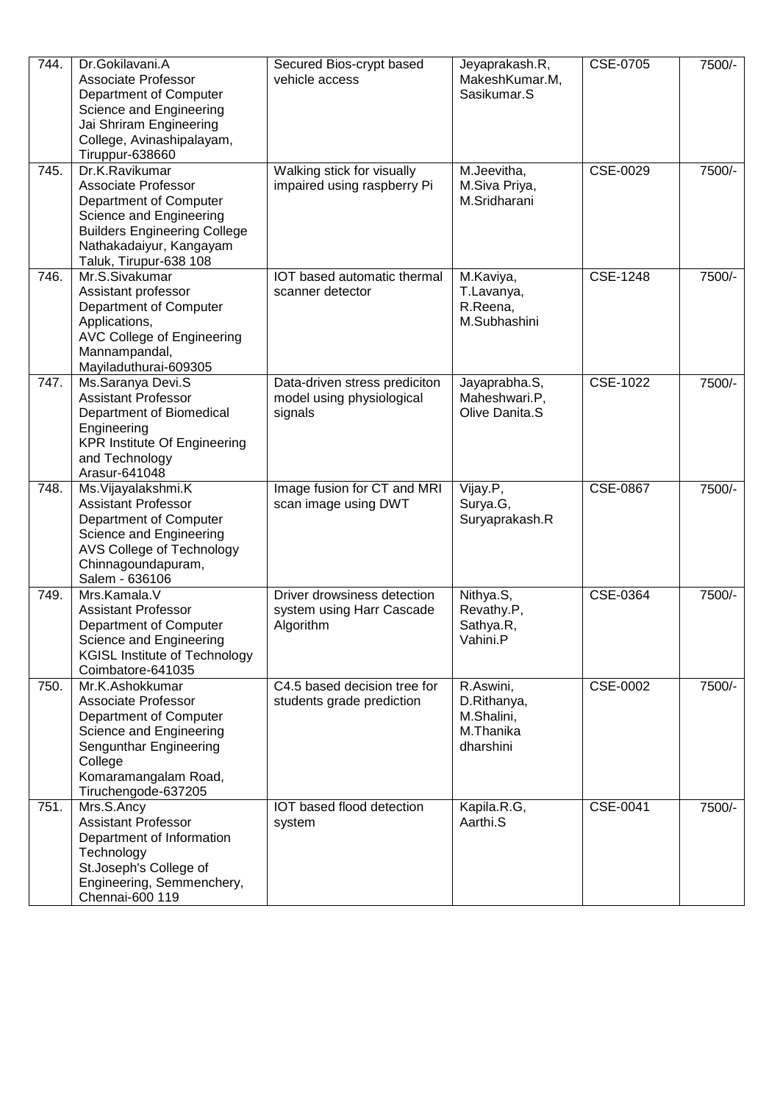| 744. | Dr.Gokilavani.A<br>Associate Professor<br>Department of Computer<br>Science and Engineering<br>Jai Shriram Engineering<br>College, Avinashipalayam,<br>Tiruppur-638660                        | Secured Bios-crypt based<br>vehicle access                            | Jeyaprakash.R,<br>MakeshKumar.M,<br>Sasikumar.S                  | CSE-0705        | 7500/- |
|------|-----------------------------------------------------------------------------------------------------------------------------------------------------------------------------------------------|-----------------------------------------------------------------------|------------------------------------------------------------------|-----------------|--------|
| 745. | Dr.K.Ravikumar<br><b>Associate Professor</b><br>Department of Computer<br>Science and Engineering<br><b>Builders Engineering College</b><br>Nathakadaiyur, Kangayam<br>Taluk, Tirupur-638 108 | Walking stick for visually<br>impaired using raspberry Pi             | M.Jeevitha,<br>M.Siva Priya,<br>M.Sridharani                     | CSE-0029        | 7500/- |
| 746. | Mr.S.Sivakumar<br>Assistant professor<br>Department of Computer<br>Applications,<br><b>AVC College of Engineering</b><br>Mannampandal,<br>Mayiladuthurai-609305                               | IOT based automatic thermal<br>scanner detector                       | M.Kaviya,<br>T.Lavanya,<br>R.Reena,<br>M.Subhashini              | CSE-1248        | 7500/- |
| 747. | Ms.Saranya Devi.S<br><b>Assistant Professor</b><br>Department of Biomedical<br>Engineering<br><b>KPR Institute Of Engineering</b><br>and Technology<br>Arasur-641048                          | Data-driven stress prediciton<br>model using physiological<br>signals | Jayaprabha.S,<br>Maheshwari.P,<br>Olive Danita.S                 | CSE-1022        | 7500/- |
| 748. | Ms. Vijayalakshmi. K<br><b>Assistant Professor</b><br>Department of Computer<br>Science and Engineering<br>AVS College of Technology<br>Chinnagoundapuram,<br>Salem - 636106                  | Image fusion for CT and MRI<br>scan image using DWT                   | Vijay.P,<br>Surya.G,<br>Suryaprakash.R                           | <b>CSE-0867</b> | 7500/- |
| 749. | Mrs.Kamala.V<br><b>Assistant Professor</b><br>Department of Computer<br>Science and Engineering<br><b>KGISL Institute of Technology</b><br>Coimbatore-641035                                  | Driver drowsiness detection<br>system using Harr Cascade<br>Algorithm | Nithya.S,<br>Revathy.P,<br>Sathya.R,<br>Vahini.P                 | CSE-0364        | 7500/- |
| 750. | Mr.K.Ashokkumar<br>Associate Professor<br>Department of Computer<br>Science and Engineering<br>Sengunthar Engineering<br>College<br>Komaramangalam Road,<br>Tiruchengode-637205               | C4.5 based decision tree for<br>students grade prediction             | R.Aswini,<br>D.Rithanya,<br>M.Shalini,<br>M.Thanika<br>dharshini | CSE-0002        | 7500/- |
| 751. | Mrs.S.Ancy<br><b>Assistant Professor</b><br>Department of Information<br>Technology<br>St.Joseph's College of<br>Engineering, Semmenchery,<br>Chennai-600 119                                 | IOT based flood detection<br>system                                   | Kapila.R.G,<br>Aarthi.S                                          | CSE-0041        | 7500/- |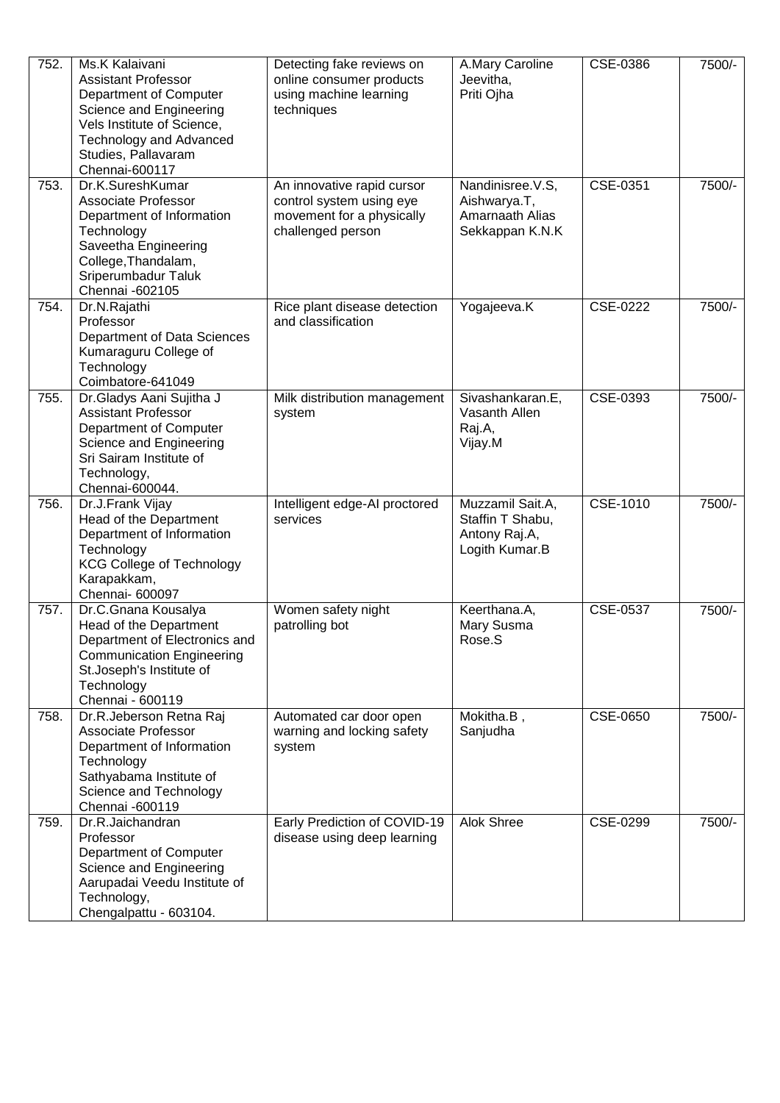| 752. | Ms.K Kalaivani<br><b>Assistant Professor</b><br>Department of Computer<br>Science and Engineering<br>Vels Institute of Science,<br><b>Technology and Advanced</b><br>Studies, Pallavaram<br>Chennai-600117 | Detecting fake reviews on<br>online consumer products<br>using machine learning<br>techniques            | A.Mary Caroline<br>Jeevitha,<br>Priti Ojha                              | CSE-0386 | 7500/- |
|------|------------------------------------------------------------------------------------------------------------------------------------------------------------------------------------------------------------|----------------------------------------------------------------------------------------------------------|-------------------------------------------------------------------------|----------|--------|
| 753. | Dr.K.SureshKumar<br>Associate Professor<br>Department of Information<br>Technology<br>Saveetha Engineering<br>College, Thandalam,<br>Sriperumbadur Taluk<br>Chennai -602105                                | An innovative rapid cursor<br>control system using eye<br>movement for a physically<br>challenged person | Nandinisree.V.S,<br>Aishwarya.T,<br>Amarnaath Alias<br>Sekkappan K.N.K  | CSE-0351 | 7500/- |
| 754. | Dr.N.Rajathi<br>Professor<br>Department of Data Sciences<br>Kumaraguru College of<br>Technology<br>Coimbatore-641049                                                                                       | Rice plant disease detection<br>and classification                                                       | Yogajeeva.K                                                             | CSE-0222 | 7500/- |
| 755. | Dr.Gladys Aani Sujitha J<br><b>Assistant Professor</b><br>Department of Computer<br>Science and Engineering<br>Sri Sairam Institute of<br>Technology,<br>Chennai-600044.                                   | Milk distribution management<br>system                                                                   | Sivashankaran.E,<br>Vasanth Allen<br>Raj.A,<br>Vijay.M                  | CSE-0393 | 7500/- |
| 756. | Dr.J.Frank Vijay<br>Head of the Department<br>Department of Information<br>Technology<br><b>KCG College of Technology</b><br>Karapakkam,<br>Chennai- 600097                                                | Intelligent edge-AI proctored<br>services                                                                | Muzzamil Sait.A,<br>Staffin T Shabu,<br>Antony Raj.A,<br>Logith Kumar.B | CSE-1010 | 7500/- |
| 757. | Dr.C.Gnana Kousalya<br>Head of the Department<br>Department of Electronics and<br><b>Communication Engineering</b><br>St.Joseph's Institute of<br>Technology<br>Chennai - 600119                           | Women safety night<br>patrolling bot                                                                     | Keerthana.A,<br>Mary Susma<br>Rose.S                                    | CSE-0537 | 7500/- |
| 758. | Dr.R.Jeberson Retna Raj<br>Associate Professor<br>Department of Information<br>Technology<br>Sathyabama Institute of<br>Science and Technology<br>Chennai -600119                                          | Automated car door open<br>warning and locking safety<br>system                                          | Mokitha.B,<br>Sanjudha                                                  | CSE-0650 | 7500/- |
| 759. | Dr.R.Jaichandran<br>Professor<br>Department of Computer<br>Science and Engineering<br>Aarupadai Veedu Institute of<br>Technology,<br>Chengalpattu - 603104.                                                | Early Prediction of COVID-19<br>disease using deep learning                                              | Alok Shree                                                              | CSE-0299 | 7500/- |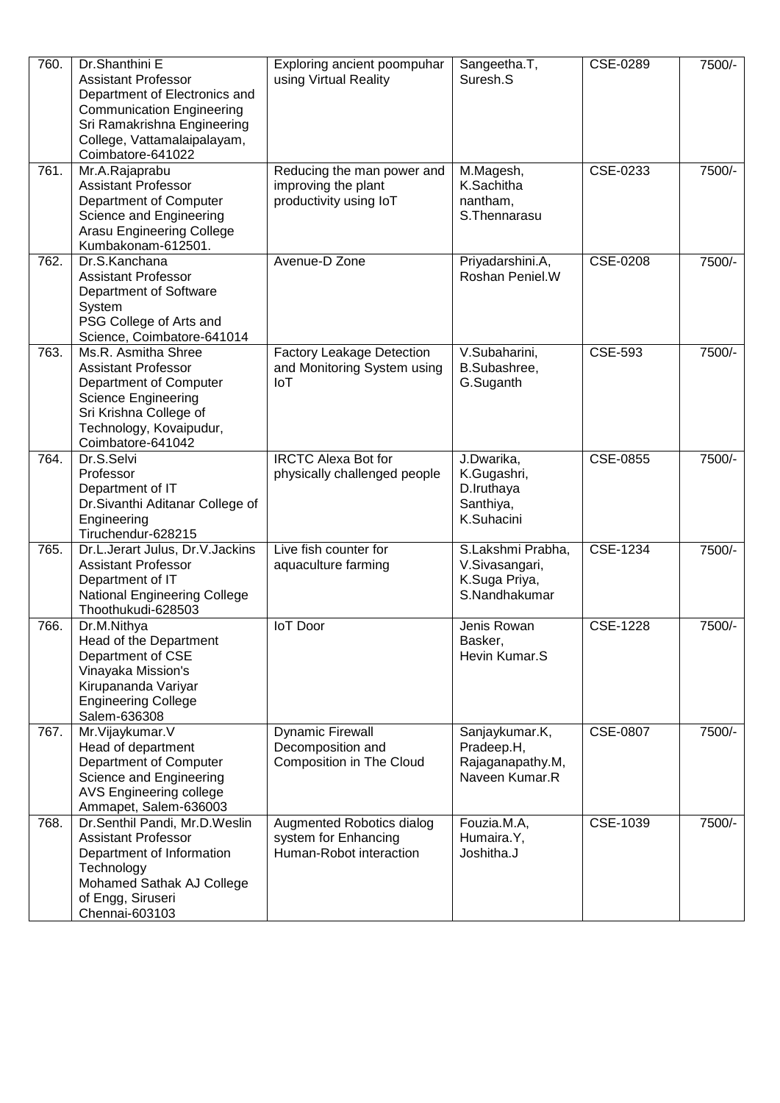| 760. | Dr.Shanthini E<br><b>Assistant Professor</b><br>Department of Electronics and<br><b>Communication Engineering</b><br>Sri Ramakrishna Engineering<br>College, Vattamalaipalayam,<br>Coimbatore-641022 | Exploring ancient poompuhar<br>using Virtual Reality                         | Sangeetha.T,<br>Suresh.S                                              | CSE-0289        | 7500/- |
|------|------------------------------------------------------------------------------------------------------------------------------------------------------------------------------------------------------|------------------------------------------------------------------------------|-----------------------------------------------------------------------|-----------------|--------|
| 761. | Mr.A.Rajaprabu<br><b>Assistant Professor</b><br>Department of Computer<br>Science and Engineering<br><b>Arasu Engineering College</b><br>Kumbakonam-612501.                                          | Reducing the man power and<br>improving the plant<br>productivity using IoT  | M.Magesh,<br>K.Sachitha<br>nantham,<br>S. Thennarasu                  | CSE-0233        | 7500/- |
| 762. | Dr.S.Kanchana<br><b>Assistant Professor</b><br>Department of Software<br>System<br>PSG College of Arts and<br>Science, Coimbatore-641014                                                             | Avenue-D Zone                                                                | Priyadarshini.A,<br>Roshan Peniel.W                                   | CSE-0208        | 7500/- |
| 763. | Ms.R. Asmitha Shree<br><b>Assistant Professor</b><br>Department of Computer<br><b>Science Engineering</b><br>Sri Krishna College of<br>Technology, Kovaipudur,<br>Coimbatore-641042                  | <b>Factory Leakage Detection</b><br>and Monitoring System using<br>IoT       | V.Subaharini,<br>B.Subashree,<br>G.Suganth                            | CSE-593         | 7500/- |
| 764. | Dr.S.Selvi<br>Professor<br>Department of IT<br>Dr.Sivanthi Aditanar College of<br>Engineering<br>Tiruchendur-628215                                                                                  | <b>IRCTC Alexa Bot for</b><br>physically challenged people                   | J.Dwarika,<br>K.Gugashri,<br>D.Iruthaya<br>Santhiya,<br>K.Suhacini    | CSE-0855        | 7500/- |
| 765. | Dr.L.Jerart Julus, Dr.V.Jackins<br><b>Assistant Professor</b><br>Department of IT<br>National Engineering College<br>Thoothukudi-628503                                                              | Live fish counter for<br>aquaculture farming                                 | S.Lakshmi Prabha,<br>V.Sivasangari,<br>K.Suga Priya,<br>S.Nandhakumar | CSE-1234        | 7500/- |
| 766. | Dr.M.Nithya<br>Head of the Department<br>Department of CSE<br>Vinayaka Mission's<br>Kirupananda Variyar<br><b>Engineering College</b><br>Salem-636308                                                | loT Door                                                                     | Jenis Rowan<br>Basker,<br>Hevin Kumar.S                               | <b>CSE-1228</b> | 7500/- |
| 767. | Mr. Vijaykumar. V<br>Head of department<br>Department of Computer<br>Science and Engineering<br>AVS Engineering college<br>Ammapet, Salem-636003                                                     | <b>Dynamic Firewall</b><br>Decomposition and<br>Composition in The Cloud     | Sanjaykumar.K,<br>Pradeep.H,<br>Rajaganapathy.M,<br>Naveen Kumar.R    | <b>CSE-0807</b> | 7500/- |
| 768. | Dr.Senthil Pandi, Mr.D.Weslin<br><b>Assistant Professor</b><br>Department of Information<br>Technology<br>Mohamed Sathak AJ College<br>of Engg, Siruseri<br>Chennai-603103                           | Augmented Robotics dialog<br>system for Enhancing<br>Human-Robot interaction | Fouzia.M.A,<br>Humaira.Y,<br>Joshitha.J                               | CSE-1039        | 7500/- |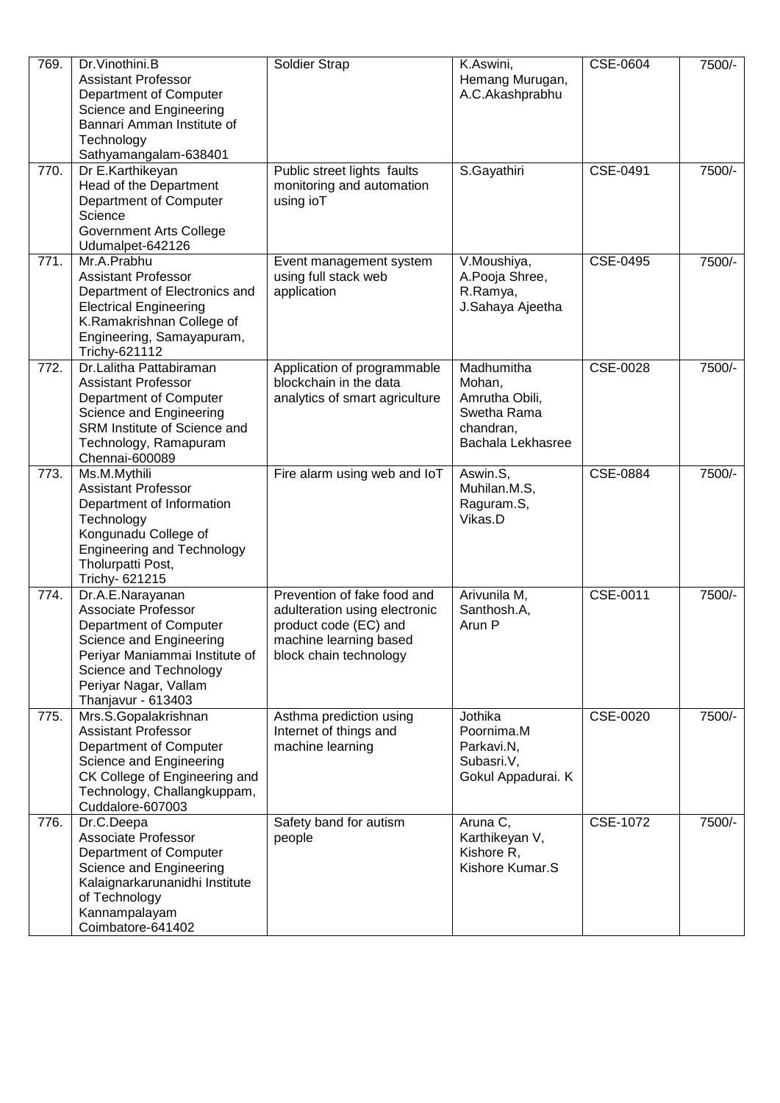| 769. | Dr. Vinothini. B<br><b>Assistant Professor</b><br>Department of Computer<br>Science and Engineering<br>Bannari Amman Institute of<br>Technology<br>Sathyamangalam-638401                                | Soldier Strap                                                                                                                             | K.Aswini,<br>Hemang Murugan,<br>A.C.Akashprabhu                                         | CSE-0604 | 7500/- |
|------|---------------------------------------------------------------------------------------------------------------------------------------------------------------------------------------------------------|-------------------------------------------------------------------------------------------------------------------------------------------|-----------------------------------------------------------------------------------------|----------|--------|
| 770. | Dr E.Karthikeyan<br>Head of the Department<br>Department of Computer<br>Science<br><b>Government Arts College</b><br>Udumalpet-642126                                                                   | Public street lights faults<br>monitoring and automation<br>using ioT                                                                     | S.Gayathiri                                                                             | CSE-0491 | 7500/- |
| 771. | Mr.A.Prabhu<br><b>Assistant Professor</b><br>Department of Electronics and<br><b>Electrical Engineering</b><br>K.Ramakrishnan College of<br>Engineering, Samayapuram,<br>Trichy-621112                  | Event management system<br>using full stack web<br>application                                                                            | V.Moushiya,<br>A.Pooja Shree,<br>R.Ramya,<br>J.Sahaya Ajeetha                           | CSE-0495 | 7500/- |
| 772. | Dr.Lalitha Pattabiraman<br><b>Assistant Professor</b><br>Department of Computer<br>Science and Engineering<br>SRM Institute of Science and<br>Technology, Ramapuram<br>Chennai-600089                   | Application of programmable<br>blockchain in the data<br>analytics of smart agriculture                                                   | Madhumitha<br>Mohan,<br>Amrutha Obili,<br>Swetha Rama<br>chandran,<br>Bachala Lekhasree | CSE-0028 | 7500/- |
| 773. | Ms.M.Mythili<br><b>Assistant Professor</b><br>Department of Information<br>Technology<br>Kongunadu College of<br><b>Engineering and Technology</b><br>Tholurpatti Post,<br>Trichy- 621215               | Fire alarm using web and IoT                                                                                                              | Aswin.S,<br>Muhilan.M.S,<br>Raguram.S,<br>Vikas.D                                       | CSE-0884 | 7500/- |
| 774. | Dr.A.E.Narayanan<br>Associate Professor<br>Department of Computer<br>Science and Engineering<br>Periyar Maniammai Institute of<br>Science and Technology<br>Periyar Nagar, Vallam<br>Thanjavur - 613403 | Prevention of fake food and<br>adulteration using electronic<br>product code (EC) and<br>machine learning based<br>block chain technology | Arivunila M,<br>Santhosh.A,<br>Arun P                                                   | CSE-0011 | 7500/- |
| 775. | Mrs.S.Gopalakrishnan<br><b>Assistant Professor</b><br>Department of Computer<br>Science and Engineering<br>CK College of Engineering and<br>Technology, Challangkuppam,<br>Cuddalore-607003             | Asthma prediction using<br>Internet of things and<br>machine learning                                                                     | Jothika<br>Poornima.M<br>Parkavi.N,<br>Subasri.V,<br>Gokul Appadurai. K                 | CSE-0020 | 7500/- |
| 776. | Dr.C.Deepa<br><b>Associate Professor</b><br>Department of Computer<br>Science and Engineering<br>Kalaignarkarunanidhi Institute<br>of Technology<br>Kannampalayam<br>Coimbatore-641402                  | Safety band for autism<br>people                                                                                                          | Aruna C,<br>Karthikeyan V,<br>Kishore R,<br>Kishore Kumar.S                             | CSE-1072 | 7500/- |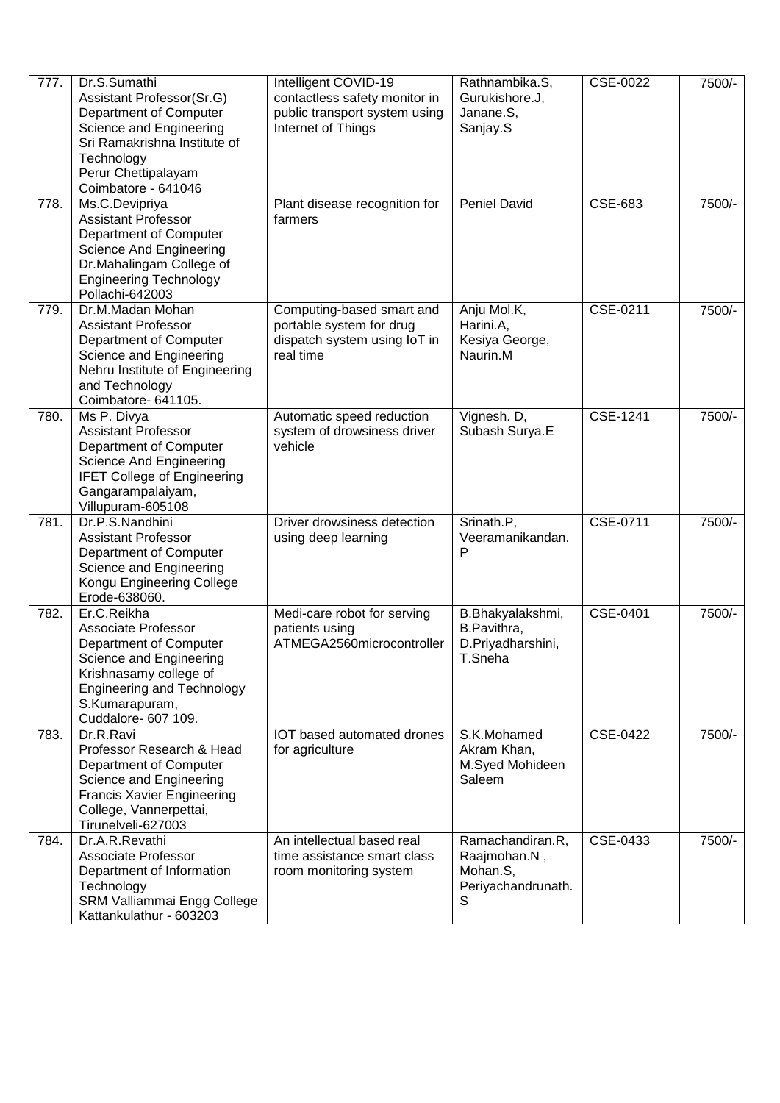| 777. | Dr.S.Sumathi<br>Assistant Professor(Sr.G)<br>Department of Computer<br>Science and Engineering<br>Sri Ramakrishna Institute of<br>Technology<br>Perur Chettipalayam<br>Coimbatore - 641046      | Intelligent COVID-19<br>contactless safety monitor in<br>public transport system using<br>Internet of Things | Rathnambika.S,<br>Gurukishore.J,<br>Janane.S,<br>Sanjay.S               | CSE-0022       | 7500/- |
|------|-------------------------------------------------------------------------------------------------------------------------------------------------------------------------------------------------|--------------------------------------------------------------------------------------------------------------|-------------------------------------------------------------------------|----------------|--------|
| 778. | Ms.C.Devipriya<br><b>Assistant Professor</b><br>Department of Computer<br>Science And Engineering<br>Dr.Mahalingam College of<br><b>Engineering Technology</b><br>Pollachi-642003               | Plant disease recognition for<br>farmers                                                                     | <b>Peniel David</b>                                                     | <b>CSE-683</b> | 7500/- |
| 779. | Dr.M.Madan Mohan<br><b>Assistant Professor</b><br>Department of Computer<br>Science and Engineering<br>Nehru Institute of Engineering<br>and Technology<br>Coimbatore- 641105.                  | Computing-based smart and<br>portable system for drug<br>dispatch system using IoT in<br>real time           | Anju Mol.K,<br>Harini.A,<br>Kesiya George,<br>Naurin.M                  | CSE-0211       | 7500/- |
| 780. | Ms P. Divya<br><b>Assistant Professor</b><br>Department of Computer<br>Science And Engineering<br><b>IFET College of Engineering</b><br>Gangarampalaiyam,<br>Villupuram-605108                  | Automatic speed reduction<br>system of drowsiness driver<br>vehicle                                          | Vignesh. D,<br>Subash Surya.E                                           | CSE-1241       | 7500/- |
| 781. | Dr.P.S.Nandhini<br><b>Assistant Professor</b><br>Department of Computer<br>Science and Engineering<br>Kongu Engineering College<br>Erode-638060.                                                | Driver drowsiness detection<br>using deep learning                                                           | Srinath.P,<br>Veeramanikandan.<br>P                                     | CSE-0711       | 7500/- |
| 782. | Er.C.Reikha<br>Associate Professor<br>Department of Computer<br>Science and Engineering<br>Krishnasamy college of<br><b>Engineering and Technology</b><br>S.Kumarapuram,<br>Cuddalore- 607 109. | Medi-care robot for serving<br>patients using<br>ATMEGA2560microcontroller                                   | B.Bhakyalakshmi,<br>B.Pavithra,<br>D.Priyadharshini,<br>T.Sneha         | CSE-0401       | 7500/- |
| 783. | Dr.R.Ravi<br>Professor Research & Head<br>Department of Computer<br>Science and Engineering<br><b>Francis Xavier Engineering</b><br>College, Vannerpettai,<br>Tirunelveli-627003                | IOT based automated drones<br>for agriculture                                                                | S.K.Mohamed<br>Akram Khan,<br>M.Syed Mohideen<br>Saleem                 | CSE-0422       | 7500/- |
| 784. | Dr.A.R.Revathi<br>Associate Professor<br>Department of Information<br>Technology<br>SRM Valliammai Engg College<br>Kattankulathur - 603203                                                      | An intellectual based real<br>time assistance smart class<br>room monitoring system                          | Ramachandiran.R,<br>Raajmohan.N,<br>Mohan.S,<br>Periyachandrunath.<br>S | CSE-0433       | 7500/- |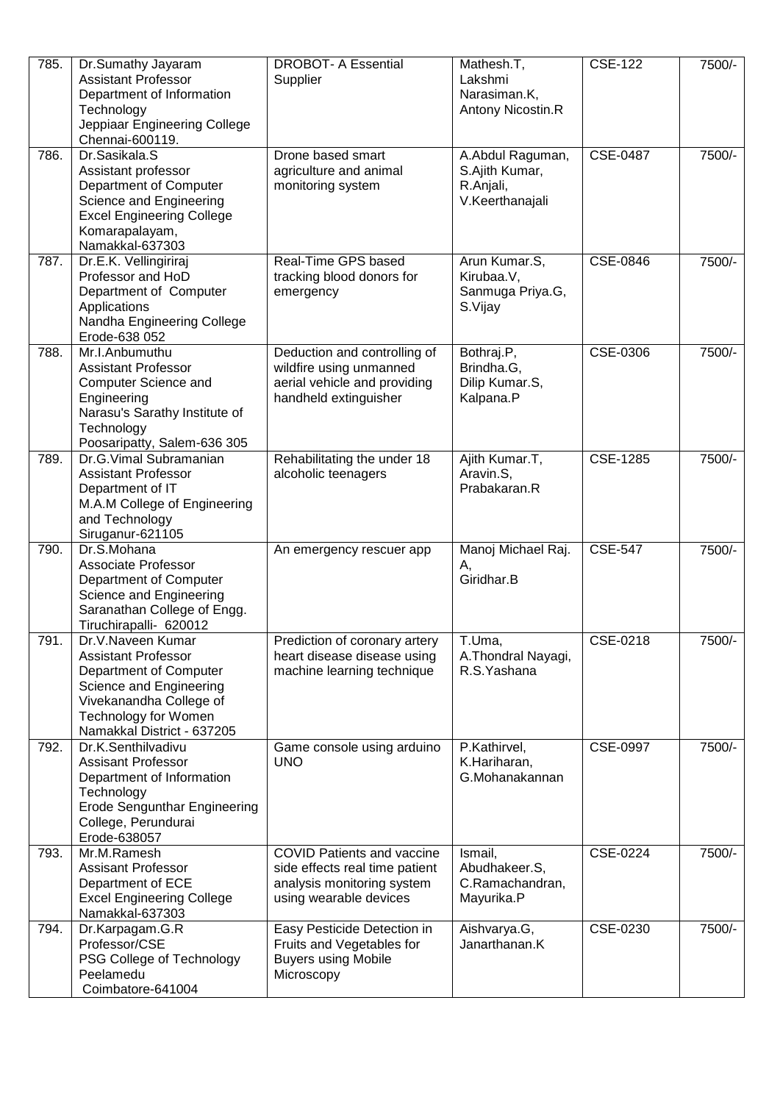| 785. | Dr.Sumathy Jayaram<br><b>Assistant Professor</b><br>Department of Information<br>Technology<br>Jeppiaar Engineering College<br>Chennai-600119.                                               | <b>DROBOT- A Essential</b><br>Supplier                                                                                      | Mathesh.T,<br>Lakshmi<br>Narasiman.K,<br>Antony Nicostin.R         | <b>CSE-122</b>  | 7500/- |
|------|----------------------------------------------------------------------------------------------------------------------------------------------------------------------------------------------|-----------------------------------------------------------------------------------------------------------------------------|--------------------------------------------------------------------|-----------------|--------|
| 786. | Dr.Sasikala.S<br>Assistant professor<br>Department of Computer<br>Science and Engineering<br><b>Excel Engineering College</b><br>Komarapalayam,<br>Namakkal-637303                           | Drone based smart<br>agriculture and animal<br>monitoring system                                                            | A.Abdul Raguman,<br>S.Ajith Kumar,<br>R.Anjali,<br>V.Keerthanajali | <b>CSE-0487</b> | 7500/- |
| 787. | Dr.E.K. Vellingiriraj<br>Professor and HoD<br>Department of Computer<br>Applications<br>Nandha Engineering College<br>Erode-638 052                                                          | Real-Time GPS based<br>tracking blood donors for<br>emergency                                                               | Arun Kumar.S,<br>Kirubaa.V,<br>Sanmuga Priya.G,<br>S.Vijay         | CSE-0846        | 7500/- |
| 788. | Mr.I.Anbumuthu<br><b>Assistant Professor</b><br><b>Computer Science and</b><br>Engineering<br>Narasu's Sarathy Institute of<br>Technology<br>Poosaripatty, Salem-636 305                     | Deduction and controlling of<br>wildfire using unmanned<br>aerial vehicle and providing<br>handheld extinguisher            | Bothraj.P,<br>Brindha.G,<br>Dilip Kumar.S,<br>Kalpana.P            | CSE-0306        | 7500/- |
| 789. | Dr.G.Vimal Subramanian<br><b>Assistant Professor</b><br>Department of IT<br>M.A.M College of Engineering<br>and Technology<br>Siruganur-621105                                               | Rehabilitating the under 18<br>alcoholic teenagers                                                                          | Ajith Kumar.T,<br>Aravin.S,<br>Prabakaran.R                        | CSE-1285        | 7500/- |
| 790. | Dr.S.Mohana<br><b>Associate Professor</b><br>Department of Computer<br>Science and Engineering<br>Saranathan College of Engg.<br>Tiruchirapalli- 620012                                      | An emergency rescuer app                                                                                                    | Manoj Michael Raj.<br>А,<br>Giridhar.B                             | <b>CSE-547</b>  | 7500/- |
| 791  | Dr.V.Naveen Kumar<br><b>Assistant Professor</b><br>Department of Computer<br>Science and Engineering<br>Vivekanandha College of<br><b>Technology for Women</b><br>Namakkal District - 637205 | Prediction of coronary artery<br>heart disease disease using<br>machine learning technique                                  | T.Uma,<br>A. Thondral Nayagi,<br>R.S.Yashana                       | CSE-0218        | 7500/- |
| 792. | Dr.K.Senthilvadivu<br><b>Assisant Professor</b><br>Department of Information<br>Technology<br><b>Erode Sengunthar Engineering</b><br>College, Perundurai<br>Erode-638057                     | Game console using arduino<br><b>UNO</b>                                                                                    | P.Kathirvel,<br>K.Hariharan,<br>G.Mohanakannan                     | CSE-0997        | 7500/- |
| 793. | Mr.M.Ramesh<br><b>Assisant Professor</b><br>Department of ECE<br><b>Excel Engineering College</b><br>Namakkal-637303                                                                         | <b>COVID Patients and vaccine</b><br>side effects real time patient<br>analysis monitoring system<br>using wearable devices | Ismail,<br>Abudhakeer.S,<br>C.Ramachandran,<br>Mayurika.P          | CSE-0224        | 7500/- |
| 794. | Dr.Karpagam.G.R<br>Professor/CSE<br>PSG College of Technology<br>Peelamedu<br>Coimbatore-641004                                                                                              | Easy Pesticide Detection in<br>Fruits and Vegetables for<br><b>Buyers using Mobile</b><br>Microscopy                        | Aishvarya.G,<br>Janarthanan.K                                      | CSE-0230        | 7500/- |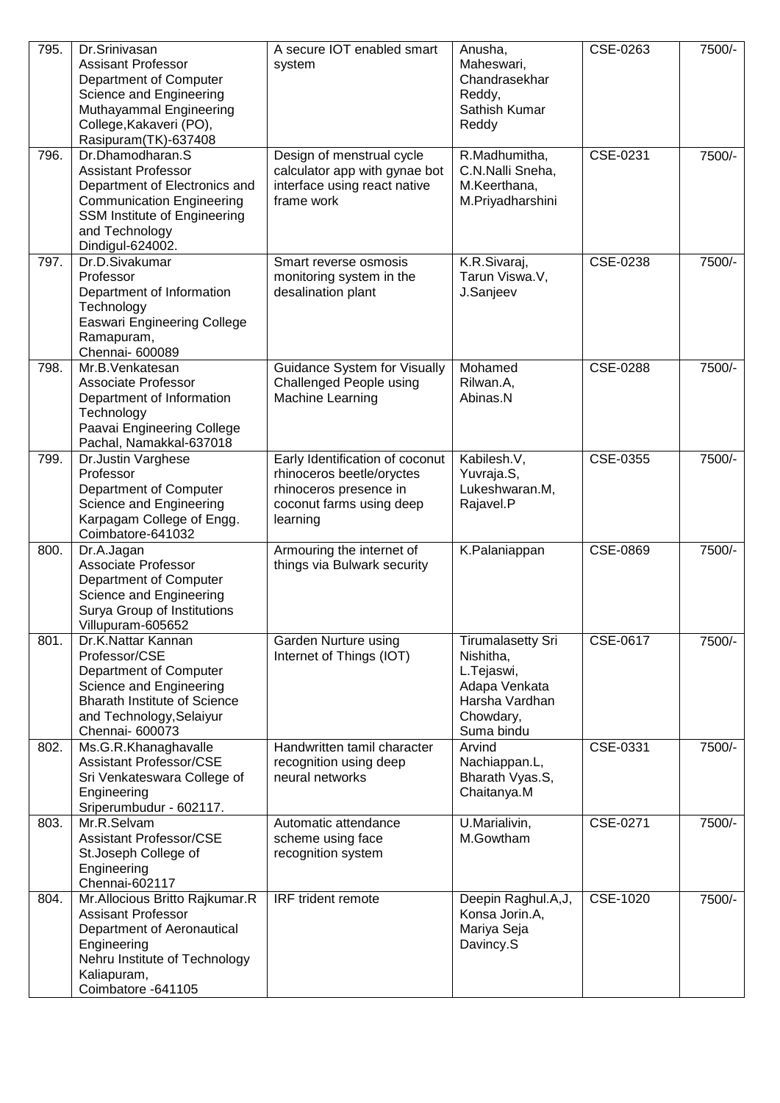| 795. | Dr.Srinivasan<br><b>Assisant Professor</b><br>Department of Computer<br>Science and Engineering<br>Muthayammal Engineering<br>College, Kakaveri (PO),<br>Rasipuram(TK)-637408             | A secure IOT enabled smart<br>system                                                                                           | Anusha,<br>Maheswari,<br>Chandrasekhar<br>Reddy,<br>Sathish Kumar<br>Reddy                                        | CSE-0263 | 7500/- |
|------|-------------------------------------------------------------------------------------------------------------------------------------------------------------------------------------------|--------------------------------------------------------------------------------------------------------------------------------|-------------------------------------------------------------------------------------------------------------------|----------|--------|
| 796. | Dr.Dhamodharan.S<br><b>Assistant Professor</b><br>Department of Electronics and<br><b>Communication Engineering</b><br>SSM Institute of Engineering<br>and Technology<br>Dindigul-624002. | Design of menstrual cycle<br>calculator app with gynae bot<br>interface using react native<br>frame work                       | R.Madhumitha,<br>C.N.Nalli Sneha,<br>M.Keerthana,<br>M.Priyadharshini                                             | CSE-0231 | 7500/- |
| 797. | Dr.D.Sivakumar<br>Professor<br>Department of Information<br>Technology<br><b>Easwari Engineering College</b><br>Ramapuram,<br>Chennai- 600089                                             | Smart reverse osmosis<br>monitoring system in the<br>desalination plant                                                        | K.R.Sivaraj,<br>Tarun Viswa.V,<br>J.Sanjeev                                                                       | CSE-0238 | 7500/- |
| 798. | Mr.B.Venkatesan<br><b>Associate Professor</b><br>Department of Information<br>Technology<br>Paavai Engineering College<br>Pachal, Namakkal-637018                                         | Guidance System for Visually<br>Challenged People using<br>Machine Learning                                                    | Mohamed<br>Rilwan.A,<br>Abinas.N                                                                                  | CSE-0288 | 7500/- |
| 799. | Dr.Justin Varghese<br>Professor<br>Department of Computer<br>Science and Engineering<br>Karpagam College of Engg.<br>Coimbatore-641032                                                    | Early Identification of coconut<br>rhinoceros beetle/oryctes<br>rhinoceros presence in<br>coconut farms using deep<br>learning | Kabilesh.V,<br>Yuvraja.S,<br>Lukeshwaran.M,<br>Rajavel.P                                                          | CSE-0355 | 7500/- |
| 800. | Dr.A.Jagan<br>Associate Professor<br>Department of Computer<br>Science and Engineering<br>Surya Group of Institutions<br>Villupuram-605652                                                | Armouring the internet of<br>things via Bulwark security                                                                       | K.Palaniappan                                                                                                     | CSE-0869 | 7500/- |
| 801. | Dr.K.Nattar Kannan<br>Professor/CSE<br>Department of Computer<br>Science and Engineering<br><b>Bharath Institute of Science</b><br>and Technology, Selaiyur<br>Chennai- 600073            | Garden Nurture using<br>Internet of Things (IOT)                                                                               | <b>Tirumalasetty Sri</b><br>Nishitha,<br>L.Tejaswi,<br>Adapa Venkata<br>Harsha Vardhan<br>Chowdary,<br>Suma bindu | CSE-0617 | 7500/- |
| 802. | Ms.G.R.Khanaghavalle<br><b>Assistant Professor/CSE</b><br>Sri Venkateswara College of<br>Engineering<br>Sriperumbudur - 602117.                                                           | Handwritten tamil character<br>recognition using deep<br>neural networks                                                       | Arvind<br>Nachiappan.L,<br>Bharath Vyas.S,<br>Chaitanya.M                                                         | CSE-0331 | 7500/- |
| 803. | Mr.R.Selvam<br><b>Assistant Professor/CSE</b><br>St.Joseph College of<br>Engineering<br>Chennai-602117                                                                                    | Automatic attendance<br>scheme using face<br>recognition system                                                                | U.Marialivin,<br>M.Gowtham                                                                                        | CSE-0271 | 7500/- |
| 804. | Mr.Allocious Britto Rajkumar.R<br><b>Assisant Professor</b><br>Department of Aeronautical<br>Engineering<br>Nehru Institute of Technology<br>Kaliapuram,<br>Coimbatore -641105            | IRF trident remote                                                                                                             | Deepin Raghul.A,J,<br>Konsa Jorin.A,<br>Mariya Seja<br>Davincy.S                                                  | CSE-1020 | 7500/- |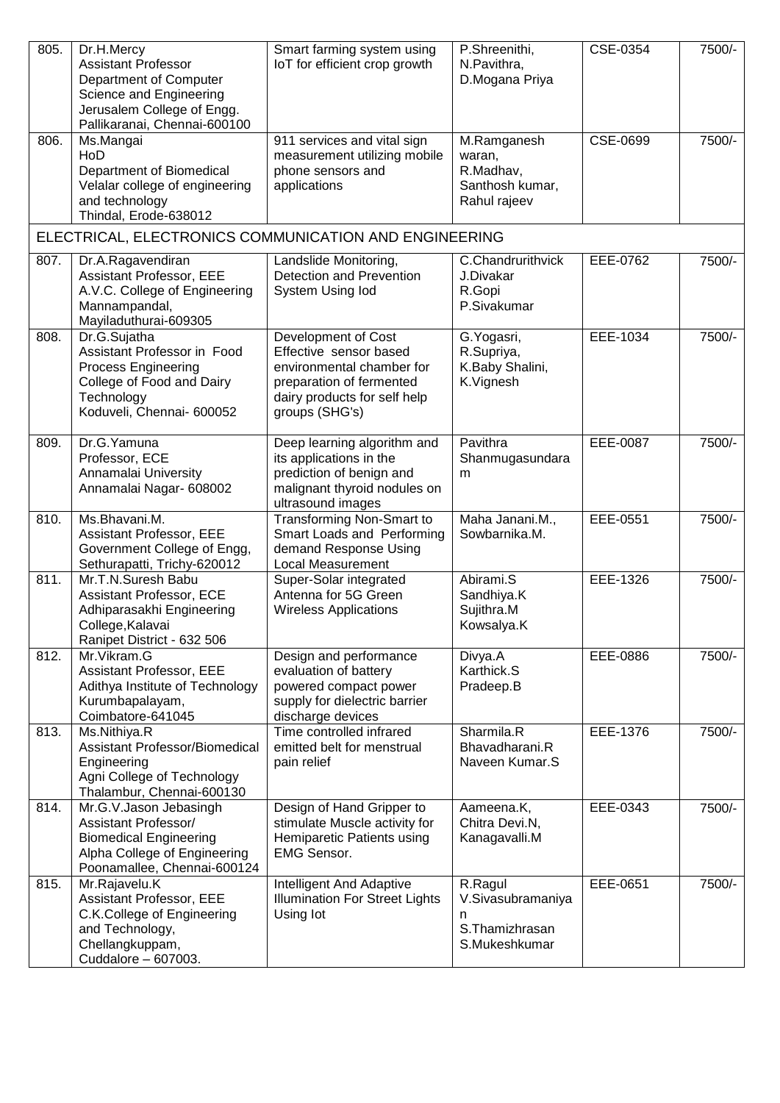| 805. | Dr.H.Mercy<br><b>Assistant Professor</b><br>Department of Computer<br>Science and Engineering<br>Jerusalem College of Engg.<br>Pallikaranai, Chennai-600100 | Smart farming system using<br>IoT for efficient crop growth                                                                                              | P.Shreenithi,<br>N.Pavithra,<br>D.Mogana Priya                        | CSE-0354 | 7500/- |
|------|-------------------------------------------------------------------------------------------------------------------------------------------------------------|----------------------------------------------------------------------------------------------------------------------------------------------------------|-----------------------------------------------------------------------|----------|--------|
| 806. | Ms.Mangai<br>HoD<br>Department of Biomedical<br>Velalar college of engineering<br>and technology<br>Thindal, Erode-638012                                   | 911 services and vital sign<br>measurement utilizing mobile<br>phone sensors and<br>applications                                                         | M.Ramganesh<br>waran,<br>R.Madhav,<br>Santhosh kumar,<br>Rahul rajeev | CSE-0699 | 7500/- |
|      | ELECTRICAL, ELECTRONICS COMMUNICATION AND ENGINEERING                                                                                                       |                                                                                                                                                          |                                                                       |          |        |
| 807. | Dr.A.Ragavendiran<br>Assistant Professor, EEE<br>A.V.C. College of Engineering<br>Mannampandal,<br>Mayiladuthurai-609305                                    | Landslide Monitoring,<br>Detection and Prevention<br>System Using lod                                                                                    | C.Chandrurithvick<br>J.Divakar<br>R.Gopi<br>P.Sivakumar               | EEE-0762 | 7500/- |
| 808. | Dr.G.Sujatha<br>Assistant Professor in Food<br><b>Process Engineering</b><br>College of Food and Dairy<br>Technology<br>Koduveli, Chennai- 600052           | Development of Cost<br>Effective sensor based<br>environmental chamber for<br>preparation of fermented<br>dairy products for self help<br>groups (SHG's) | G. Yogasri,<br>R.Supriya,<br>K.Baby Shalini,<br>K.Vignesh             | EEE-1034 | 7500/- |
| 809. | Dr.G. Yamuna<br>Professor, ECE<br>Annamalai University<br>Annamalai Nagar- 608002                                                                           | Deep learning algorithm and<br>its applications in the<br>prediction of benign and<br>malignant thyroid nodules on<br>ultrasound images                  | Pavithra<br>Shanmugasundara<br>m                                      | EEE-0087 | 7500/- |
| 810. | Ms.Bhavani.M.<br>Assistant Professor, EEE<br>Government College of Engg,<br>Sethurapatti, Trichy-620012                                                     | <b>Transforming Non-Smart to</b><br>Smart Loads and Performing<br>demand Response Using<br>Local Measurement                                             | Maha Janani.M.,<br>Sowbarnika.M.                                      | EEE-0551 | 7500/- |
| 811. | Mr.T.N.Suresh Babu<br>Assistant Professor, ECE<br>Adhiparasakhi Engineering<br>College, Kalavai<br>Ranipet District - 632 506                               | Super-Solar integrated<br>Antenna for 5G Green<br><b>Wireless Applications</b>                                                                           | Abirami.S<br>Sandhiya.K<br>Sujithra.M<br>Kowsalya.K                   | EEE-1326 | 7500/- |
| 812. | Mr. Vikram. G<br>Assistant Professor, EEE<br>Adithya Institute of Technology<br>Kurumbapalayam,<br>Coimbatore-641045                                        | Design and performance<br>evaluation of battery<br>powered compact power<br>supply for dielectric barrier<br>discharge devices                           | Divya.A<br>Karthick.S<br>Pradeep.B                                    | EEE-0886 | 7500/- |
| 813. | Ms.Nithiya.R<br>Assistant Professor/Biomedical<br>Engineering<br>Agni College of Technology<br>Thalambur, Chennai-600130                                    | Time controlled infrared<br>emitted belt for menstrual<br>pain relief                                                                                    | Sharmila.R<br>Bhavadharani.R<br>Naveen Kumar.S                        | EEE-1376 | 7500/- |
| 814. | Mr.G.V.Jason Jebasingh<br>Assistant Professor/<br><b>Biomedical Engineering</b><br>Alpha College of Engineering<br>Poonamallee, Chennai-600124              | Design of Hand Gripper to<br>stimulate Muscle activity for<br>Hemiparetic Patients using<br><b>EMG Sensor.</b>                                           | Aameena.K,<br>Chitra Devi.N,<br>Kanagavalli.M                         | EEE-0343 | 7500/- |
| 815. | Mr.Rajavelu.K<br>Assistant Professor, EEE<br>C.K.College of Engineering<br>and Technology,<br>Chellangkuppam,<br>Cuddalore - 607003.                        | Intelligent And Adaptive<br><b>Illumination For Street Lights</b><br>Using lot                                                                           | R.Ragul<br>V.Sivasubramaniya<br>n<br>S. Thamizhrasan<br>S.Mukeshkumar | EEE-0651 | 7500/- |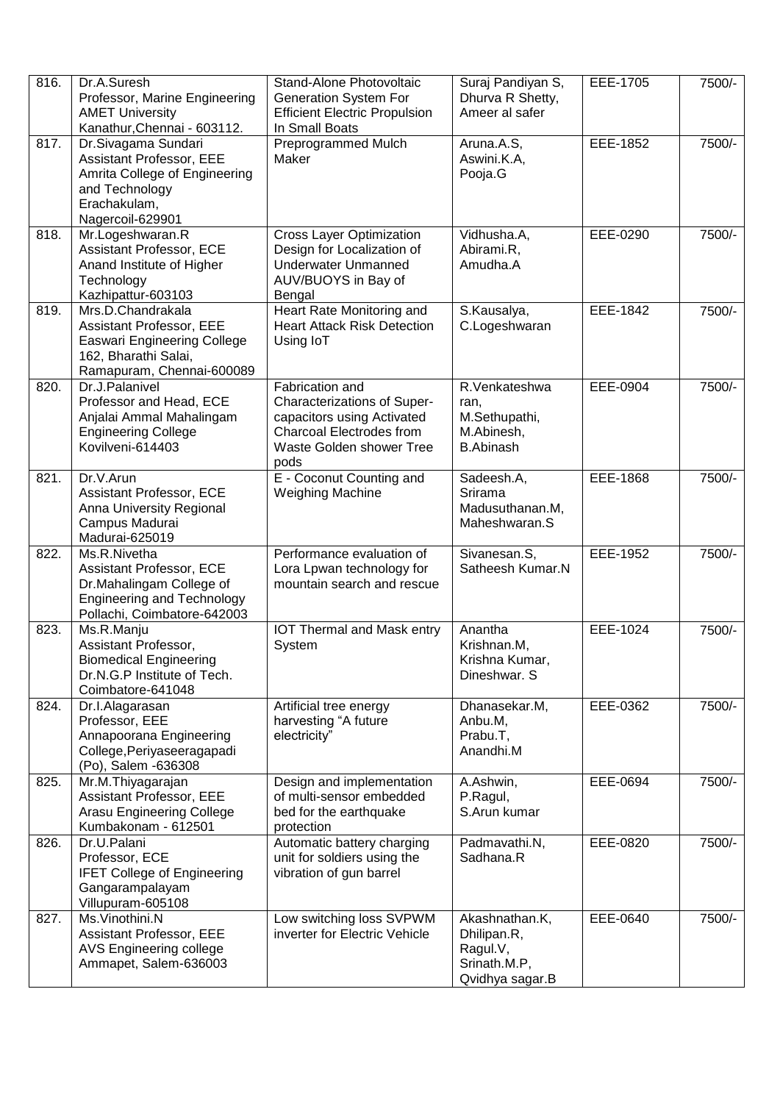| 816. | Dr.A.Suresh<br>Professor, Marine Engineering<br><b>AMET University</b><br>Kanathur, Chennai - 603112.                                    | Stand-Alone Photovoltaic<br><b>Generation System For</b><br><b>Efficient Electric Propulsion</b><br>In Small Boats                                  | Suraj Pandiyan S,<br>Dhurva R Shetty,<br>Ameer al safer                      | EEE-1705 | 7500/- |
|------|------------------------------------------------------------------------------------------------------------------------------------------|-----------------------------------------------------------------------------------------------------------------------------------------------------|------------------------------------------------------------------------------|----------|--------|
| 817. | Dr.Sivagama Sundari<br>Assistant Professor, EEE<br>Amrita College of Engineering<br>and Technology<br>Erachakulam,<br>Nagercoil-629901   | Preprogrammed Mulch<br>Maker                                                                                                                        | Aruna.A.S,<br>Aswini.K.A,<br>Pooja.G                                         | EEE-1852 | 7500/- |
| 818. | Mr.Logeshwaran.R<br>Assistant Professor, ECE<br>Anand Institute of Higher<br>Technology<br>Kazhipattur-603103                            | <b>Cross Layer Optimization</b><br>Design for Localization of<br><b>Underwater Unmanned</b><br>AUV/BUOYS in Bay of<br>Bengal                        | Vidhusha.A,<br>Abirami.R,<br>Amudha.A                                        | EEE-0290 | 7500/- |
| 819. | Mrs.D.Chandrakala<br>Assistant Professor, EEE<br><b>Easwari Engineering College</b><br>162, Bharathi Salai,<br>Ramapuram, Chennai-600089 | Heart Rate Monitoring and<br><b>Heart Attack Risk Detection</b><br>Using IoT                                                                        | S.Kausalya,<br>C.Logeshwaran                                                 | EEE-1842 | 7500/- |
| 820. | Dr.J.Palanivel<br>Professor and Head, ECE<br>Anjalai Ammal Mahalingam<br><b>Engineering College</b><br>Kovilveni-614403                  | Fabrication and<br>Characterizations of Super-<br>capacitors using Activated<br><b>Charcoal Electrodes from</b><br>Waste Golden shower Tree<br>pods | R.Venkateshwa<br>ran,<br>M.Sethupathi,<br>M.Abinesh,<br><b>B.Abinash</b>     | EEE-0904 | 7500/- |
| 821. | Dr.V.Arun<br>Assistant Professor, ECE<br>Anna University Regional<br>Campus Madurai<br>Madurai-625019                                    | E - Coconut Counting and<br>Weighing Machine                                                                                                        | Sadeesh.A,<br>Srirama<br>Madusuthanan.M,<br>Maheshwaran.S                    | EEE-1868 | 7500/- |
| 822. | Ms.R.Nivetha<br>Assistant Professor, ECE<br>Dr.Mahalingam College of<br><b>Engineering and Technology</b><br>Pollachi, Coimbatore-642003 | Performance evaluation of<br>Lora Lpwan technology for<br>mountain search and rescue                                                                | Sivanesan.S,<br>Satheesh Kumar.N                                             | EEE-1952 | 7500/- |
| 823. | Ms.R.Manju<br>Assistant Professor,<br><b>Biomedical Engineering</b><br>Dr.N.G.P Institute of Tech.<br>Coimbatore-641048                  | <b>IOT Thermal and Mask entry</b><br>System                                                                                                         | Anantha<br>Krishnan.M,<br>Krishna Kumar,<br>Dineshwar. S                     | EEE-1024 | 7500/- |
| 824. | Dr.I.Alagarasan<br>Professor, EEE<br>Annapoorana Engineering<br>College, Periyaseeragapadi<br>(Po), Salem -636308                        | Artificial tree energy<br>harvesting "A future<br>electricity"                                                                                      | Dhanasekar.M,<br>Anbu.M,<br>Prabu.T,<br>Anandhi.M                            | EEE-0362 | 7500/- |
| 825. | Mr.M.Thiyagarajan<br>Assistant Professor, EEE<br>Arasu Engineering College<br>Kumbakonam - 612501                                        | Design and implementation<br>of multi-sensor embedded<br>bed for the earthquake<br>protection                                                       | A.Ashwin,<br>P.Ragul,<br>S.Arun kumar                                        | EEE-0694 | 7500/- |
| 826. | Dr.U.Palani<br>Professor, ECE<br><b>IFET College of Engineering</b><br>Gangarampalayam<br>Villupuram-605108                              | Automatic battery charging<br>unit for soldiers using the<br>vibration of gun barrel                                                                | Padmavathi.N,<br>Sadhana.R                                                   | EEE-0820 | 7500/- |
| 827. | Ms.Vinothini.N<br>Assistant Professor, EEE<br>AVS Engineering college<br>Ammapet, Salem-636003                                           | Low switching loss SVPWM<br>inverter for Electric Vehicle                                                                                           | Akashnathan.K,<br>Dhilipan.R,<br>Ragul.V,<br>Srinath.M.P,<br>Qvidhya sagar.B | EEE-0640 | 7500/- |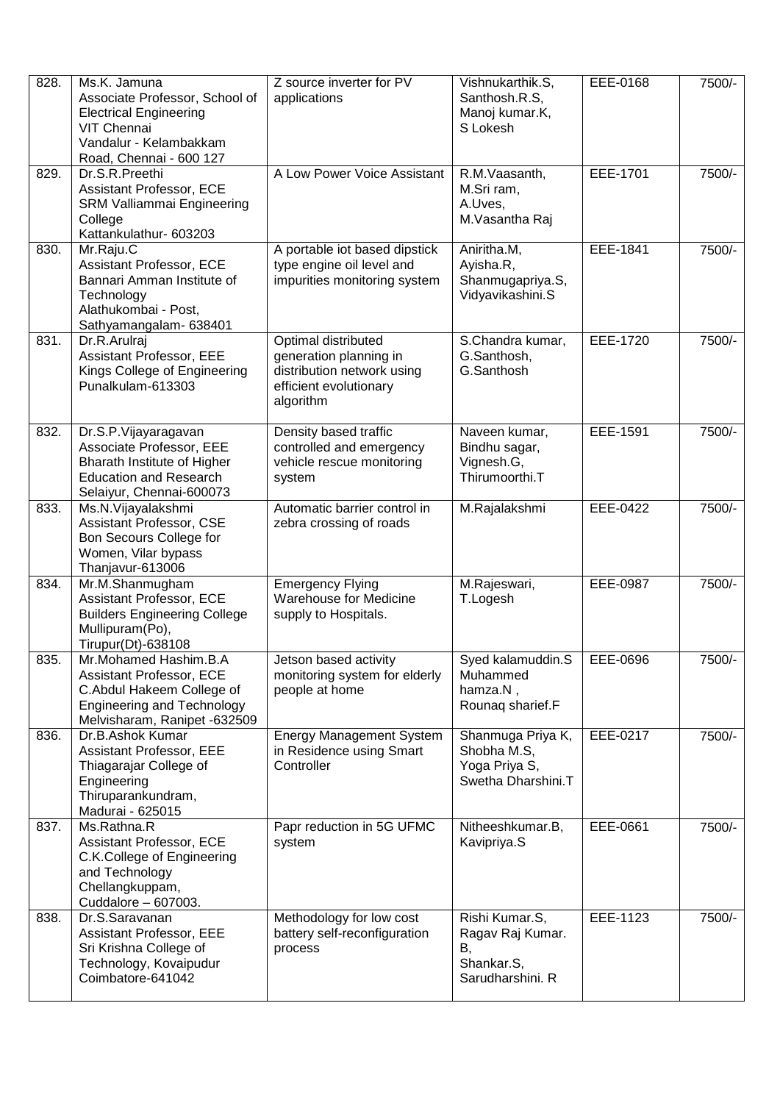| 828. | Ms.K. Jamuna<br>Associate Professor, School of<br><b>Electrical Engineering</b><br>VIT Chennai<br>Vandalur - Kelambakkam<br>Road, Chennai - 600 127 | Z source inverter for PV<br>applications                                                                           | Vishnukarthik.S,<br>Santhosh.R.S,<br>Manoj kumar.K,<br>S Lokesh            | EEE-0168 | 7500/- |
|------|-----------------------------------------------------------------------------------------------------------------------------------------------------|--------------------------------------------------------------------------------------------------------------------|----------------------------------------------------------------------------|----------|--------|
| 829. | Dr.S.R.Preethi<br>Assistant Professor, ECE<br><b>SRM Valliammai Engineering</b><br>College<br>Kattankulathur- 603203                                | A Low Power Voice Assistant                                                                                        | R.M.Vaasanth,<br>M.Sri ram,<br>A.Uves,<br>M.Vasantha Raj                   | EEE-1701 | 7500/- |
| 830. | Mr.Raju.C<br>Assistant Professor, ECE<br>Bannari Amman Institute of<br>Technology<br>Alathukombai - Post,<br>Sathyamangalam- 638401                 | A portable iot based dipstick<br>type engine oil level and<br>impurities monitoring system                         | Aniritha.M,<br>Ayisha.R,<br>Shanmugapriya.S,<br>Vidyavikashini.S           | EEE-1841 | 7500/- |
| 831. | Dr.R.Arulraj<br>Assistant Professor, EEE<br>Kings College of Engineering<br>Punalkulam-613303                                                       | Optimal distributed<br>generation planning in<br>distribution network using<br>efficient evolutionary<br>algorithm | S.Chandra kumar,<br>G.Santhosh,<br>G.Santhosh                              | EEE-1720 | 7500/- |
| 832. | Dr.S.P.Vijayaragavan<br>Associate Professor, EEE<br>Bharath Institute of Higher<br><b>Education and Research</b><br>Selaiyur, Chennai-600073        | Density based traffic<br>controlled and emergency<br>vehicle rescue monitoring<br>system                           | Naveen kumar,<br>Bindhu sagar,<br>Vignesh.G,<br>Thirumoorthi.T             | EEE-1591 | 7500/- |
| 833. | Ms.N.Vijayalakshmi<br>Assistant Professor, CSE<br>Bon Secours College for<br>Women, Vilar bypass<br>Thanjavur-613006                                | Automatic barrier control in<br>zebra crossing of roads                                                            | M.Rajalakshmi                                                              | EEE-0422 | 7500/- |
| 834. | Mr.M.Shanmugham<br>Assistant Professor, ECE<br><b>Builders Engineering College</b><br>Mullipuram(Po),<br>Tirupur(Dt)-638108                         | <b>Emergency Flying</b><br><b>Warehouse for Medicine</b><br>supply to Hospitals.                                   | M.Rajeswari,<br>T.Logesh                                                   | EEE-0987 | 7500/- |
| 835. | Mr.Mohamed Hashim.B.A<br>Assistant Professor, ECE<br>C.Abdul Hakeem College of<br><b>Engineering and Technology</b><br>Melvisharam, Ranipet -632509 | Jetson based activity<br>monitoring system for elderly<br>people at home                                           | Syed kalamuddin.S<br>Muhammed<br>hamza.N,<br>Rounaq sharief.F              | EEE-0696 | 7500/- |
| 836. | Dr.B.Ashok Kumar<br><b>Assistant Professor, EEE</b><br>Thiagarajar College of<br>Engineering<br>Thiruparankundram,<br>Madurai - 625015              | <b>Energy Management System</b><br>in Residence using Smart<br>Controller                                          | Shanmuga Priya K,<br>Shobha M.S,<br>Yoga Priya S,<br>Swetha Dharshini.T    | EEE-0217 | 7500/- |
| 837. | Ms.Rathna.R<br>Assistant Professor, ECE<br>C.K.College of Engineering<br>and Technology<br>Chellangkuppam,<br>Cuddalore - 607003.                   | Papr reduction in 5G UFMC<br>system                                                                                | Nitheeshkumar.B,<br>Kavipriya.S                                            | EEE-0661 | 7500/- |
| 838. | Dr.S.Saravanan<br>Assistant Professor, EEE<br>Sri Krishna College of<br>Technology, Kovaipudur<br>Coimbatore-641042                                 | Methodology for low cost<br>battery self-reconfiguration<br>process                                                | Rishi Kumar.S,<br>Ragav Raj Kumar.<br>В,<br>Shankar.S,<br>Sarudharshini. R | EEE-1123 | 7500/- |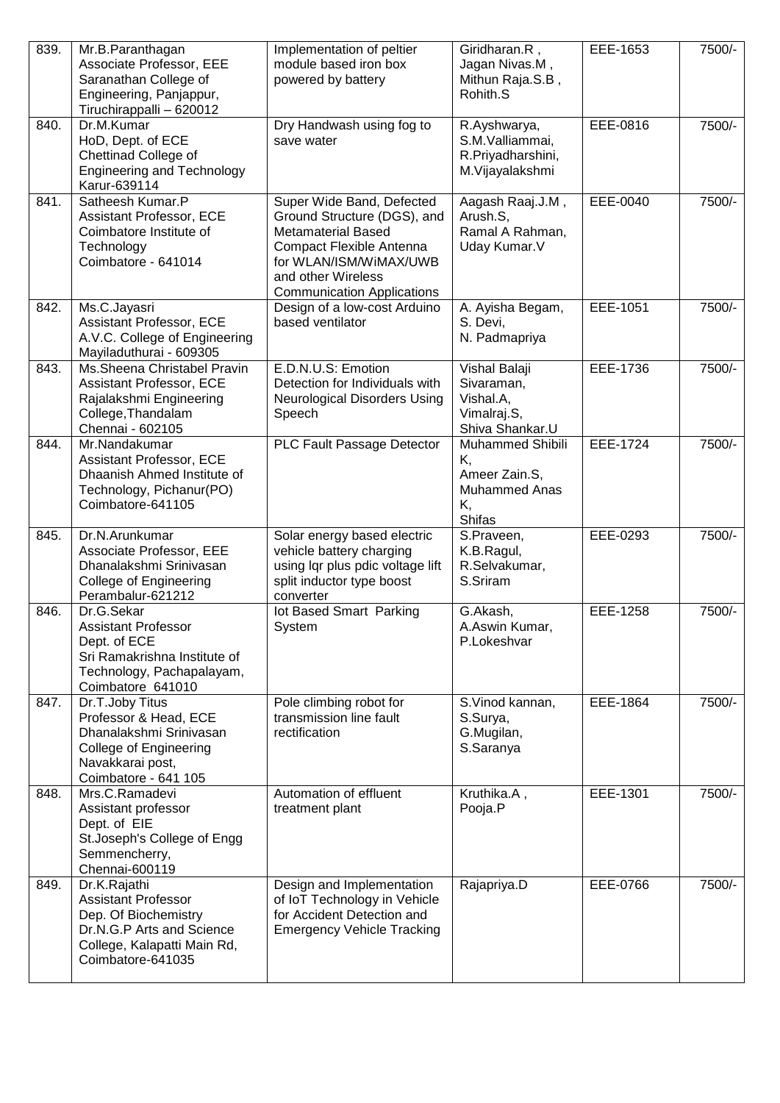| 839. | Mr.B.Paranthagan<br>Associate Professor, EEE<br>Saranathan College of<br>Engineering, Panjappur,<br>Tiruchirappalli - 620012                        | Implementation of peltier<br>module based iron box<br>powered by battery                                                                                                                               | Giridharan.R,<br>Jagan Nivas.M,<br>Mithun Raja.S.B,<br>Rohith.S                        | EEE-1653 | 7500/- |
|------|-----------------------------------------------------------------------------------------------------------------------------------------------------|--------------------------------------------------------------------------------------------------------------------------------------------------------------------------------------------------------|----------------------------------------------------------------------------------------|----------|--------|
| 840. | Dr.M.Kumar<br>HoD, Dept. of ECE<br>Chettinad College of<br><b>Engineering and Technology</b><br>Karur-639114                                        | Dry Handwash using fog to<br>save water                                                                                                                                                                | R.Ayshwarya,<br>S.M.Valliammai,<br>R.Priyadharshini,<br>M.Vijayalakshmi                | EEE-0816 | 7500/- |
| 841. | Satheesh Kumar.P<br>Assistant Professor, ECE<br>Coimbatore Institute of<br>Technology<br>Coimbatore - 641014                                        | Super Wide Band, Defected<br>Ground Structure (DGS), and<br><b>Metamaterial Based</b><br>Compact Flexible Antenna<br>for WLAN/ISM/WiMAX/UWB<br>and other Wireless<br><b>Communication Applications</b> | Aagash Raaj.J.M,<br>Arush.S,<br>Ramal A Rahman,<br>Uday Kumar.V                        | EEE-0040 | 7500/- |
| 842. | Ms.C.Jayasri<br>Assistant Professor, ECE<br>A.V.C. College of Engineering<br>Mayiladuthurai - 609305                                                | Design of a low-cost Arduino<br>based ventilator                                                                                                                                                       | A. Ayisha Begam,<br>S. Devi,<br>N. Padmapriya                                          | EEE-1051 | 7500/- |
| 843. | Ms.Sheena Christabel Pravin<br>Assistant Professor, ECE<br>Rajalakshmi Engineering<br>College, Thandalam<br>Chennai - 602105                        | E.D.N.U.S: Emotion<br>Detection for Individuals with<br><b>Neurological Disorders Using</b><br>Speech                                                                                                  | Vishal Balaji<br>Sivaraman,<br>Vishal.A,<br>Vimalraj.S,<br>Shiva Shankar.U             | EEE-1736 | 7500/- |
| 844. | Mr.Nandakumar<br>Assistant Professor, ECE<br>Dhaanish Ahmed Institute of<br>Technology, Pichanur(PO)<br>Coimbatore-641105                           | PLC Fault Passage Detector                                                                                                                                                                             | <b>Muhammed Shibili</b><br>Κ,<br>Ameer Zain.S,<br><b>Muhammed Anas</b><br>Κ,<br>Shifas | EEE-1724 | 7500/- |
| 845. | Dr.N.Arunkumar<br>Associate Professor, EEE<br>Dhanalakshmi Srinivasan<br><b>College of Engineering</b><br>Perambalur-621212                         | Solar energy based electric<br>vehicle battery charging<br>using lqr plus pdic voltage lift<br>split inductor type boost<br>converter                                                                  | S.Praveen,<br>K.B.Ragul,<br>R.Selvakumar,<br>S.Sriram                                  | EEE-0293 | 7500/- |
| 846. | Dr.G.Sekar<br><b>Assistant Professor</b><br>Dept. of ECE<br>Sri Ramakrishna Institute of<br>Technology, Pachapalayam,<br>Coimbatore 641010          | lot Based Smart Parking<br>System                                                                                                                                                                      | G.Akash,<br>A.Aswin Kumar.<br>P.Lokeshvar                                              | EEE-1258 | 7500/- |
| 847. | Dr.T.Joby Titus<br>Professor & Head, ECE<br>Dhanalakshmi Srinivasan<br><b>College of Engineering</b><br>Navakkarai post,<br>Coimbatore - 641 105    | Pole climbing robot for<br>transmission line fault<br>rectification                                                                                                                                    | S.Vinod kannan,<br>S.Surya,<br>G.Mugilan,<br>S.Saranya                                 | EEE-1864 | 7500/- |
| 848. | Mrs.C.Ramadevi<br>Assistant professor<br>Dept. of EIE<br>St.Joseph's College of Engg<br>Semmencherry,<br>Chennai-600119                             | Automation of effluent<br>treatment plant                                                                                                                                                              | Kruthika.A,<br>Pooja.P                                                                 | EEE-1301 | 7500/- |
| 849. | Dr.K.Rajathi<br><b>Assistant Professor</b><br>Dep. Of Biochemistry<br>Dr.N.G.P Arts and Science<br>College, Kalapatti Main Rd,<br>Coimbatore-641035 | Design and Implementation<br>of IoT Technology in Vehicle<br>for Accident Detection and<br><b>Emergency Vehicle Tracking</b>                                                                           | Rajapriya.D                                                                            | EEE-0766 | 7500/- |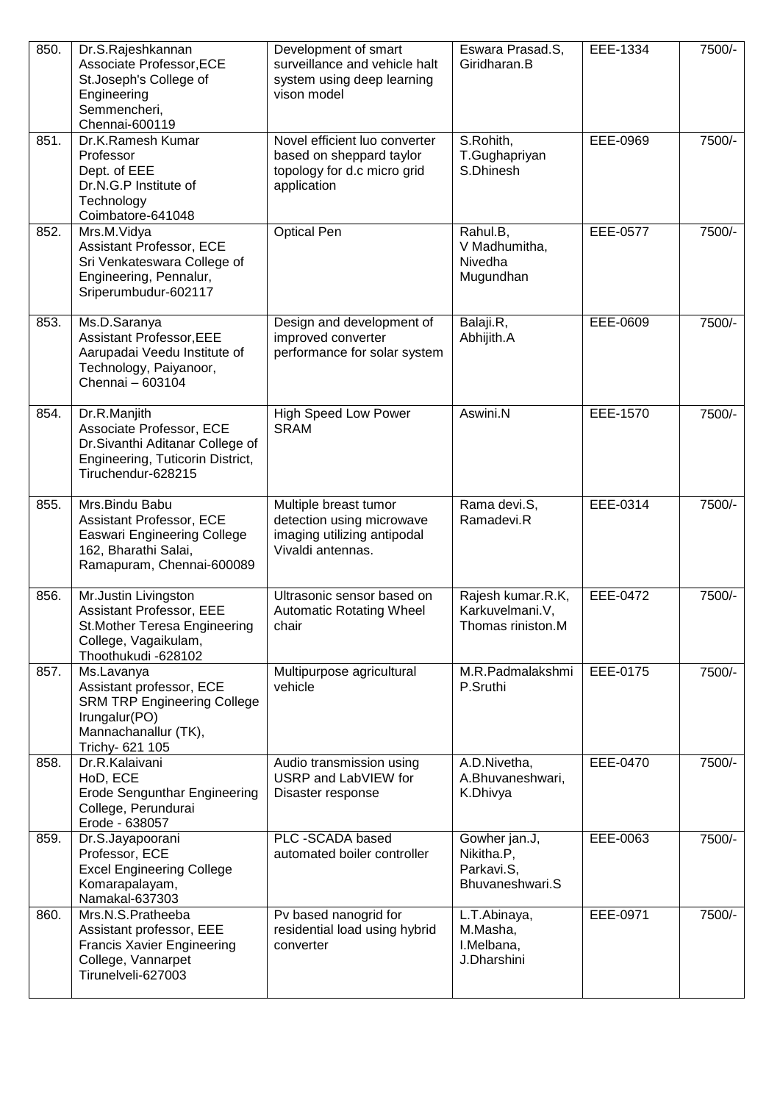| 850. | Dr.S.Rajeshkannan<br>Associate Professor, ECE<br>St.Joseph's College of<br>Engineering<br>Semmencheri,<br>Chennai-600119                 | Development of smart<br>surveillance and vehicle halt<br>system using deep learning<br>vison model      | Eswara Prasad.S,<br>Giridharan.B                             | EEE-1334 | 7500/- |
|------|------------------------------------------------------------------------------------------------------------------------------------------|---------------------------------------------------------------------------------------------------------|--------------------------------------------------------------|----------|--------|
| 851. | Dr.K.Ramesh Kumar<br>Professor<br>Dept. of EEE<br>Dr.N.G.P Institute of<br>Technology<br>Coimbatore-641048                               | Novel efficient luo converter<br>based on sheppard taylor<br>topology for d.c micro grid<br>application | S.Rohith,<br>T.Gughapriyan<br>S.Dhinesh                      | EEE-0969 | 7500/- |
| 852. | Mrs.M.Vidya<br>Assistant Professor, ECE<br>Sri Venkateswara College of<br>Engineering, Pennalur,<br>Sriperumbudur-602117                 | <b>Optical Pen</b>                                                                                      | Rahul.B,<br>V Madhumitha,<br>Nivedha<br>Mugundhan            | EEE-0577 | 7500/- |
| 853. | Ms.D.Saranya<br><b>Assistant Professor, EEE</b><br>Aarupadai Veedu Institute of<br>Technology, Paiyanoor,<br>Chennai - 603104            | Design and development of<br>improved converter<br>performance for solar system                         | Balaji.R,<br>Abhijith.A                                      | EEE-0609 | 7500/- |
| 854. | Dr.R.Manjith<br>Associate Professor, ECE<br>Dr.Sivanthi Aditanar College of<br>Engineering, Tuticorin District,<br>Tiruchendur-628215    | <b>High Speed Low Power</b><br><b>SRAM</b>                                                              | Aswini.N                                                     | EEE-1570 | 7500/- |
| 855. | Mrs.Bindu Babu<br>Assistant Professor, ECE<br><b>Easwari Engineering College</b><br>162, Bharathi Salai,<br>Ramapuram, Chennai-600089    | Multiple breast tumor<br>detection using microwave<br>imaging utilizing antipodal<br>Vivaldi antennas.  | Rama devi.S,<br>Ramadevi.R                                   | EEE-0314 | 7500/- |
| 856. | Mr.Justin Livingston<br>Assistant Professor, EEE<br>St. Mother Teresa Engineering<br>College, Vagaikulam,<br>Thoothukudi -628102         | Ultrasonic sensor based on<br><b>Automatic Rotating Wheel</b><br>chair                                  | Rajesh kumar.R.K,<br>Karkuvelmani.V,<br>Thomas riniston.M    | EEE-0472 | 7500/- |
| 857. | Ms.Lavanya<br>Assistant professor, ECE<br><b>SRM TRP Engineering College</b><br>Irungalur(PO)<br>Mannachanallur (TK),<br>Trichy- 621 105 | Multipurpose agricultural<br>vehicle                                                                    | M.R.Padmalakshmi<br>P.Sruthi                                 | EEE-0175 | 7500/- |
| 858. | Dr.R.Kalaivani<br>HoD, ECE<br><b>Erode Sengunthar Engineering</b><br>College, Perundurai<br>Erode - 638057                               | Audio transmission using<br>USRP and LabVIEW for<br>Disaster response                                   | A.D.Nivetha,<br>A.Bhuvaneshwari,<br>K.Dhivya                 | EEE-0470 | 7500/- |
| 859. | Dr.S.Jayapoorani<br>Professor, ECE<br><b>Excel Engineering College</b><br>Komarapalayam,<br>Namakal-637303                               | PLC -SCADA based<br>automated boiler controller                                                         | Gowher jan.J,<br>Nikitha.P,<br>Parkavi.S,<br>Bhuvaneshwari.S | EEE-0063 | 7500/- |
| 860. | Mrs.N.S.Pratheeba<br>Assistant professor, EEE<br><b>Francis Xavier Engineering</b><br>College, Vannarpet<br>Tirunelveli-627003           | Pv based nanogrid for<br>residential load using hybrid<br>converter                                     | L.T.Abinaya,<br>M.Masha,<br>I.Melbana,<br>J.Dharshini        | EEE-0971 | 7500/- |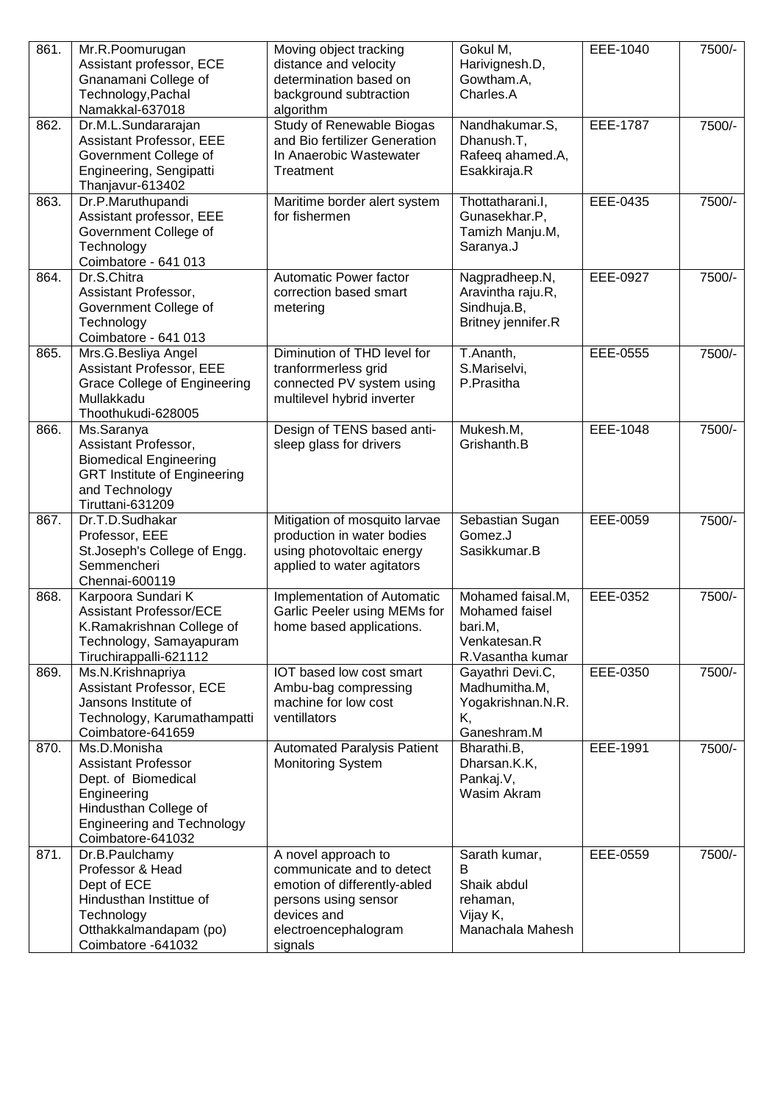| 861. | Mr.R.Poomurugan<br>Assistant professor, ECE          | Moving object tracking<br>distance and velocity             | Gokul M,<br>Harivignesh.D,       | EEE-1040        | 7500/- |
|------|------------------------------------------------------|-------------------------------------------------------------|----------------------------------|-----------------|--------|
|      | Gnanamani College of                                 | determination based on                                      | Gowtham.A,                       |                 |        |
|      | Technology, Pachal                                   | background subtraction                                      | Charles.A                        |                 |        |
|      | Namakkal-637018                                      | algorithm                                                   |                                  |                 |        |
| 862. | Dr.M.L.Sundararajan                                  | Study of Renewable Biogas                                   | Nandhakumar.S,                   | <b>EEE-1787</b> | 7500/- |
|      | <b>Assistant Professor, EEE</b>                      | and Bio fertilizer Generation                               | Dhanush.T,                       |                 |        |
|      | Government College of                                | In Anaerobic Wastewater                                     | Rafeeq ahamed.A,                 |                 |        |
|      | Engineering, Sengipatti<br>Thanjavur-613402          | Treatment                                                   | Esakkiraja.R                     |                 |        |
| 863. | Dr.P.Maruthupandi                                    | Maritime border alert system                                | Thottatharani.l,                 | EEE-0435        | 7500/- |
|      | Assistant professor, EEE                             | for fishermen                                               | Gunasekhar.P,                    |                 |        |
|      | Government College of                                |                                                             | Tamizh Manju.M,                  |                 |        |
|      | Technology                                           |                                                             | Saranya.J                        |                 |        |
|      | Coimbatore - 641 013                                 |                                                             |                                  |                 |        |
| 864. | Dr.S.Chitra                                          | Automatic Power factor                                      | Nagpradheep.N,                   | EEE-0927        | 7500/- |
|      | Assistant Professor,<br>Government College of        | correction based smart<br>metering                          | Aravintha raju.R,<br>Sindhuja.B, |                 |        |
|      | Technology                                           |                                                             | Britney jennifer.R               |                 |        |
|      | Coimbatore - 641 013                                 |                                                             |                                  |                 |        |
| 865. | Mrs.G.Besliya Angel                                  | Diminution of THD level for                                 | T.Ananth,                        | EEE-0555        | 7500/- |
|      | <b>Assistant Professor, EEE</b>                      | tranforrmerless grid                                        | S.Mariselvi,                     |                 |        |
|      | <b>Grace College of Engineering</b>                  | connected PV system using                                   | P.Prasitha                       |                 |        |
|      | Mullakkadu<br>Thoothukudi-628005                     | multilevel hybrid inverter                                  |                                  |                 |        |
| 866. | Ms.Saranya                                           | Design of TENS based anti-                                  | Mukesh.M,                        | EEE-1048        | 7500/- |
|      | Assistant Professor,                                 | sleep glass for drivers                                     | Grishanth.B                      |                 |        |
|      | <b>Biomedical Engineering</b>                        |                                                             |                                  |                 |        |
|      | <b>GRT Institute of Engineering</b>                  |                                                             |                                  |                 |        |
|      | and Technology                                       |                                                             |                                  |                 |        |
|      | Tiruttani-631209                                     |                                                             |                                  |                 |        |
| 867. | Dr.T.D.Sudhakar<br>Professor, EEE                    | Mitigation of mosquito larvae<br>production in water bodies | Sebastian Sugan<br>Gomez.J       | EEE-0059        | 7500/- |
|      | St. Joseph's College of Engg.                        | using photovoltaic energy                                   | Sasikkumar.B                     |                 |        |
|      | Semmencheri                                          | applied to water agitators                                  |                                  |                 |        |
|      | Chennai-600119                                       |                                                             |                                  |                 |        |
| 868. | Karpoora Sundari K                                   | Implementation of Automatic                                 | Mohamed faisal.M,                | EEE-0352        | 7500/- |
|      | <b>Assistant Professor/ECE</b>                       | Garlic Peeler using MEMs for                                | Mohamed faisel                   |                 |        |
|      | K.Ramakrishnan College of<br>Technology, Samayapuram | home based applications.                                    | bari.M,<br>Venkatesan.R          |                 |        |
|      | Tiruchirappalli-621112                               |                                                             | R.Vasantha kumar                 |                 |        |
| 869. | Ms.N.Krishnapriya                                    | IOT based low cost smart                                    | Gayathri Devi.C,                 | EEE-0350        | 7500/- |
|      | Assistant Professor, ECE                             | Ambu-bag compressing                                        | Madhumitha.M,                    |                 |        |
|      | Jansons Institute of                                 | machine for low cost                                        | Yogakrishnan.N.R.                |                 |        |
|      | Technology, Karumathampatti                          | ventillators                                                | Κ,                               |                 |        |
| 870. | Coimbatore-641659<br>Ms.D.Monisha                    | <b>Automated Paralysis Patient</b>                          | Ganeshram.M<br>Bharathi.B,       | EEE-1991        | 7500/- |
|      | <b>Assistant Professor</b>                           | <b>Monitoring System</b>                                    | Dharsan.K.K,                     |                 |        |
|      | Dept. of Biomedical                                  |                                                             | Pankaj.V,                        |                 |        |
|      | Engineering                                          |                                                             | Wasim Akram                      |                 |        |
|      | Hindusthan College of                                |                                                             |                                  |                 |        |
|      | <b>Engineering and Technology</b>                    |                                                             |                                  |                 |        |
|      | Coimbatore-641032                                    |                                                             |                                  |                 |        |
| 871. | Dr.B.Paulchamy<br>Professor & Head                   | A novel approach to<br>communicate and to detect            | Sarath kumar,<br>B               | EEE-0559        | 7500/- |
|      | Dept of ECE                                          | emotion of differently-abled                                | Shaik abdul                      |                 |        |
|      | Hindusthan Instittue of                              | persons using sensor                                        | rehaman,                         |                 |        |
|      | Technology                                           | devices and                                                 | Vijay K,                         |                 |        |
|      | Otthakkalmandapam (po)                               | electroencephalogram                                        | Manachala Mahesh                 |                 |        |
|      | Coimbatore -641032                                   | signals                                                     |                                  |                 |        |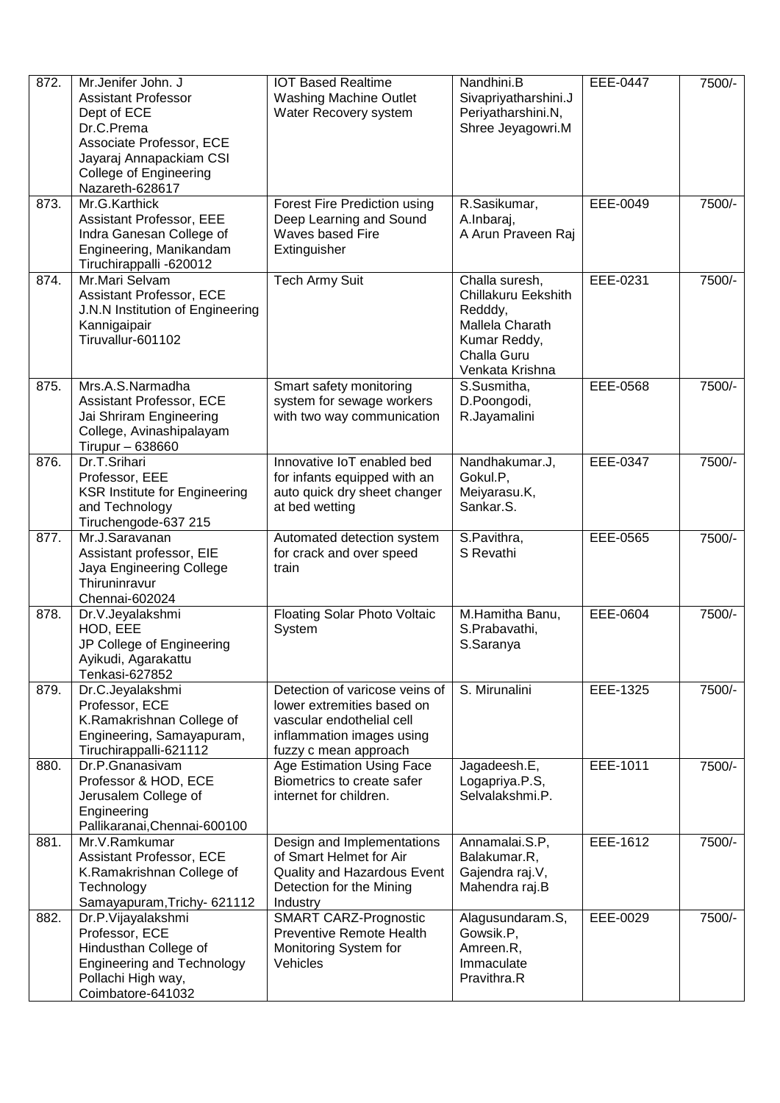| 872. | Mr.Jenifer John. J<br><b>Assistant Professor</b><br>Dept of ECE<br>Dr.C.Prema<br>Associate Professor, ECE<br>Jayaraj Annapackiam CSI<br><b>College of Engineering</b><br>Nazareth-628617 | <b>IOT Based Realtime</b><br><b>Washing Machine Outlet</b><br>Water Recovery system                                                             | Nandhini.B<br>Sivapriyatharshini.J<br>Periyatharshini.N,<br>Shree Jeyagowri.M                                                | <b>EEE-0447</b> | 7500/- |
|------|------------------------------------------------------------------------------------------------------------------------------------------------------------------------------------------|-------------------------------------------------------------------------------------------------------------------------------------------------|------------------------------------------------------------------------------------------------------------------------------|-----------------|--------|
| 873. | Mr.G.Karthick<br>Assistant Professor, EEE<br>Indra Ganesan College of<br>Engineering, Manikandam<br>Tiruchirappalli -620012                                                              | Forest Fire Prediction using<br>Deep Learning and Sound<br>Waves based Fire<br>Extinguisher                                                     | R.Sasikumar,<br>A.Inbaraj,<br>A Arun Praveen Raj                                                                             | EEE-0049        | 7500/- |
| 874. | Mr.Mari Selvam<br>Assistant Professor, ECE<br>J.N.N Institution of Engineering<br>Kannigaipair<br>Tiruvallur-601102                                                                      | <b>Tech Army Suit</b>                                                                                                                           | Challa suresh,<br><b>Chillakuru Eekshith</b><br>Redddy,<br>Mallela Charath<br>Kumar Reddy,<br>Challa Guru<br>Venkata Krishna | EEE-0231        | 7500/- |
| 875. | Mrs.A.S.Narmadha<br>Assistant Professor, ECE<br>Jai Shriram Engineering<br>College, Avinashipalayam<br>Tirupur - 638660                                                                  | Smart safety monitoring<br>system for sewage workers<br>with two way communication                                                              | S.Susmitha,<br>D.Poongodi,<br>R.Jayamalini                                                                                   | EEE-0568        | 7500/- |
| 876. | Dr.T.Srihari<br>Professor, EEE<br><b>KSR Institute for Engineering</b><br>and Technology<br>Tiruchengode-637 215                                                                         | Innovative IoT enabled bed<br>for infants equipped with an<br>auto quick dry sheet changer<br>at bed wetting                                    | Nandhakumar.J,<br>Gokul.P,<br>Meiyarasu.K,<br>Sankar.S.                                                                      | EEE-0347        | 7500/- |
| 877. | Mr.J.Saravanan<br>Assistant professor, EIE<br>Jaya Engineering College<br>Thiruninravur<br>Chennai-602024                                                                                | Automated detection system<br>for crack and over speed<br>train                                                                                 | S.Pavithra,<br>S Revathi                                                                                                     | EEE-0565        | 7500/- |
| 878. | Dr.V.Jeyalakshmi<br>HOD, EEE<br>JP College of Engineering<br>Ayikudi, Agarakattu<br>Tenkasi-627852                                                                                       | Floating Solar Photo Voltaic<br>System                                                                                                          | M.Hamitha Banu,<br>S.Prabavathi,<br>S.Saranya                                                                                | EEE-0604        | 7500/- |
| 879. | Dr.C.Jeyalakshmi<br>Professor, ECE<br>K.Ramakrishnan College of<br>Engineering, Samayapuram,<br>Tiruchirappalli-621112                                                                   | Detection of varicose veins of<br>lower extremities based on<br>vascular endothelial cell<br>inflammation images using<br>fuzzy c mean approach | S. Mirunalini                                                                                                                | EEE-1325        | 7500/- |
| 880. | Dr.P.Gnanasivam<br>Professor & HOD, ECE<br>Jerusalem College of<br>Engineering<br>Pallikaranai, Chennai-600100                                                                           | Age Estimation Using Face<br>Biometrics to create safer<br>internet for children.                                                               | Jagadeesh.E,<br>Logapriya.P.S,<br>Selvalakshmi.P.                                                                            | EEE-1011        | 7500/- |
| 881. | Mr.V.Ramkumar<br>Assistant Professor, ECE<br>K.Ramakrishnan College of<br>Technology<br>Samayapuram, Trichy- 621112                                                                      | Design and Implementations<br>of Smart Helmet for Air<br>Quality and Hazardous Event<br>Detection for the Mining<br>Industry                    | Annamalai.S.P,<br>Balakumar.R,<br>Gajendra raj.V,<br>Mahendra raj.B                                                          | EEE-1612        | 7500/- |
| 882. | Dr.P.Vijayalakshmi<br>Professor, ECE<br>Hindusthan College of<br><b>Engineering and Technology</b><br>Pollachi High way,<br>Coimbatore-641032                                            | <b>SMART CARZ-Prognostic</b><br><b>Preventive Remote Health</b><br>Monitoring System for<br>Vehicles                                            | Alagusundaram.S,<br>Gowsik.P,<br>Amreen.R,<br>Immaculate<br>Pravithra.R                                                      | EEE-0029        | 7500/- |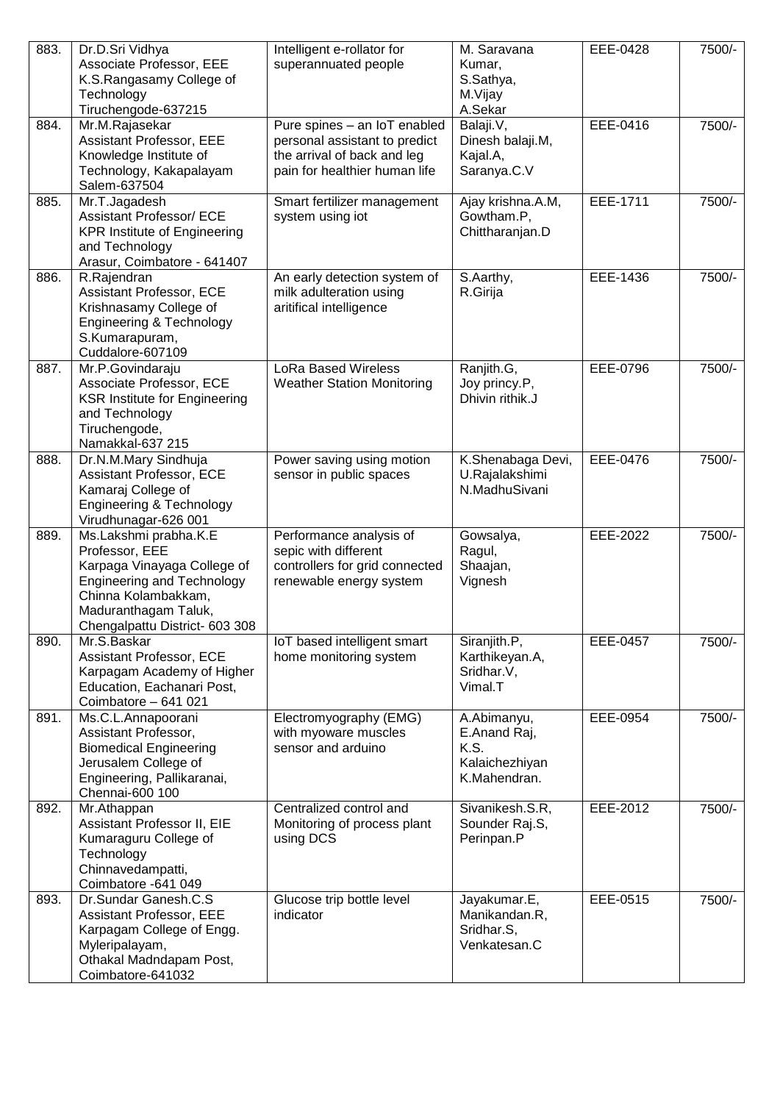| 883. | Dr.D.Sri Vidhya                                       | Intelligent e-rollator for                                    | $\overline{M}$ . Saravana       | EEE-0428 | 7500/- |
|------|-------------------------------------------------------|---------------------------------------------------------------|---------------------------------|----------|--------|
|      | Associate Professor, EEE                              | superannuated people                                          | Kumar,                          |          |        |
|      | K.S.Rangasamy College of                              |                                                               | S.Sathya,                       |          |        |
|      | Technology                                            |                                                               | M.Vijay                         |          |        |
|      | Tiruchengode-637215                                   |                                                               | A.Sekar                         | EEE-0416 | 7500/- |
| 884. | Mr.M.Rajasekar<br>Assistant Professor, EEE            | Pure spines - an IoT enabled<br>personal assistant to predict | Balaji.V,<br>Dinesh balaji.M,   |          |        |
|      | Knowledge Institute of                                | the arrival of back and leg                                   | Kajal.A,                        |          |        |
|      | Technology, Kakapalayam                               | pain for healthier human life                                 | Saranya.C.V                     |          |        |
|      | Salem-637504                                          |                                                               |                                 |          |        |
| 885. | Mr.T.Jagadesh                                         | Smart fertilizer management                                   | Ajay krishna.A.M,               | EEE-1711 | 7500/- |
|      | <b>Assistant Professor/ ECE</b>                       | system using iot                                              | Gowtham.P,                      |          |        |
|      | <b>KPR Institute of Engineering</b>                   |                                                               | Chittharanjan.D                 |          |        |
|      | and Technology                                        |                                                               |                                 |          |        |
|      | Arasur, Coimbatore - 641407                           |                                                               |                                 |          |        |
| 886. | R.Rajendran                                           | An early detection system of                                  | S.Aarthy,                       | EEE-1436 | 7500/- |
|      | Assistant Professor, ECE<br>Krishnasamy College of    | milk adulteration using<br>aritifical intelligence            | R.Girija                        |          |        |
|      | Engineering & Technology                              |                                                               |                                 |          |        |
|      | S.Kumarapuram,                                        |                                                               |                                 |          |        |
|      | Cuddalore-607109                                      |                                                               |                                 |          |        |
| 887. | Mr.P.Govindaraju                                      | <b>LoRa Based Wireless</b>                                    | Ranjith.G,                      | EEE-0796 | 7500/- |
|      | Associate Professor, ECE                              | <b>Weather Station Monitoring</b>                             | Joy princy.P,                   |          |        |
|      | <b>KSR Institute for Engineering</b>                  |                                                               | Dhivin rithik.J                 |          |        |
|      | and Technology                                        |                                                               |                                 |          |        |
|      | Tiruchengode,                                         |                                                               |                                 |          |        |
|      | Namakkal-637 215                                      |                                                               |                                 |          |        |
| 888. | Dr.N.M.Mary Sindhuja                                  | Power saving using motion                                     | K.Shenabaga Devi,               | EEE-0476 | 7500/- |
|      | <b>Assistant Professor, ECE</b><br>Kamaraj College of | sensor in public spaces                                       | U.Rajalakshimi<br>N.MadhuSivani |          |        |
|      | <b>Engineering &amp; Technology</b>                   |                                                               |                                 |          |        |
|      | Virudhunagar-626 001                                  |                                                               |                                 |          |        |
| 889. | Ms.Lakshmi prabha.K.E                                 | Performance analysis of                                       | Gowsalya,                       | EEE-2022 | 7500/- |
|      | Professor, EEE                                        | sepic with different                                          | Ragul,                          |          |        |
|      | Karpaga Vinayaga College of                           | controllers for grid connected                                | Shaajan,                        |          |        |
|      | <b>Engineering and Technology</b>                     | renewable energy system                                       | Vignesh                         |          |        |
|      | Chinna Kolambakkam,                                   |                                                               |                                 |          |        |
|      | Maduranthagam Taluk,                                  |                                                               |                                 |          |        |
| 890. | Chengalpattu District- 603 308<br>Mr.S.Baskar         | IoT based intelligent smart                                   | Siranjith.P,                    | EEE-0457 | 7500/- |
|      | Assistant Professor, ECE                              | home monitoring system                                        | Karthikeyan.A,                  |          |        |
|      | Karpagam Academy of Higher                            |                                                               | Sridhar.V,                      |          |        |
|      | Education, Eachanari Post,                            |                                                               | Vimal.T                         |          |        |
|      | Coimbatore - 641 021                                  |                                                               |                                 |          |        |
| 891. | Ms.C.L.Annapoorani                                    | Electromyography (EMG)                                        | A.Abimanyu,                     | EEE-0954 | 7500/- |
|      | Assistant Professor,                                  | with myoware muscles                                          | E.Anand Raj,                    |          |        |
|      | <b>Biomedical Engineering</b>                         | sensor and arduino                                            | K.S.                            |          |        |
|      | Jerusalem College of                                  |                                                               | Kalaichezhiyan                  |          |        |
|      | Engineering, Pallikaranai,<br>Chennai-600 100         |                                                               | K.Mahendran.                    |          |        |
| 892. | Mr.Athappan                                           | Centralized control and                                       | Sivanikesh.S.R,                 | EEE-2012 | 7500/- |
|      | Assistant Professor II, EIE                           | Monitoring of process plant                                   | Sounder Raj.S,                  |          |        |
|      | Kumaraguru College of                                 | using DCS                                                     | Perinpan.P                      |          |        |
|      | Technology                                            |                                                               |                                 |          |        |
|      | Chinnavedampatti,                                     |                                                               |                                 |          |        |
|      | Coimbatore -641 049                                   |                                                               |                                 |          |        |
| 893. | Dr.Sundar Ganesh.C.S                                  | Glucose trip bottle level                                     | Jayakumar.E,                    | EEE-0515 | 7500/- |
|      | Assistant Professor, EEE                              | indicator                                                     | Manikandan.R,                   |          |        |
|      | Karpagam College of Engg.                             |                                                               | Sridhar.S,<br>Venkatesan.C      |          |        |
|      | Myleripalayam,<br>Othakal Madndapam Post,             |                                                               |                                 |          |        |
|      | Coimbatore-641032                                     |                                                               |                                 |          |        |
|      |                                                       |                                                               |                                 |          |        |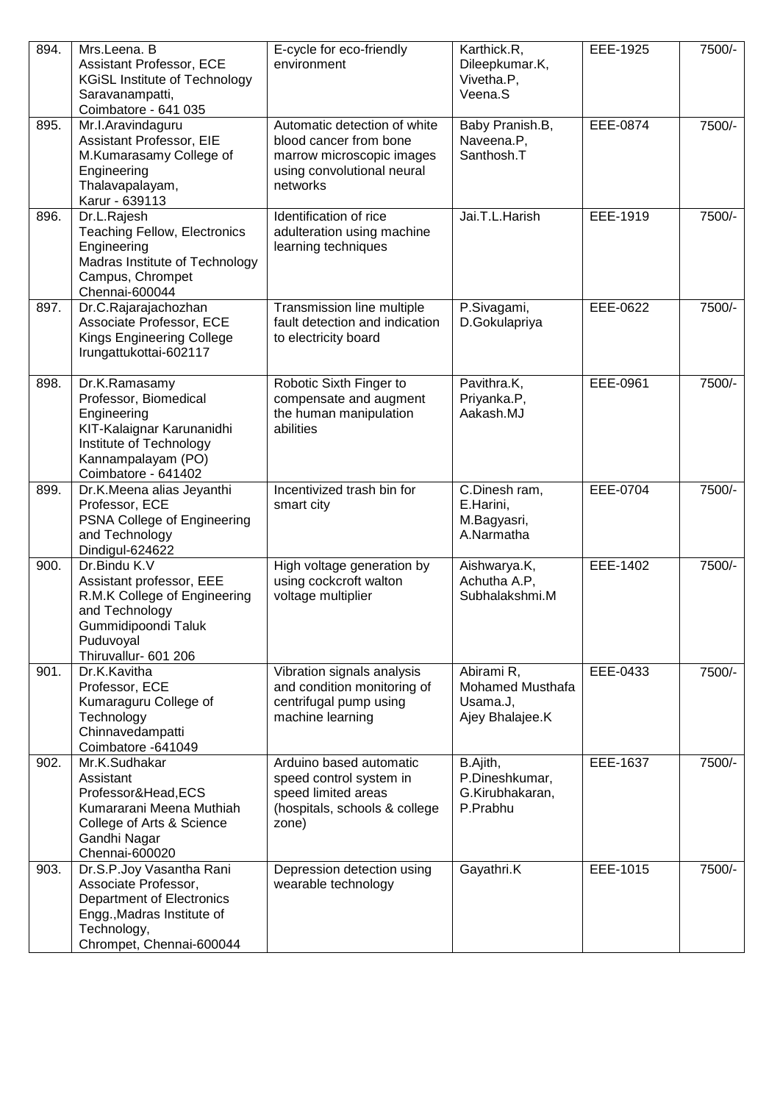| 894. | Mrs.Leena. B<br>Assistant Professor, ECE<br><b>KGiSL Institute of Technology</b><br>Saravanampatti,<br>Coimbatore - 641 035                                   | E-cycle for eco-friendly<br>environment                                                                                       | Karthick.R,<br>Dileepkumar.K,<br>Vivetha.P,<br>Veena.S        | EEE-1925 | 7500/- |
|------|---------------------------------------------------------------------------------------------------------------------------------------------------------------|-------------------------------------------------------------------------------------------------------------------------------|---------------------------------------------------------------|----------|--------|
| 895. | Mr.I.Aravindaguru<br>Assistant Professor, EIE<br>M.Kumarasamy College of<br>Engineering<br>Thalavapalayam,<br>Karur - 639113                                  | Automatic detection of white<br>blood cancer from bone<br>marrow microscopic images<br>using convolutional neural<br>networks | Baby Pranish.B,<br>Naveena.P,<br>Santhosh.T                   | EEE-0874 | 7500/- |
| 896. | Dr.L.Rajesh<br><b>Teaching Fellow, Electronics</b><br>Engineering<br>Madras Institute of Technology<br>Campus, Chrompet<br>Chennai-600044                     | Identification of rice<br>adulteration using machine<br>learning techniques                                                   | Jai.T.L.Harish                                                | EEE-1919 | 7500/- |
| 897. | Dr.C.Rajarajachozhan<br>Associate Professor, ECE<br>Kings Engineering College<br>Irungattukottai-602117                                                       | Transmission line multiple<br>fault detection and indication<br>to electricity board                                          | P.Sivagami,<br>D.Gokulapriya                                  | EEE-0622 | 7500/- |
| 898. | Dr.K.Ramasamy<br>Professor, Biomedical<br>Engineering<br>KIT-Kalaignar Karunanidhi<br>Institute of Technology<br>Kannampalayam (PO)<br>Coimbatore - 641402    | Robotic Sixth Finger to<br>compensate and augment<br>the human manipulation<br>abilities                                      | Pavithra.K,<br>Priyanka.P,<br>Aakash.MJ                       | EEE-0961 | 7500/- |
| 899. | Dr.K.Meena alias Jeyanthi<br>Professor, ECE<br>PSNA College of Engineering<br>and Technology<br>Dindigul-624622                                               | Incentivized trash bin for<br>smart city                                                                                      | C.Dinesh ram,<br>E.Harini,<br>M.Bagyasri,<br>A.Narmatha       | EEE-0704 | 7500/- |
| 900. | Dr.Bindu K.V<br>Assistant professor, EEE<br>R.M.K College of Engineering<br>and Technology<br>Gummidipoondi Taluk<br>Puduvoyal<br>Thiruvallur- 601 206        | High voltage generation by<br>using cockcroft walton<br>voltage multiplier                                                    | Aishwarya.K,<br>Achutha A.P,<br>Subhalakshmi.M                | EEE-1402 | 7500/- |
| 901. | Dr.K.Kavitha<br>Professor, ECE<br>Kumaraguru College of<br>Technology<br>Chinnavedampatti<br>Coimbatore -641049                                               | Vibration signals analysis<br>and condition monitoring of<br>centrifugal pump using<br>machine learning                       | Abirami R,<br>Mohamed Musthafa<br>Usama.J,<br>Ajey Bhalajee.K | EEE-0433 | 7500/- |
| 902. | Mr.K.Sudhakar<br>Assistant<br>Professor&Head,ECS<br>Kumararani Meena Muthiah<br>College of Arts & Science<br>Gandhi Nagar<br>Chennai-600020                   | Arduino based automatic<br>speed control system in<br>speed limited areas<br>(hospitals, schools & college<br>zone)           | B.Ajith,<br>P.Dineshkumar,<br>G.Kirubhakaran,<br>P.Prabhu     | EEE-1637 | 7500/- |
| 903. | Dr.S.P.Joy Vasantha Rani<br>Associate Professor,<br><b>Department of Electronics</b><br>Engg., Madras Institute of<br>Technology,<br>Chrompet, Chennai-600044 | Depression detection using<br>wearable technology                                                                             | Gayathri.K                                                    | EEE-1015 | 7500/- |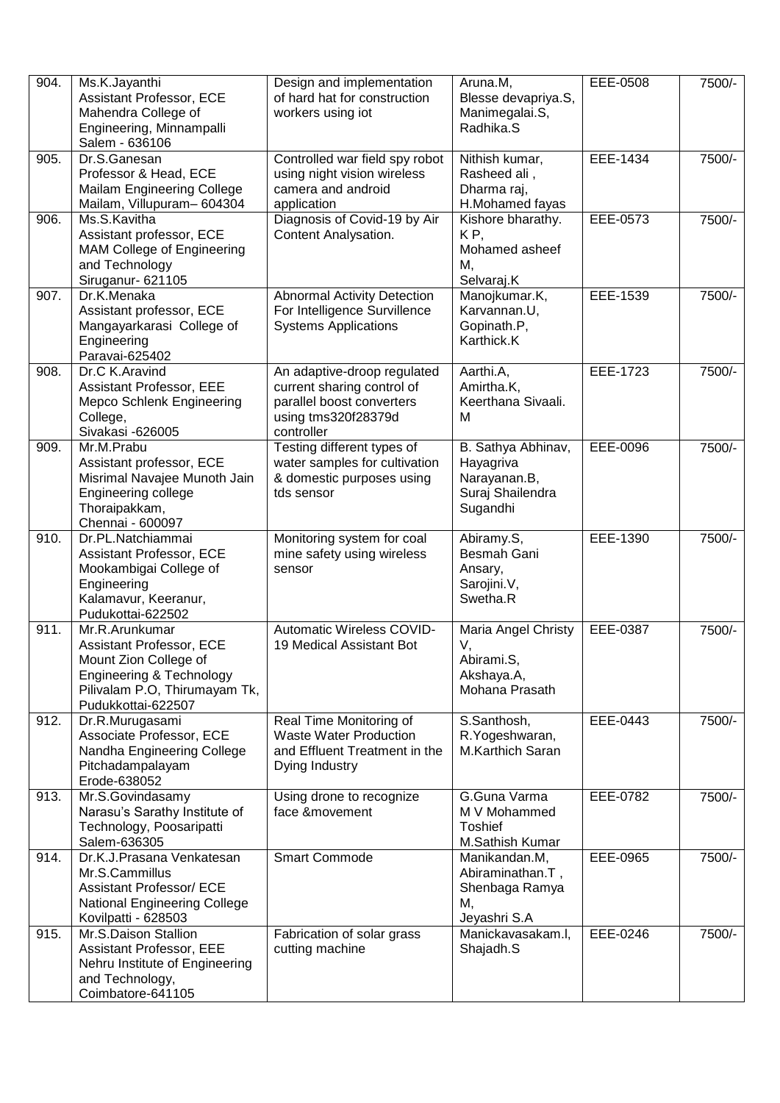| 904. | Ms.K.Jayanthi<br>Assistant Professor, ECE<br>Mahendra College of<br>Engineering, Minnampalli<br>Salem - 636106                                         | Design and implementation<br>of hard hat for construction<br>workers using iot                                              | Aruna.M,<br>Blesse devapriya.S,<br>Manimegalai.S,<br>Radhika.S                  | EEE-0508 | 7500/- |
|------|--------------------------------------------------------------------------------------------------------------------------------------------------------|-----------------------------------------------------------------------------------------------------------------------------|---------------------------------------------------------------------------------|----------|--------|
| 905. | Dr.S.Ganesan<br>Professor & Head, ECE<br>Mailam Engineering College<br>Mailam, Villupuram-604304                                                       | Controlled war field spy robot<br>using night vision wireless<br>camera and android<br>application                          | Nithish kumar,<br>Rasheed ali,<br>Dharma raj,<br>H.Mohamed fayas                | EEE-1434 | 7500/- |
| 906. | Ms.S.Kavitha<br>Assistant professor, ECE<br>MAM College of Engineering<br>and Technology<br>Siruganur- 621105                                          | Diagnosis of Covid-19 by Air<br>Content Analysation.                                                                        | Kishore bharathy.<br>KP,<br>Mohamed asheef<br>Μ,<br>Selvaraj.K                  | EEE-0573 | 7500/- |
| 907. | Dr.K.Menaka<br>Assistant professor, ECE<br>Mangayarkarasi College of<br>Engineering<br>Paravai-625402                                                  | <b>Abnormal Activity Detection</b><br>For Intelligence Survillence<br><b>Systems Applications</b>                           | Manojkumar.K,<br>Karvannan.U,<br>Gopinath.P,<br>Karthick.K                      | EEE-1539 | 7500/- |
| 908. | Dr.C K.Aravind<br>Assistant Professor, EEE<br>Mepco Schlenk Engineering<br>College,<br>Sivakasi -626005                                                | An adaptive-droop regulated<br>current sharing control of<br>parallel boost converters<br>using tms320f28379d<br>controller | Aarthi.A,<br>Amirtha.K,<br>Keerthana Sivaali.<br>м                              | EEE-1723 | 7500/- |
| 909. | Mr.M.Prabu<br>Assistant professor, ECE<br>Misrimal Navajee Munoth Jain<br>Engineering college<br>Thoraipakkam,<br>Chennai - 600097                     | Testing different types of<br>water samples for cultivation<br>& domestic purposes using<br>tds sensor                      | B. Sathya Abhinav,<br>Hayagriva<br>Narayanan.B,<br>Suraj Shailendra<br>Sugandhi | EEE-0096 | 7500/- |
| 910. | Dr.PL.Natchiammai<br>Assistant Professor, ECE<br>Mookambigai College of<br>Engineering<br>Kalamavur, Keeranur,<br>Pudukottai-622502                    | Monitoring system for coal<br>mine safety using wireless<br>sensor                                                          | Abiramy.S,<br>Besmah Gani<br>Ansary,<br>Sarojini.V,<br>Swetha.R                 | EEE-1390 | 7500/- |
| 911. | Mr.R.Arunkumar<br>Assistant Professor, ECE<br>Mount Zion College of<br>Engineering & Technology<br>Pilivalam P.O, Thirumayam Tk,<br>Pudukkottai-622507 | Automatic Wireless COVID-<br>19 Medical Assistant Bot                                                                       | Maria Angel Christy<br>V,<br>Abirami.S,<br>Akshaya.A,<br>Mohana Prasath         | EEE-0387 | 7500/- |
| 912. | Dr.R.Murugasami<br>Associate Professor, ECE<br>Nandha Engineering College<br>Pitchadampalayam<br>Erode-638052                                          | Real Time Monitoring of<br><b>Waste Water Production</b><br>and Effluent Treatment in the<br>Dying Industry                 | S.Santhosh,<br>R.Yogeshwaran,<br><b>M.Karthich Saran</b>                        | EEE-0443 | 7500/- |
| 913. | Mr.S.Govindasamy<br>Narasu's Sarathy Institute of<br>Technology, Poosaripatti<br>Salem-636305                                                          | Using drone to recognize<br>face &movement                                                                                  | G.Guna Varma<br>M V Mohammed<br><b>Toshief</b><br>M.Sathish Kumar               | EEE-0782 | 7500/- |
| 914. | Dr.K.J.Prasana Venkatesan<br>Mr.S.Cammillus<br>Assistant Professor/ ECE<br><b>National Engineering College</b><br>Kovilpatti - 628503                  | <b>Smart Commode</b>                                                                                                        | Manikandan.M,<br>Abiraminathan.T,<br>Shenbaga Ramya<br>М,<br>Jeyashri S.A       | EEE-0965 | 7500/- |
| 915. | Mr.S.Daison Stallion<br>Assistant Professor, EEE<br>Nehru Institute of Engineering<br>and Technology,<br>Coimbatore-641105                             | Fabrication of solar grass<br>cutting machine                                                                               | Manickavasakam.l,<br>Shajadh.S                                                  | EEE-0246 | 7500/- |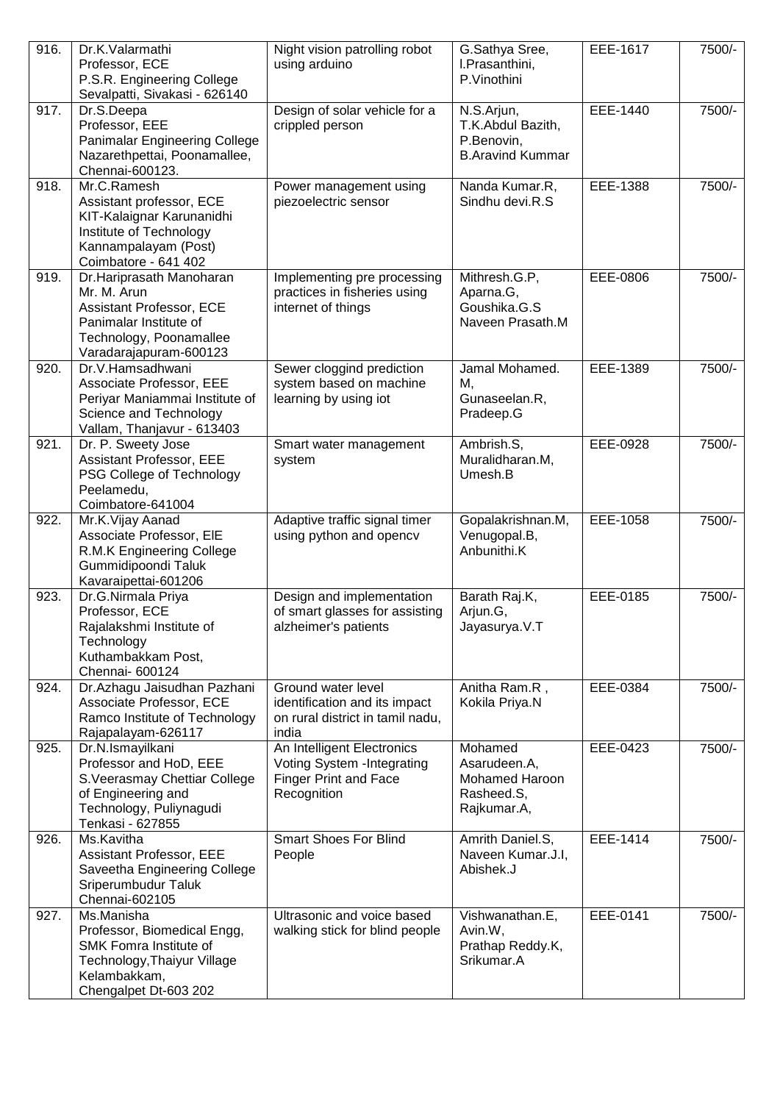| 916. | Dr.K.Valarmathi<br>Professor, ECE<br>P.S.R. Engineering College<br>Sevalpatti, Sivakasi - 626140                                                   | Night vision patrolling robot<br>using arduino                                                           | G.Sathya Sree,<br>I.Prasanthini,<br>P.Vinothini                          | EEE-1617 | 7500/- |
|------|----------------------------------------------------------------------------------------------------------------------------------------------------|----------------------------------------------------------------------------------------------------------|--------------------------------------------------------------------------|----------|--------|
| 917. | Dr.S.Deepa<br>Professor, EEE<br>Panimalar Engineering College<br>Nazarethpettai, Poonamallee,<br>Chennai-600123.                                   | Design of solar vehicle for a<br>crippled person                                                         | N.S.Arjun,<br>T.K.Abdul Bazith,<br>P.Benovin,<br><b>B.Aravind Kummar</b> | EEE-1440 | 7500/- |
| 918. | Mr.C.Ramesh<br>Assistant professor, ECE<br>KIT-Kalaignar Karunanidhi<br>Institute of Technology<br>Kannampalayam (Post)<br>Coimbatore - 641 402    | Power management using<br>piezoelectric sensor                                                           | Nanda Kumar.R,<br>Sindhu devi.R.S                                        | EEE-1388 | 7500/- |
| 919. | Dr.Hariprasath Manoharan<br>Mr. M. Arun<br>Assistant Professor, ECE<br>Panimalar Institute of<br>Technology, Poonamallee<br>Varadarajapuram-600123 | Implementing pre processing<br>practices in fisheries using<br>internet of things                        | Mithresh.G.P,<br>Aparna.G,<br>Goushika.G.S<br>Naveen Prasath.M           | EEE-0806 | 7500/- |
| 920. | Dr.V.Hamsadhwani<br>Associate Professor, EEE<br>Periyar Maniammai Institute of<br>Science and Technology<br>Vallam, Thanjavur - 613403             | Sewer cloggind prediction<br>system based on machine<br>learning by using iot                            | Jamal Mohamed.<br>М,<br>Gunaseelan.R,<br>Pradeep.G                       | EEE-1389 | 7500/- |
| 921. | Dr. P. Sweety Jose<br>Assistant Professor, EEE<br>PSG College of Technology<br>Peelamedu,<br>Coimbatore-641004                                     | Smart water management<br>system                                                                         | Ambrish.S,<br>Muralidharan.M,<br>Umesh.B                                 | EEE-0928 | 7500/- |
| 922. | Mr.K.Vijay Aanad<br>Associate Professor, EIE<br>R.M.K Engineering College<br>Gummidipoondi Taluk<br>Kavaraipettai-601206                           | Adaptive traffic signal timer<br>using python and opencv                                                 | Gopalakrishnan.M,<br>Venugopal.B,<br>Anbunithi.K                         | EEE-1058 | 7500/- |
| 923. | Dr.G.Nirmala Priya<br>Professor, ECE<br>Rajalakshmi Institute of<br>Technology<br>Kuthambakkam Post,<br>Chennai- 600124                            | Design and implementation<br>of smart glasses for assisting<br>alzheimer's patients                      | Barath Raj.K,<br>Arjun.G,<br>Jayasurya.V.T                               | EEE-0185 | 7500/- |
| 924. | Dr.Azhagu Jaisudhan Pazhani<br>Associate Professor, ECE<br>Ramco Institute of Technology<br>Rajapalayam-626117                                     | Ground water level<br>identification and its impact<br>on rural district in tamil nadu,<br>india         | Anitha Ram.R,<br>Kokila Priya.N                                          | EEE-0384 | 7500/- |
| 925. | Dr.N.Ismayilkani<br>Professor and HoD, EEE<br>S.Veerasmay Chettiar College<br>of Engineering and<br>Technology, Puliynagudi<br>Tenkasi - 627855    | An Intelligent Electronics<br>Voting System - Integrating<br><b>Finger Print and Face</b><br>Recognition | Mohamed<br>Asarudeen.A,<br>Mohamed Haroon<br>Rasheed.S,<br>Rajkumar.A,   | EEE-0423 | 7500/- |
| 926. | Ms.Kavitha<br>Assistant Professor, EEE<br>Saveetha Engineering College<br>Sriperumbudur Taluk<br>Chennai-602105                                    | <b>Smart Shoes For Blind</b><br>People                                                                   | Amrith Daniel.S,<br>Naveen Kumar.J.I,<br>Abishek.J                       | EEE-1414 | 7500/- |
| 927. | Ms.Manisha<br>Professor, Biomedical Engg,<br>SMK Fomra Institute of<br>Technology, Thaiyur Village<br>Kelambakkam,<br>Chengalpet Dt-603 202        | Ultrasonic and voice based<br>walking stick for blind people                                             | Vishwanathan.E,<br>Avin.W,<br>Prathap Reddy.K,<br>Srikumar.A             | EEE-0141 | 7500/- |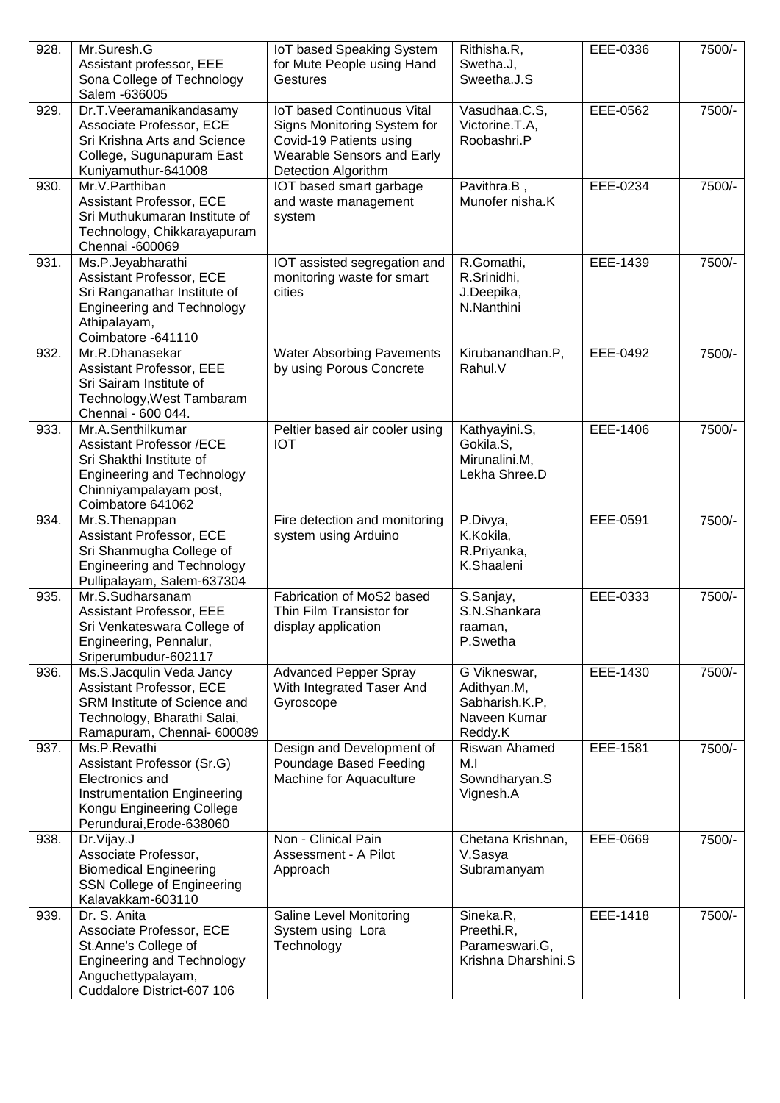| 928. | Mr.Suresh.G<br>Assistant professor, EEE<br>Sona College of Technology<br>Salem -636005                                                                               | IoT based Speaking System<br>for Mute People using Hand<br>Gestures                                                                              | Rithisha.R,<br>Swetha.J,<br>Sweetha.J.S                                  | EEE-0336 | 7500/- |
|------|----------------------------------------------------------------------------------------------------------------------------------------------------------------------|--------------------------------------------------------------------------------------------------------------------------------------------------|--------------------------------------------------------------------------|----------|--------|
| 929. | Dr.T.Veeramanikandasamy<br>Associate Professor, ECE<br>Sri Krishna Arts and Science<br>College, Sugunapuram East<br>Kuniyamuthur-641008                              | <b>IoT based Continuous Vital</b><br>Signs Monitoring System for<br>Covid-19 Patients using<br>Wearable Sensors and Early<br>Detection Algorithm | Vasudhaa.C.S,<br>Victorine.T.A,<br>Roobashri.P                           | EEE-0562 | 7500/- |
| 930. | Mr.V.Parthiban<br>Assistant Professor, ECE<br>Sri Muthukumaran Institute of<br>Technology, Chikkarayapuram<br>Chennai -600069                                        | IOT based smart garbage<br>and waste management<br>system                                                                                        | Pavithra.B,<br>Munofer nisha.K                                           | EEE-0234 | 7500/- |
| 931. | Ms.P.Jeyabharathi<br>Assistant Professor, ECE<br>Sri Ranganathar Institute of<br><b>Engineering and Technology</b><br>Athipalayam,<br>Coimbatore -641110             | IOT assisted segregation and<br>monitoring waste for smart<br>cities                                                                             | R.Gomathi,<br>R.Srinidhi,<br>J.Deepika,<br>N.Nanthini                    | EEE-1439 | 7500/- |
| 932. | Mr.R.Dhanasekar<br>Assistant Professor, EEE<br>Sri Sairam Institute of<br>Technology, West Tambaram<br>Chennai - 600 044.                                            | <b>Water Absorbing Pavements</b><br>by using Porous Concrete                                                                                     | Kirubanandhan.P,<br>Rahul.V                                              | EEE-0492 | 7500/- |
| 933. | Mr.A.Senthilkumar<br><b>Assistant Professor /ECE</b><br>Sri Shakthi Institute of<br><b>Engineering and Technology</b><br>Chinniyampalayam post,<br>Coimbatore 641062 | Peltier based air cooler using<br><b>IOT</b>                                                                                                     | Kathyayini.S,<br>Gokila.S,<br>Mirunalini.M,<br>Lekha Shree.D             | EEE-1406 | 7500/- |
| 934. | Mr.S.Thenappan<br>Assistant Professor, ECE<br>Sri Shanmugha College of<br><b>Engineering and Technology</b><br>Pullipalayam, Salem-637304                            | Fire detection and monitoring<br>system using Arduino                                                                                            | P.Divya,<br>K.Kokila,<br>R.Priyanka,<br>K.Shaaleni                       | EEE-0591 | 7500/- |
| 935. | Mr.S.Sudharsanam<br>Assistant Professor, EEE<br>Sri Venkateswara College of<br>Engineering, Pennalur,<br>Sriperumbudur-602117                                        | Fabrication of MoS2 based<br>Thin Film Transistor for<br>display application                                                                     | S.Sanjay,<br>S.N.Shankara<br>raaman.<br>P.Swetha                         | EEE-0333 | 7500/- |
| 936. | Ms.S.Jacqulin Veda Jancy<br>Assistant Professor, ECE<br>SRM Institute of Science and<br>Technology, Bharathi Salai,<br>Ramapuram, Chennai- 600089                    | <b>Advanced Pepper Spray</b><br>With Integrated Taser And<br>Gyroscope                                                                           | G Vikneswar,<br>Adithyan.M,<br>Sabharish.K.P,<br>Naveen Kumar<br>Reddy.K | EEE-1430 | 7500/- |
| 937. | Ms.P.Revathi<br>Assistant Professor (Sr.G)<br>Electronics and<br>Instrumentation Engineering<br>Kongu Engineering College<br>Perundurai, Erode-638060                | Design and Development of<br>Poundage Based Feeding<br>Machine for Aquaculture                                                                   | Riswan Ahamed<br>M.I<br>Sowndharyan.S<br>Vignesh.A                       | EEE-1581 | 7500/- |
| 938. | Dr.Vijay.J<br>Associate Professor,<br><b>Biomedical Engineering</b><br>SSN College of Engineering<br>Kalavakkam-603110                                               | Non - Clinical Pain<br>Assessment - A Pilot<br>Approach                                                                                          | Chetana Krishnan,<br>V.Sasya<br>Subramanyam                              | EEE-0669 | 7500/- |
| 939. | Dr. S. Anita<br>Associate Professor, ECE<br>St.Anne's College of<br><b>Engineering and Technology</b><br>Anguchettypalayam,<br>Cuddalore District-607 106            | Saline Level Monitoring<br>System using Lora<br>Technology                                                                                       | Sineka.R,<br>Preethi.R,<br>Parameswari.G,<br>Krishna Dharshini.S         | EEE-1418 | 7500/- |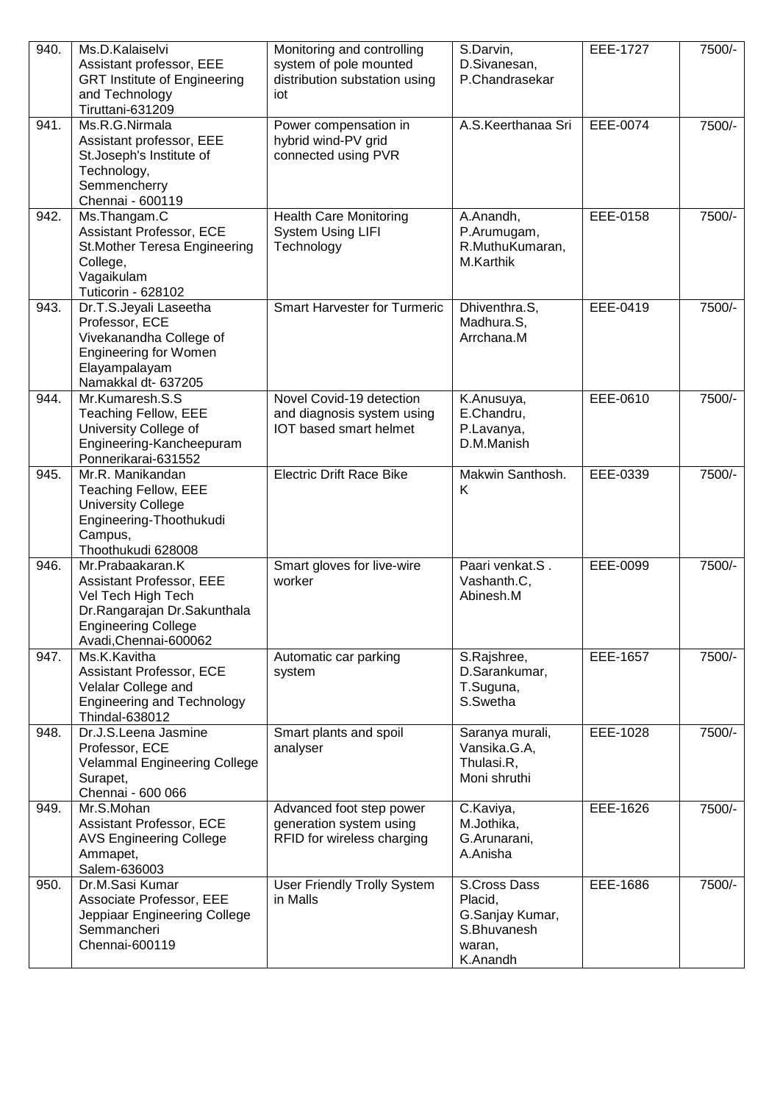| 940. | Ms.D.Kalaiselvi<br>Assistant professor, EEE<br><b>GRT Institute of Engineering</b><br>and Technology<br>Tiruttani-631209                                 | Monitoring and controlling<br>system of pole mounted<br>distribution substation using<br>iot | S.Darvin,<br>D.Sivanesan,<br>P.Chandrasekar                                     | EEE-1727 | 7500/- |
|------|----------------------------------------------------------------------------------------------------------------------------------------------------------|----------------------------------------------------------------------------------------------|---------------------------------------------------------------------------------|----------|--------|
| 941. | Ms.R.G.Nirmala<br>Assistant professor, EEE<br>St.Joseph's Institute of<br>Technology,<br>Semmencherry<br>Chennai - 600119                                | Power compensation in<br>hybrid wind-PV grid<br>connected using PVR                          | A.S.Keerthanaa Sri                                                              | EEE-0074 | 7500/- |
| 942. | Ms.Thangam.C<br>Assistant Professor, ECE<br>St. Mother Teresa Engineering<br>College,<br>Vagaikulam<br>Tuticorin - 628102                                | <b>Health Care Monitoring</b><br><b>System Using LIFI</b><br>Technology                      | A.Anandh,<br>P.Arumugam,<br>R.MuthuKumaran,<br>M.Karthik                        | EEE-0158 | 7500/- |
| 943. | Dr.T.S.Jeyali Laseetha<br>Professor, ECE<br>Vivekanandha College of<br><b>Engineering for Women</b><br>Elayampalayam<br>Namakkal dt- 637205              | <b>Smart Harvester for Turmeric</b>                                                          | Dhiventhra.S,<br>Madhura.S,<br>Arrchana.M                                       | EEE-0419 | 7500/- |
| 944. | Mr.Kumaresh.S.S<br>Teaching Fellow, EEE<br>University College of<br>Engineering-Kancheepuram<br>Ponnerikarai-631552                                      | Novel Covid-19 detection<br>and diagnosis system using<br><b>IOT</b> based smart helmet      | K.Anusuya,<br>E.Chandru,<br>P.Lavanya,<br>D.M.Manish                            | EEE-0610 | 7500/- |
| 945. | Mr.R. Manikandan<br>Teaching Fellow, EEE<br><b>University College</b><br>Engineering-Thoothukudi<br>Campus,<br>Thoothukudi 628008                        | <b>Electric Drift Race Bike</b>                                                              | Makwin Santhosh.<br>Κ                                                           | EEE-0339 | 7500/- |
| 946. | Mr.Prabaakaran.K<br>Assistant Professor, EEE<br>Vel Tech High Tech<br>Dr.Rangarajan Dr.Sakunthala<br><b>Engineering College</b><br>Avadi, Chennai-600062 | Smart gloves for live-wire<br>worker                                                         | Paari venkat.S.<br>Vashanth.C,<br>Abinesh.M                                     | EEE-0099 | 7500/- |
| 947. | Ms.K.Kavitha<br>Assistant Professor, ECE<br>Velalar College and<br><b>Engineering and Technology</b><br>Thindal-638012                                   | Automatic car parking<br>system                                                              | S.Rajshree,<br>D.Sarankumar,<br>T.Suguna,<br>S.Swetha                           | EEE-1657 | 7500/- |
| 948. | Dr.J.S.Leena Jasmine<br>Professor, ECE<br><b>Velammal Engineering College</b><br>Surapet,<br>Chennai - 600 066                                           | Smart plants and spoil<br>analyser                                                           | Saranya murali,<br>Vansika.G.A,<br>Thulasi.R,<br>Moni shruthi                   | EEE-1028 | 7500/- |
| 949. | Mr.S.Mohan<br>Assistant Professor, ECE<br><b>AVS Engineering College</b><br>Ammapet,<br>Salem-636003                                                     | Advanced foot step power<br>generation system using<br>RFID for wireless charging            | C.Kaviya,<br>M.Jothika,<br>G.Arunarani,<br>A.Anisha                             | EEE-1626 | 7500/- |
| 950. | Dr.M.Sasi Kumar<br>Associate Professor, EEE<br>Jeppiaar Engineering College<br>Semmancheri<br>Chennai-600119                                             | <b>User Friendly Trolly System</b><br>in Malls                                               | S.Cross Dass<br>Placid,<br>G.Sanjay Kumar,<br>S.Bhuvanesh<br>waran,<br>K.Anandh | EEE-1686 | 7500/- |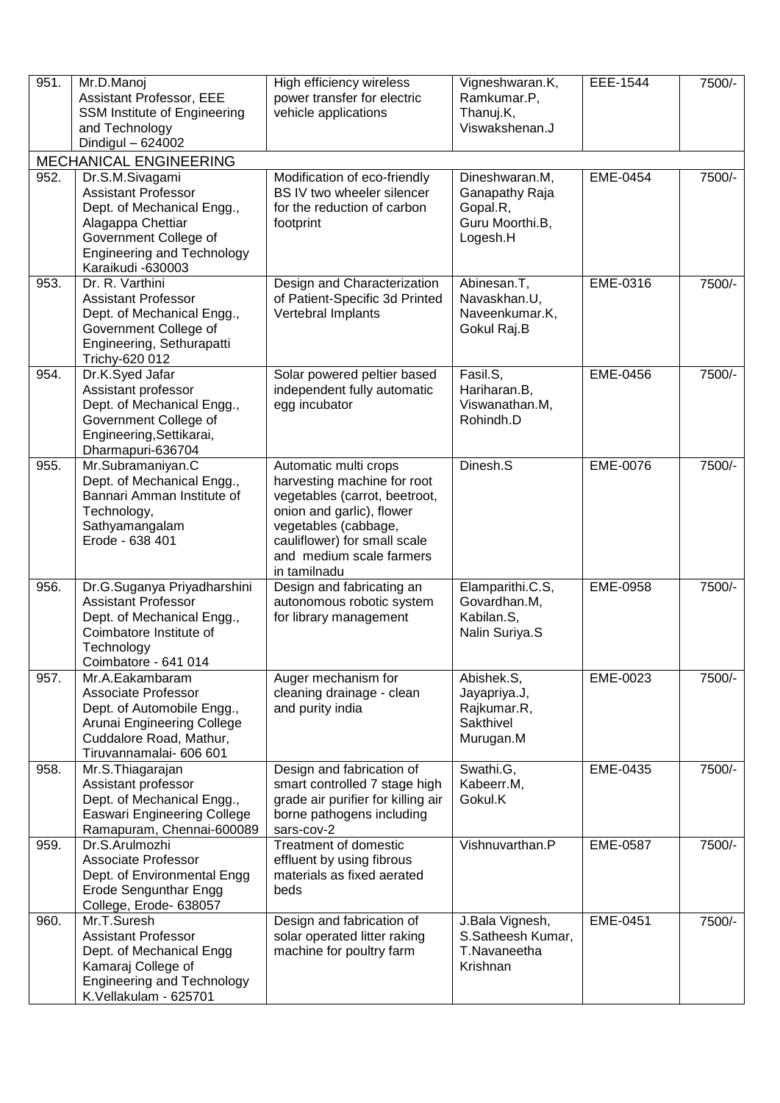| 951.               | Mr.D.Manoj<br>Assistant Professor, EEE<br>SSM Institute of Engineering<br>and Technology<br>Dindigul - 624002                                                                       | High efficiency wireless<br>power transfer for electric<br>vehicle applications                                                                                                                                        | Vigneshwaran.K,<br>Ramkumar.P,<br>Thanuj.K,<br>Viswakshenan.J               | EEE-1544 | 7500/- |
|--------------------|-------------------------------------------------------------------------------------------------------------------------------------------------------------------------------------|------------------------------------------------------------------------------------------------------------------------------------------------------------------------------------------------------------------------|-----------------------------------------------------------------------------|----------|--------|
|                    | <b>MECHANICAL ENGINEERING</b>                                                                                                                                                       |                                                                                                                                                                                                                        |                                                                             |          |        |
| $\overline{952}$ . | Dr.S.M.Sivagami<br><b>Assistant Professor</b><br>Dept. of Mechanical Engg.,<br>Alagappa Chettiar<br>Government College of<br><b>Engineering and Technology</b><br>Karaikudi -630003 | Modification of eco-friendly<br>BS IV two wheeler silencer<br>for the reduction of carbon<br>footprint                                                                                                                 | Dineshwaran.M,<br>Ganapathy Raja<br>Gopal.R,<br>Guru Moorthi.B,<br>Logesh.H | EME-0454 | 7500/- |
| 953.               | Dr. R. Varthini<br><b>Assistant Professor</b><br>Dept. of Mechanical Engg.,<br>Government College of<br>Engineering, Sethurapatti<br>Trichy-620 012                                 | Design and Characterization<br>of Patient-Specific 3d Printed<br>Vertebral Implants                                                                                                                                    | Abinesan.T,<br>Navaskhan.U,<br>Naveenkumar.K,<br>Gokul Raj.B                | EME-0316 | 7500/- |
| $\overline{954}$ . | Dr.K.Syed Jafar<br>Assistant professor<br>Dept. of Mechanical Engg.,<br>Government College of<br>Engineering, Settikarai,<br>Dharmapuri-636704                                      | Solar powered peltier based<br>independent fully automatic<br>egg incubator                                                                                                                                            | Fasil.S,<br>Hariharan.B,<br>Viswanathan.M,<br>Rohindh.D                     | EME-0456 | 7500/- |
| 955.               | Mr.Subramaniyan.C<br>Dept. of Mechanical Engg.,<br>Bannari Amman Institute of<br>Technology,<br>Sathyamangalam<br>Erode - 638 401                                                   | Automatic multi crops<br>harvesting machine for root<br>vegetables (carrot, beetroot,<br>onion and garlic), flower<br>vegetables (cabbage,<br>cauliflower) for small scale<br>and medium scale farmers<br>in tamilnadu | Dinesh.S                                                                    | EME-0076 | 7500/- |
| 956.               | Dr.G.Suganya Priyadharshini<br><b>Assistant Professor</b><br>Dept. of Mechanical Engg.,<br>Coimbatore Institute of<br>Technology<br>Coimbatore - 641 014                            | Design and fabricating an<br>autonomous robotic system<br>for library management                                                                                                                                       | Elamparithi.C.S,<br>Govardhan.M,<br>Kabilan.S.<br>Nalin Suriya.S            | EME-0958 | 7500/- |
| 957.               | Mr.A.Eakambaram<br>Associate Professor<br>Dept. of Automobile Engg.,<br>Arunai Engineering College<br>Cuddalore Road, Mathur,<br>Tiruvannamalai- 606 601                            | Auger mechanism for<br>cleaning drainage - clean<br>and purity india                                                                                                                                                   | Abishek.S,<br>Jayapriya.J,<br>Rajkumar.R,<br>Sakthivel<br>Murugan.M         | EME-0023 | 7500/- |
| 958.               | Mr.S.Thiagarajan<br>Assistant professor<br>Dept. of Mechanical Engg.,<br><b>Easwari Engineering College</b><br>Ramapuram, Chennai-600089                                            | Design and fabrication of<br>smart controlled 7 stage high<br>grade air purifier for killing air<br>borne pathogens including<br>sars-cov-2                                                                            | Swathi.G,<br>Kabeerr.M,<br>Gokul.K                                          | EME-0435 | 7500/- |
| 959.               | Dr.S.Arulmozhi<br>Associate Professor<br>Dept. of Environmental Engg<br><b>Erode Sengunthar Engg</b><br>College, Erode- 638057                                                      | Treatment of domestic<br>effluent by using fibrous<br>materials as fixed aerated<br>beds                                                                                                                               | Vishnuvarthan.P                                                             | EME-0587 | 7500/- |
| 960.               | Mr.T.Suresh<br><b>Assistant Professor</b><br>Dept. of Mechanical Engg<br>Kamaraj College of<br><b>Engineering and Technology</b><br>K.Vellakulam - 625701                           | Design and fabrication of<br>solar operated litter raking<br>machine for poultry farm                                                                                                                                  | J.Bala Vignesh,<br>S.Satheesh Kumar,<br>T.Navaneetha<br>Krishnan            | EME-0451 | 7500/- |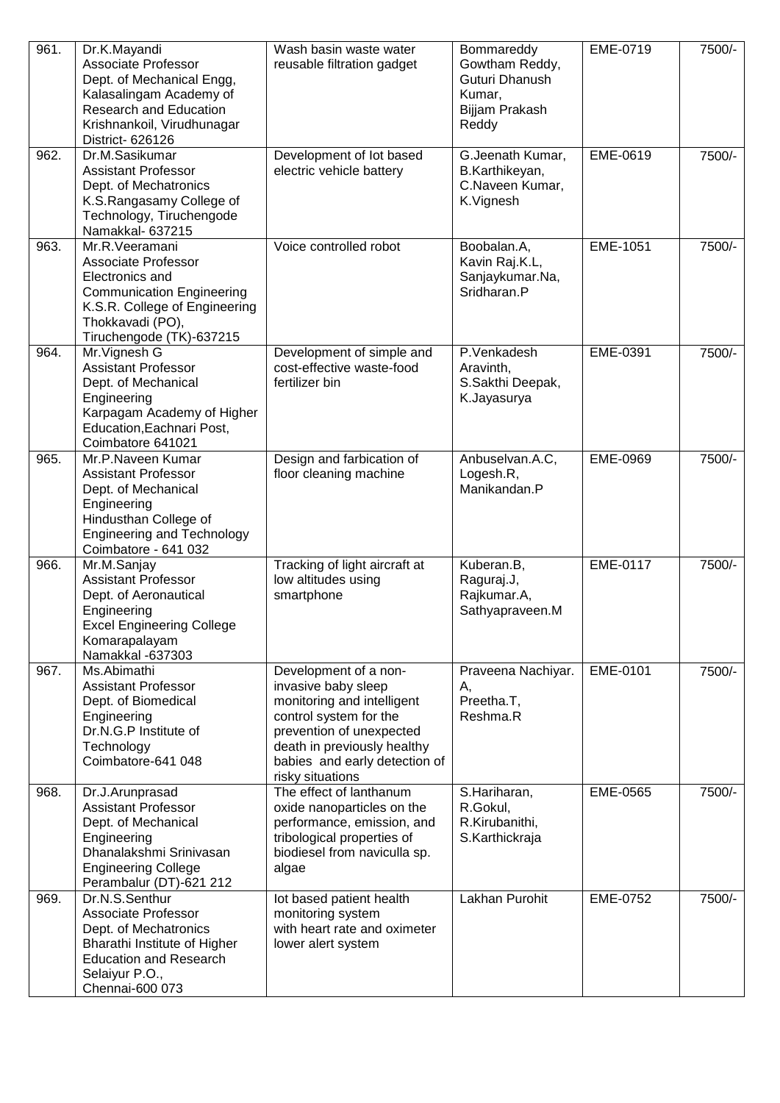| 961.               | Dr.K.Mayandi<br><b>Associate Professor</b><br>Dept. of Mechanical Engg,<br>Kalasalingam Academy of<br>Research and Education<br>Krishnankoil, Virudhunagar<br>District-626126        | Wash basin waste water<br>reusable filtration gadget                                                                                                                                                                 | Bommareddy<br>Gowtham Reddy,<br>Guturi Dhanush<br>Kumar,<br>Bijjam Prakash<br>Reddy | EME-0719        | 7500/- |
|--------------------|--------------------------------------------------------------------------------------------------------------------------------------------------------------------------------------|----------------------------------------------------------------------------------------------------------------------------------------------------------------------------------------------------------------------|-------------------------------------------------------------------------------------|-----------------|--------|
| $\overline{962}$ . | Dr.M.Sasikumar<br><b>Assistant Professor</b><br>Dept. of Mechatronics<br>K.S.Rangasamy College of<br>Technology, Tiruchengode<br>Namakkal- 637215                                    | Development of lot based<br>electric vehicle battery                                                                                                                                                                 | G.Jeenath Kumar,<br>B.Karthikeyan,<br>C.Naveen Kumar,<br>K.Vignesh                  | <b>EME-0619</b> | 7500/- |
| 963.               | Mr.R.Veeramani<br><b>Associate Professor</b><br>Electronics and<br><b>Communication Engineering</b><br>K.S.R. College of Engineering<br>Thokkavadi (PO),<br>Tiruchengode (TK)-637215 | Voice controlled robot                                                                                                                                                                                               | Boobalan.A,<br>Kavin Raj.K.L,<br>Sanjaykumar.Na,<br>Sridharan.P                     | EME-1051        | 7500/- |
| 964.               | Mr. Vignesh G<br><b>Assistant Professor</b><br>Dept. of Mechanical<br>Engineering<br>Karpagam Academy of Higher<br>Education, Eachnari Post,<br>Coimbatore 641021                    | Development of simple and<br>cost-effective waste-food<br>fertilizer bin                                                                                                                                             | P.Venkadesh<br>Aravinth,<br>S.Sakthi Deepak,<br>K.Jayasurya                         | EME-0391        | 7500/- |
| 965.               | Mr.P.Naveen Kumar<br><b>Assistant Professor</b><br>Dept. of Mechanical<br>Engineering<br>Hindusthan College of<br><b>Engineering and Technology</b><br>Coimbatore - 641 032          | Design and farbication of<br>floor cleaning machine                                                                                                                                                                  | Anbuselvan.A.C,<br>Logesh.R,<br>Manikandan.P                                        | EME-0969        | 7500/- |
| 966.               | Mr.M.Sanjay<br><b>Assistant Professor</b><br>Dept. of Aeronautical<br>Engineering<br><b>Excel Engineering College</b><br>Komarapalayam<br>Namakkal -637303                           | Tracking of light aircraft at<br>low altitudes using<br>smartphone                                                                                                                                                   | Kuberan.B,<br>Raguraj.J,<br>Rajkumar.A,<br>Sathyapraveen.M                          | EME-0117        | 7500/- |
| 967.               | Ms.Abimathi<br><b>Assistant Professor</b><br>Dept. of Biomedical<br>Engineering<br>Dr.N.G.P Institute of<br>Technology<br>Coimbatore-641 048                                         | Development of a non-<br>invasive baby sleep<br>monitoring and intelligent<br>control system for the<br>prevention of unexpected<br>death in previously healthy<br>babies and early detection of<br>risky situations | Praveena Nachiyar.<br>А,<br>Preetha.T,<br>Reshma.R                                  | EME-0101        | 7500/- |
| 968.               | Dr.J.Arunprasad<br><b>Assistant Professor</b><br>Dept. of Mechanical<br>Engineering<br>Dhanalakshmi Srinivasan<br><b>Engineering College</b><br>Perambalur (DT)-621 212              | The effect of lanthanum<br>oxide nanoparticles on the<br>performance, emission, and<br>tribological properties of<br>biodiesel from naviculla sp.<br>algae                                                           | S.Hariharan,<br>R.Gokul,<br>R.Kirubanithi,<br>S.Karthickraja                        | EME-0565        | 7500/- |
| 969.               | Dr.N.S.Senthur<br>Associate Professor<br>Dept. of Mechatronics<br>Bharathi Institute of Higher<br><b>Education and Research</b><br>Selaiyur P.O.,<br>Chennai-600 073                 | lot based patient health<br>monitoring system<br>with heart rate and oximeter<br>lower alert system                                                                                                                  | Lakhan Purohit                                                                      | EME-0752        | 7500/- |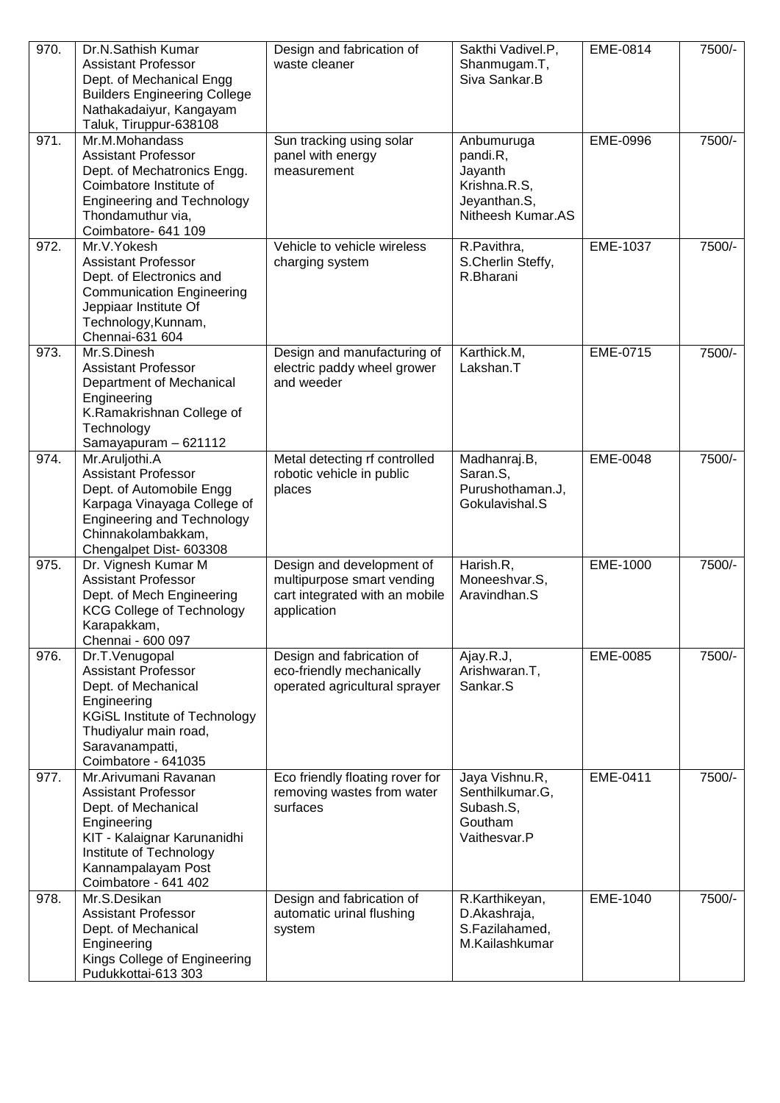| 970. | Dr.N.Sathish Kumar<br><b>Assistant Professor</b><br>Dept. of Mechanical Engg<br><b>Builders Engineering College</b><br>Nathakadaiyur, Kangayam<br>Taluk, Tiruppur-638108                         | Design and fabrication of<br>waste cleaner                                                               | Sakthi Vadivel.P,<br>Shanmugam.T,<br>Siva Sankar.B                                     | EME-0814 | 7500/- |
|------|--------------------------------------------------------------------------------------------------------------------------------------------------------------------------------------------------|----------------------------------------------------------------------------------------------------------|----------------------------------------------------------------------------------------|----------|--------|
| 971. | Mr.M.Mohandass<br><b>Assistant Professor</b><br>Dept. of Mechatronics Engg.<br>Coimbatore Institute of<br><b>Engineering and Technology</b><br>Thondamuthur via,<br>Coimbatore- 641 109          | Sun tracking using solar<br>panel with energy<br>measurement                                             | Anbumuruga<br>pandi.R,<br>Jayanth<br>Krishna.R.S,<br>Jeyanthan.S,<br>Nitheesh Kumar.AS | EME-0996 | 7500/- |
| 972. | Mr.V.Yokesh<br><b>Assistant Professor</b><br>Dept. of Electronics and<br><b>Communication Engineering</b><br>Jeppiaar Institute Of<br>Technology, Kunnam,<br>Chennai-631 604                     | Vehicle to vehicle wireless<br>charging system                                                           | R.Pavithra,<br>S.Cherlin Steffy,<br>R.Bharani                                          | EME-1037 | 7500/- |
| 973. | Mr.S.Dinesh<br><b>Assistant Professor</b><br>Department of Mechanical<br>Engineering<br>K.Ramakrishnan College of<br>Technology<br>Samayapuram - 621112                                          | Design and manufacturing of<br>electric paddy wheel grower<br>and weeder                                 | Karthick.M,<br>Lakshan.T                                                               | EME-0715 | 7500/- |
| 974. | Mr.Aruljothi.A<br><b>Assistant Professor</b><br>Dept. of Automobile Engg<br>Karpaga Vinayaga College of<br><b>Engineering and Technology</b><br>Chinnakolambakkam,<br>Chengalpet Dist- 603308    | Metal detecting rf controlled<br>robotic vehicle in public<br>places                                     | Madhanraj.B,<br>Saran.S,<br>Purushothaman.J,<br>Gokulavishal.S                         | EME-0048 | 7500/- |
| 975. | Dr. Vignesh Kumar M<br><b>Assistant Professor</b><br>Dept. of Mech Engineering<br><b>KCG College of Technology</b><br>Karapakkam,<br>Chennai - 600 097                                           | Design and development of<br>multipurpose smart vending<br>cart integrated with an mobile<br>application | Harish.R,<br>Moneeshvar.S,<br>Aravindhan.S                                             | EME-1000 | 7500/- |
| 976. | Dr.T.Venugopal<br><b>Assistant Professor</b><br>Dept. of Mechanical<br>Engineering<br><b>KGiSL Institute of Technology</b><br>Thudiyalur main road,<br>Saravanampatti,<br>Coimbatore - 641035    | Design and fabrication of<br>eco-friendly mechanically<br>operated agricultural sprayer                  | Ajay.R.J,<br>Arishwaran.T,<br>Sankar.S                                                 | EME-0085 | 7500/- |
| 977. | Mr.Arivumani Ravanan<br><b>Assistant Professor</b><br>Dept. of Mechanical<br>Engineering<br>KIT - Kalaignar Karunanidhi<br>Institute of Technology<br>Kannampalayam Post<br>Coimbatore - 641 402 | Eco friendly floating rover for<br>removing wastes from water<br>surfaces                                | Jaya Vishnu.R,<br>Senthilkumar.G,<br>Subash.S,<br>Goutham<br>Vaithesvar.P              | EME-0411 | 7500/- |
| 978. | Mr.S.Desikan<br><b>Assistant Professor</b><br>Dept. of Mechanical<br>Engineering<br>Kings College of Engineering<br>Pudukkottai-613 303                                                          | Design and fabrication of<br>automatic urinal flushing<br>system                                         | R.Karthikeyan,<br>D.Akashraja,<br>S.Fazilahamed,<br>M.Kailashkumar                     | EME-1040 | 7500/- |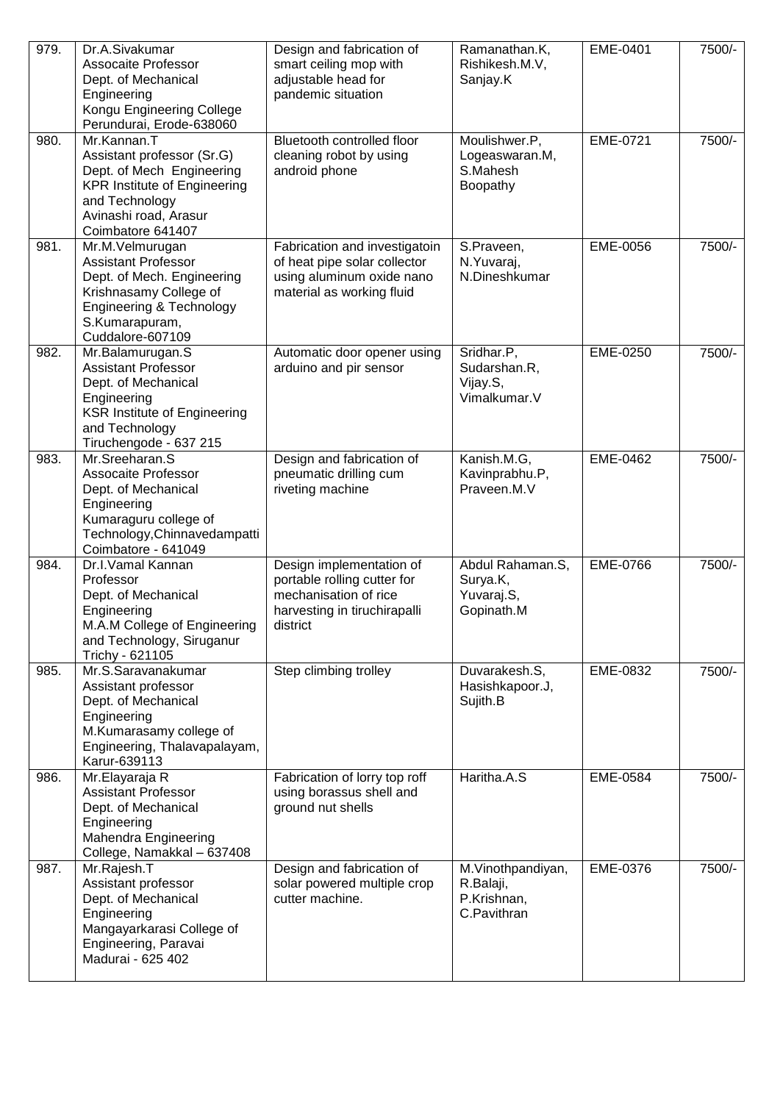| 979. | Dr.A.Sivakumar<br>Assocaite Professor<br>Dept. of Mechanical<br>Engineering<br>Kongu Engineering College<br>Perundurai, Erode-638060                                          | Design and fabrication of<br>smart ceiling mop with<br>adjustable head for<br>pandemic situation                             | Ramanathan.K,<br>Rishikesh.M.V,<br>Sanjay.K                  | EME-0401        | 7500/- |
|------|-------------------------------------------------------------------------------------------------------------------------------------------------------------------------------|------------------------------------------------------------------------------------------------------------------------------|--------------------------------------------------------------|-----------------|--------|
| 980. | Mr.Kannan.T<br>Assistant professor (Sr.G)<br>Dept. of Mech Engineering<br><b>KPR Institute of Engineering</b><br>and Technology<br>Avinashi road, Arasur<br>Coimbatore 641407 | Bluetooth controlled floor<br>cleaning robot by using<br>android phone                                                       | Moulishwer.P,<br>Logeaswaran.M,<br>S.Mahesh<br>Boopathy      | EME-0721        | 7500/- |
| 981. | Mr.M.Velmurugan<br><b>Assistant Professor</b><br>Dept. of Mech. Engineering<br>Krishnasamy College of<br>Engineering & Technology<br>S.Kumarapuram,<br>Cuddalore-607109       | Fabrication and investigatoin<br>of heat pipe solar collector<br>using aluminum oxide nano<br>material as working fluid      | S.Praveen,<br>N. Yuvaraj,<br>N.Dineshkumar                   | EME-0056        | 7500/- |
| 982. | Mr.Balamurugan.S<br><b>Assistant Professor</b><br>Dept. of Mechanical<br>Engineering<br><b>KSR Institute of Engineering</b><br>and Technology<br>Tiruchengode - 637 215       | Automatic door opener using<br>arduino and pir sensor                                                                        | Sridhar.P,<br>Sudarshan.R,<br>Vijay.S,<br>Vimalkumar.V       | EME-0250        | 7500/- |
| 983. | Mr.Sreeharan.S<br><b>Assocaite Professor</b><br>Dept. of Mechanical<br>Engineering<br>Kumaraguru college of<br>Technology, Chinnavedampatti<br>Coimbatore - 641049            | Design and fabrication of<br>pneumatic drilling cum<br>riveting machine                                                      | Kanish.M.G,<br>Kavinprabhu.P,<br>Praveen.M.V                 | EME-0462        | 7500/- |
| 984. | Dr.I.Vamal Kannan<br>Professor<br>Dept. of Mechanical<br>Engineering<br>M.A.M College of Engineering<br>and Technology, Siruganur<br>Trichy - 621105                          | Design implementation of<br>portable rolling cutter for<br>mechanisation of rice<br>harvesting in tiruchirapalli<br>district | Abdul Rahaman.S,<br>Surya.K,<br>Yuvaraj.S,<br>Gopinath.M     | <b>EME-0766</b> | 7500/- |
| 985. | Mr.S.Saravanakumar<br>Assistant professor<br>Dept. of Mechanical<br>Engineering<br>M.Kumarasamy college of<br>Engineering, Thalavapalayam,<br>Karur-639113                    | Step climbing trolley                                                                                                        | Duvarakesh.S,<br>Hasishkapoor.J,<br>Sujith.B                 | EME-0832        | 7500/- |
| 986. | Mr.Elayaraja R<br><b>Assistant Professor</b><br>Dept. of Mechanical<br>Engineering<br>Mahendra Engineering<br>College, Namakkal - 637408                                      | Fabrication of lorry top roff<br>using borassus shell and<br>ground nut shells                                               | Haritha.A.S                                                  | EME-0584        | 7500/- |
| 987. | Mr.Rajesh.T<br>Assistant professor<br>Dept. of Mechanical<br>Engineering<br>Mangayarkarasi College of<br>Engineering, Paravai<br>Madurai - 625 402                            | Design and fabrication of<br>solar powered multiple crop<br>cutter machine.                                                  | M.Vinothpandiyan,<br>R.Balaji,<br>P.Krishnan,<br>C.Pavithran | EME-0376        | 7500/- |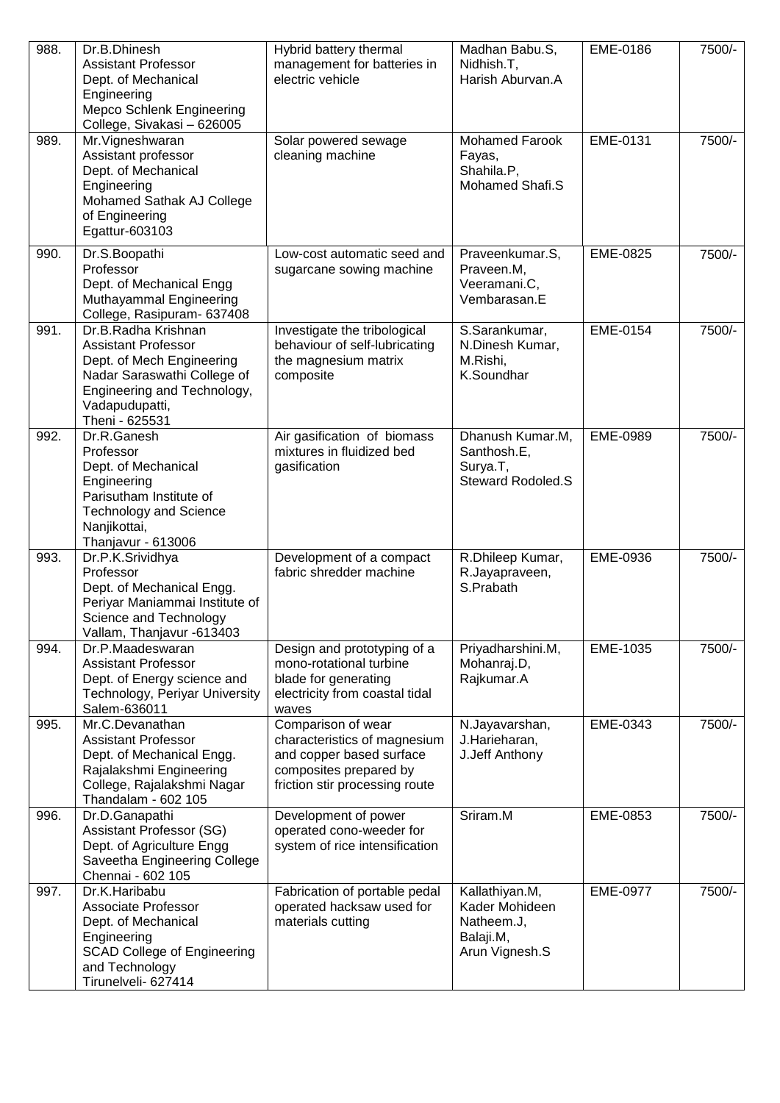| 988. | Dr.B.Dhinesh<br><b>Assistant Professor</b><br>Dept. of Mechanical<br>Engineering<br><b>Mepco Schlenk Engineering</b><br>College, Sivakasi - 626005                               | Hybrid battery thermal<br>management for batteries in<br>electric vehicle                                                                  | Madhan Babu.S,<br>Nidhish.T,<br>Harish Aburvan.A                              | EME-0186 | 7500/- |
|------|----------------------------------------------------------------------------------------------------------------------------------------------------------------------------------|--------------------------------------------------------------------------------------------------------------------------------------------|-------------------------------------------------------------------------------|----------|--------|
| 989. | Mr. Vigneshwaran<br>Assistant professor<br>Dept. of Mechanical<br>Engineering<br>Mohamed Sathak AJ College<br>of Engineering<br>Egattur-603103                                   | Solar powered sewage<br>cleaning machine                                                                                                   | <b>Mohamed Farook</b><br>Fayas,<br>Shahila.P,<br>Mohamed Shafi.S              | EME-0131 | 7500/- |
| 990. | Dr.S.Boopathi<br>Professor<br>Dept. of Mechanical Engg<br>Muthayammal Engineering<br>College, Rasipuram- 637408                                                                  | Low-cost automatic seed and<br>sugarcane sowing machine                                                                                    | Praveenkumar.S,<br>Praveen.M,<br>Veeramani.C,<br>Vembarasan.E                 | EME-0825 | 7500/- |
| 991. | Dr.B.Radha Krishnan<br><b>Assistant Professor</b><br>Dept. of Mech Engineering<br>Nadar Saraswathi College of<br>Engineering and Technology,<br>Vadapudupatti,<br>Theni - 625531 | Investigate the tribological<br>behaviour of self-lubricating<br>the magnesium matrix<br>composite                                         | S.Sarankumar,<br>N.Dinesh Kumar,<br>M.Rishi,<br>K.Soundhar                    | EME-0154 | 7500/- |
| 992. | Dr.R.Ganesh<br>Professor<br>Dept. of Mechanical<br>Engineering<br>Parisutham Institute of<br><b>Technology and Science</b><br>Nanjikottai,<br>Thanjavur - 613006                 | Air gasification of biomass<br>mixtures in fluidized bed<br>gasification                                                                   | Dhanush Kumar.M,<br>Santhosh.E,<br>Surya.T,<br><b>Steward Rodoled.S</b>       | EME-0989 | 7500/- |
| 993. | Dr.P.K.Srividhya<br>Professor<br>Dept. of Mechanical Engg.<br>Periyar Maniammai Institute of<br>Science and Technology<br>Vallam, Thanjavur -613403                              | Development of a compact<br>fabric shredder machine                                                                                        | R.Dhileep Kumar,<br>R.Jayapraveen,<br>S.Prabath                               | EME-0936 | 7500/- |
| 994. | Dr.P.Maadeswaran<br><b>Assistant Professor</b><br>Dept. of Energy science and<br>Technology, Periyar University<br>Salem-636011                                                  | Design and prototyping of a<br>mono-rotational turbine<br>blade for generating<br>electricity from coastal tidal<br>waves                  | Priyadharshini.M,<br>Mohanraj.D,<br>Rajkumar.A                                | EME-1035 | 7500/- |
| 995. | Mr.C.Devanathan<br><b>Assistant Professor</b><br>Dept. of Mechanical Engg.<br>Rajalakshmi Engineering<br>College, Rajalakshmi Nagar<br>Thandalam - 602 105                       | Comparison of wear<br>characteristics of magnesium<br>and copper based surface<br>composites prepared by<br>friction stir processing route | N.Jayavarshan,<br>J.Harieharan,<br>J.Jeff Anthony                             | EME-0343 | 7500/- |
| 996. | Dr.D.Ganapathi<br>Assistant Professor (SG)<br>Dept. of Agriculture Engg<br>Saveetha Engineering College<br>Chennai - 602 105                                                     | Development of power<br>operated cono-weeder for<br>system of rice intensification                                                         | Sriram.M                                                                      | EME-0853 | 7500/- |
| 997. | Dr.K.Haribabu<br>Associate Professor<br>Dept. of Mechanical<br>Engineering<br><b>SCAD College of Engineering</b><br>and Technology<br>Tirunelveli- 627414                        | Fabrication of portable pedal<br>operated hacksaw used for<br>materials cutting                                                            | Kallathiyan.M,<br>Kader Mohideen<br>Natheem.J,<br>Balaji.M,<br>Arun Vignesh.S | EME-0977 | 7500/- |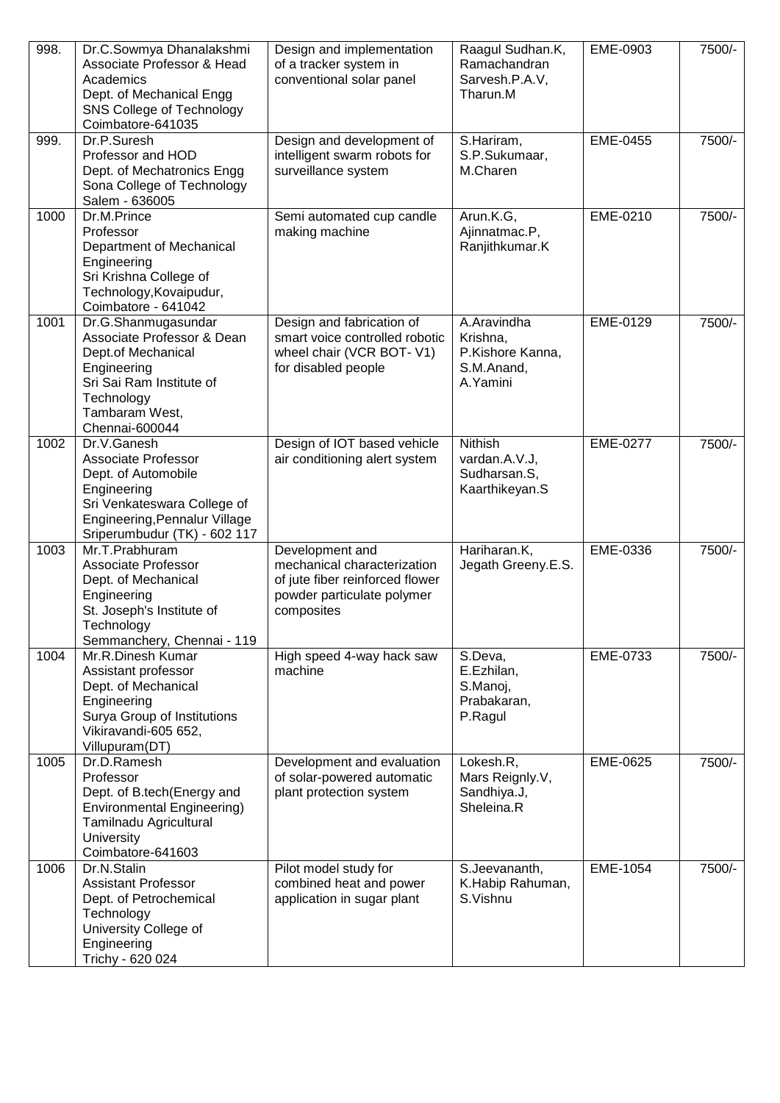| 998. | Dr.C.Sowmya Dhanalakshmi<br>Associate Professor & Head<br>Academics<br>Dept. of Mechanical Engg<br>SNS College of Technology<br>Coimbatore-641035                        | Design and implementation<br>of a tracker system in<br>conventional solar panel                                               | Raagul Sudhan.K,<br>Ramachandran<br>Sarvesh.P.A.V,<br>Tharun.M        | EME-0903        | 7500/- |
|------|--------------------------------------------------------------------------------------------------------------------------------------------------------------------------|-------------------------------------------------------------------------------------------------------------------------------|-----------------------------------------------------------------------|-----------------|--------|
| 999. | Dr.P.Suresh<br>Professor and HOD<br>Dept. of Mechatronics Engg<br>Sona College of Technology<br>Salem - 636005                                                           | Design and development of<br>intelligent swarm robots for<br>surveillance system                                              | S.Hariram,<br>S.P.Sukumaar,<br>M.Charen                               | EME-0455        | 7500/- |
| 1000 | Dr.M.Prince<br>Professor<br>Department of Mechanical<br>Engineering<br>Sri Krishna College of<br>Technology, Kovaipudur,<br>Coimbatore - 641042                          | Semi automated cup candle<br>making machine                                                                                   | Arun.K.G,<br>Ajinnatmac.P,<br>Ranjithkumar.K                          | EME-0210        | 7500/- |
| 1001 | Dr.G.Shanmugasundar<br>Associate Professor & Dean<br>Dept.of Mechanical<br>Engineering<br>Sri Sai Ram Institute of<br>Technology<br>Tambaram West,<br>Chennai-600044     | Design and fabrication of<br>smart voice controlled robotic<br>wheel chair (VCR BOT-V1)<br>for disabled people                | A.Aravindha<br>Krishna,<br>P.Kishore Kanna,<br>S.M.Anand,<br>A.Yamini | EME-0129        | 7500/- |
| 1002 | Dr.V.Ganesh<br>Associate Professor<br>Dept. of Automobile<br>Engineering<br>Sri Venkateswara College of<br>Engineering, Pennalur Village<br>Sriperumbudur (TK) - 602 117 | Design of IOT based vehicle<br>air conditioning alert system                                                                  | Nithish<br>vardan.A.V.J,<br>Sudharsan.S,<br>Kaarthikeyan.S            | EME-0277        | 7500/- |
| 1003 | Mr.T.Prabhuram<br>Associate Professor<br>Dept. of Mechanical<br>Engineering<br>St. Joseph's Institute of<br>Technology<br>Semmanchery, Chennai - 119                     | Development and<br>mechanical characterization<br>of jute fiber reinforced flower<br>powder particulate polymer<br>composites | Hariharan.K,<br>Jegath Greeny.E.S.                                    | <b>EME-0336</b> | 7500/- |
| 1004 | Mr.R.Dinesh Kumar<br>Assistant professor<br>Dept. of Mechanical<br>Engineering<br>Surya Group of Institutions<br>Vikiravandi-605 652,<br>Villupuram(DT)                  | High speed 4-way hack saw<br>machine                                                                                          | S.Deva,<br>E.Ezhilan,<br>S.Manoj,<br>Prabakaran,<br>P.Ragul           | EME-0733        | 7500/- |
| 1005 | Dr.D.Ramesh<br>Professor<br>Dept. of B.tech(Energy and<br><b>Environmental Engineering)</b><br>Tamilnadu Agricultural<br>University<br>Coimbatore-641603                 | Development and evaluation<br>of solar-powered automatic<br>plant protection system                                           | Lokesh.R,<br>Mars Reignly.V,<br>Sandhiya.J,<br>Sheleina.R             | EME-0625        | 7500/- |
| 1006 | Dr.N.Stalin<br><b>Assistant Professor</b><br>Dept. of Petrochemical<br>Technology<br>University College of<br>Engineering<br>Trichy - 620 024                            | Pilot model study for<br>combined heat and power<br>application in sugar plant                                                | S.Jeevananth,<br>K.Habip Rahuman,<br>S.Vishnu                         | EME-1054        | 7500/- |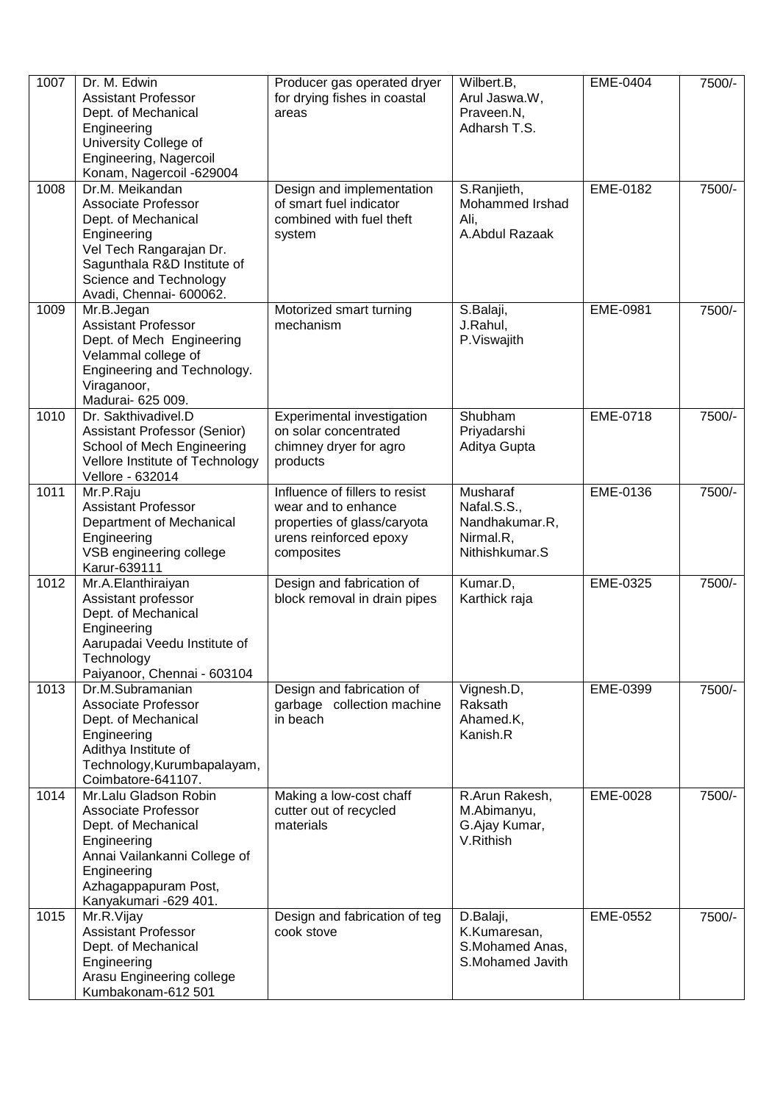| 1007 | Dr. M. Edwin<br><b>Assistant Professor</b><br>Dept. of Mechanical<br>Engineering<br>University College of<br>Engineering, Nagercoil<br>Konam, Nagercoil -629004                             | Producer gas operated dryer<br>for drying fishes in coastal<br>areas                                                         | Wilbert.B,<br>Arul Jaswa.W,<br>Praveen.N,<br>Adharsh T.S.                | EME-0404 | 7500/- |
|------|---------------------------------------------------------------------------------------------------------------------------------------------------------------------------------------------|------------------------------------------------------------------------------------------------------------------------------|--------------------------------------------------------------------------|----------|--------|
| 1008 | Dr.M. Meikandan<br>Associate Professor<br>Dept. of Mechanical<br>Engineering<br>Vel Tech Rangarajan Dr.<br>Sagunthala R&D Institute of<br>Science and Technology<br>Avadi, Chennai- 600062. | Design and implementation<br>of smart fuel indicator<br>combined with fuel theft<br>system                                   | S.Ranjieth,<br>Mohammed Irshad<br>Ali,<br>A.Abdul Razaak                 | EME-0182 | 7500/- |
| 1009 | Mr.B.Jegan<br><b>Assistant Professor</b><br>Dept. of Mech Engineering<br>Velammal college of<br>Engineering and Technology.<br>Viraganoor,<br>Madurai- 625 009.                             | Motorized smart turning<br>mechanism                                                                                         | S.Balaji,<br>J.Rahul,<br>P.Viswajith                                     | EME-0981 | 7500/- |
| 1010 | Dr. Sakthivadivel.D<br>Assistant Professor (Senior)<br>School of Mech Engineering<br>Vellore Institute of Technology<br>Vellore - 632014                                                    | Experimental investigation<br>on solar concentrated<br>chimney dryer for agro<br>products                                    | Shubham<br>Priyadarshi<br>Aditya Gupta                                   | EME-0718 | 7500/- |
| 1011 | Mr.P.Raju<br><b>Assistant Professor</b><br>Department of Mechanical<br>Engineering<br>VSB engineering college<br>Karur-639111                                                               | Influence of fillers to resist<br>wear and to enhance<br>properties of glass/caryota<br>urens reinforced epoxy<br>composites | Musharaf<br>Nafal.S.S.,<br>Nandhakumar.R,<br>Nirmal.R,<br>Nithishkumar.S | EME-0136 | 7500/- |
| 1012 | Mr.A.Elanthiraiyan<br>Assistant professor<br>Dept. of Mechanical<br>Engineering<br>Aarupadai Veedu Institute of<br>Technology<br>Paiyanoor, Chennai - 603104                                | Design and fabrication of<br>block removal in drain pipes                                                                    | Kumar.D,<br>Karthick raja                                                | EME-0325 | 7500/- |
| 1013 | Dr.M.Subramanian<br>Associate Professor<br>Dept. of Mechanical<br>Engineering<br>Adithya Institute of<br>Technology, Kurumbapalayam,<br>Coimbatore-641107.                                  | Design and fabrication of<br>garbage collection machine<br>in beach                                                          | Vignesh.D,<br>Raksath<br>Ahamed.K,<br>Kanish.R                           | EME-0399 | 7500/- |
| 1014 | Mr.Lalu Gladson Robin<br><b>Associate Professor</b><br>Dept. of Mechanical<br>Engineering<br>Annai Vailankanni College of<br>Engineering<br>Azhagappapuram Post,<br>Kanyakumari -629 401.   | Making a low-cost chaff<br>cutter out of recycled<br>materials                                                               | R.Arun Rakesh,<br>M.Abimanyu,<br>G.Ajay Kumar,<br>V.Rithish              | EME-0028 | 7500/- |
| 1015 | Mr.R.Vijay<br><b>Assistant Professor</b><br>Dept. of Mechanical<br>Engineering<br>Arasu Engineering college<br>Kumbakonam-612 501                                                           | Design and fabrication of teg<br>cook stove                                                                                  | D.Balaji,<br>K.Kumaresan,<br>S.Mohamed Anas,<br>S.Mohamed Javith         | EME-0552 | 7500/- |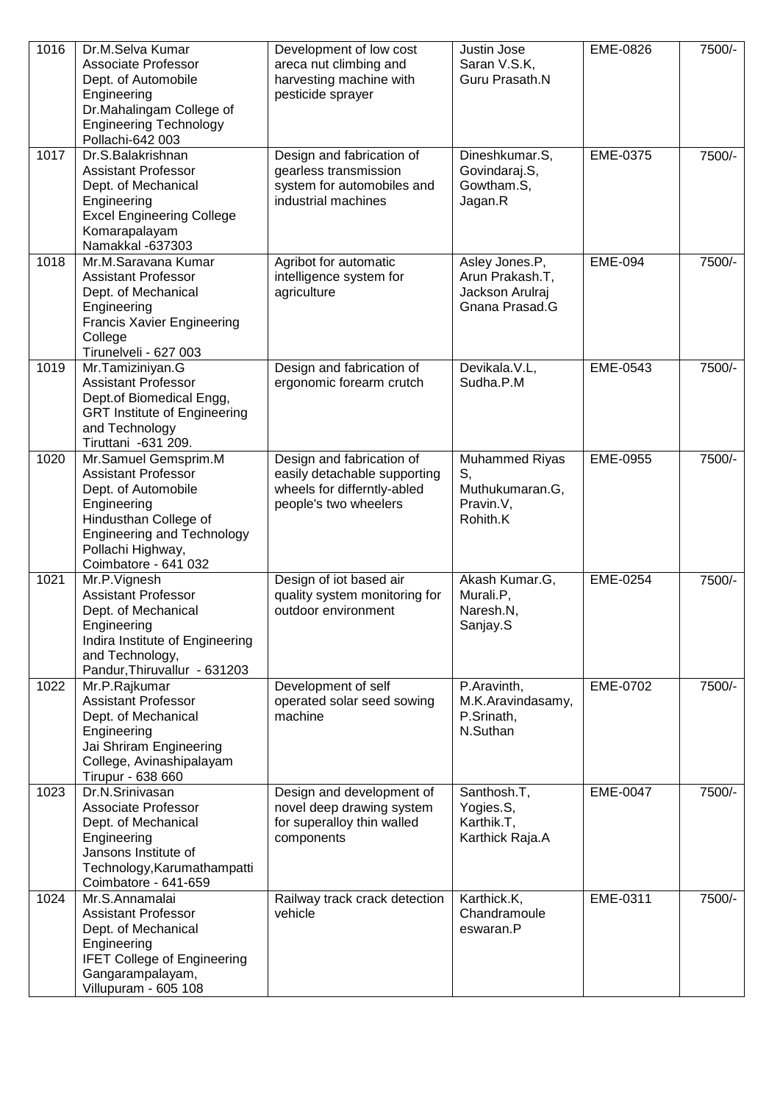| 1016 | Dr.M.Selva Kumar<br><b>Associate Professor</b><br>Dept. of Automobile<br>Engineering<br>Dr.Mahalingam College of<br><b>Engineering Technology</b><br>Pollachi-642 003                               | Development of low cost<br>areca nut climbing and<br>harvesting machine with<br>pesticide sprayer                 | Justin Jose<br>Saran V.S.K,<br>Guru Prasath.N                          | EME-0826        | 7500/- |
|------|-----------------------------------------------------------------------------------------------------------------------------------------------------------------------------------------------------|-------------------------------------------------------------------------------------------------------------------|------------------------------------------------------------------------|-----------------|--------|
| 1017 | Dr.S.Balakrishnan<br><b>Assistant Professor</b><br>Dept. of Mechanical<br>Engineering<br><b>Excel Engineering College</b><br>Komarapalayam<br>Namakkal -637303                                      | Design and fabrication of<br>gearless transmission<br>system for automobiles and<br>industrial machines           | Dineshkumar.S,<br>Govindaraj.S,<br>Gowtham.S,<br>Jagan.R               | EME-0375        | 7500/- |
| 1018 | Mr.M.Saravana Kumar<br><b>Assistant Professor</b><br>Dept. of Mechanical<br>Engineering<br><b>Francis Xavier Engineering</b><br>College<br>Tirunelveli - 627 003                                    | Agribot for automatic<br>intelligence system for<br>agriculture                                                   | Asley Jones.P,<br>Arun Prakash.T,<br>Jackson Arulraj<br>Gnana Prasad.G | <b>EME-094</b>  | 7500/- |
| 1019 | Mr.Tamiziniyan.G<br><b>Assistant Professor</b><br>Dept.of Biomedical Engg,<br><b>GRT Institute of Engineering</b><br>and Technology<br>Tiruttani -631 209.                                          | Design and fabrication of<br>ergonomic forearm crutch                                                             | Devikala.V.L.<br>Sudha.P.M                                             | EME-0543        | 7500/- |
| 1020 | Mr.Samuel Gemsprim.M<br><b>Assistant Professor</b><br>Dept. of Automobile<br>Engineering<br>Hindusthan College of<br><b>Engineering and Technology</b><br>Pollachi Highway,<br>Coimbatore - 641 032 | Design and fabrication of<br>easily detachable supporting<br>wheels for differntly-abled<br>people's two wheelers | Muhammed Riyas<br>S,<br>Muthukumaran.G,<br>Pravin.V,<br>Rohith.K       | EME-0955        | 7500/- |
| 1021 | Mr.P.Vignesh<br><b>Assistant Professor</b><br>Dept. of Mechanical<br>Engineering<br>Indira Institute of Engineering<br>and Technology,<br>Pandur, Thiruvallur - 631203                              | Design of iot based air<br>quality system monitoring for<br>outdoor environment                                   | Akash Kumar.G,<br>Murali.P,<br>Naresh.N,<br>Sanjay.S                   | EME-0254        | 7500/- |
| 1022 | Mr.P.Rajkumar<br><b>Assistant Professor</b><br>Dept. of Mechanical<br>Engineering<br>Jai Shriram Engineering<br>College, Avinashipalayam<br>Tirupur - 638 660                                       | Development of self<br>operated solar seed sowing<br>machine                                                      | P.Aravinth,<br>M.K.Aravindasamy,<br>P.Srinath,<br>N.Suthan             | EME-0702        | 7500/- |
| 1023 | Dr.N.Srinivasan<br>Associate Professor<br>Dept. of Mechanical<br>Engineering<br>Jansons Institute of<br>Technology, Karumathampatti<br>Coimbatore - 641-659                                         | Design and development of<br>novel deep drawing system<br>for superalloy thin walled<br>components                | Santhosh.T,<br>Yogies.S,<br>Karthik.T,<br>Karthick Raja.A              | <b>EME-0047</b> | 7500/- |
| 1024 | Mr.S.Annamalai<br><b>Assistant Professor</b><br>Dept. of Mechanical<br>Engineering<br><b>IFET College of Engineering</b><br>Gangarampalayam,<br>Villupuram - 605 108                                | Railway track crack detection<br>vehicle                                                                          | Karthick.K,<br>Chandramoule<br>eswaran.P                               | EME-0311        | 7500/- |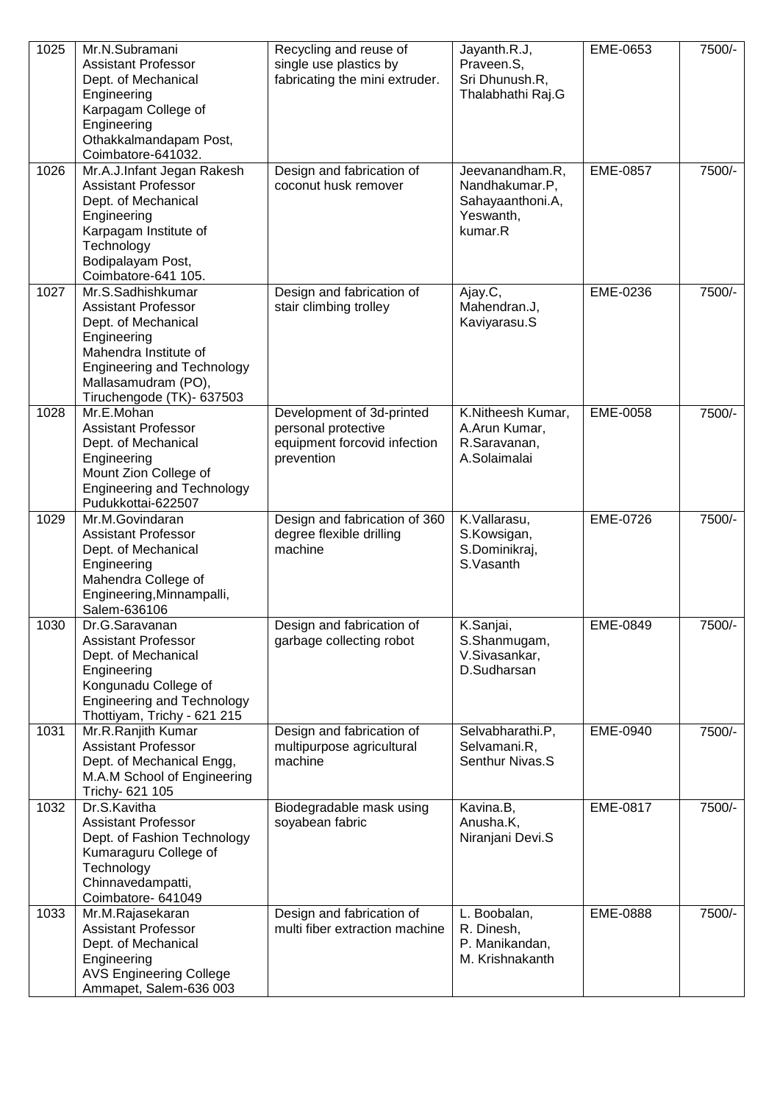| 1025 | Mr.N.Subramani<br><b>Assistant Professor</b><br>Dept. of Mechanical<br>Engineering<br>Karpagam College of<br>Engineering<br>Othakkalmandapam Post,<br>Coimbatore-641032.                                | Recycling and reuse of<br>single use plastics by<br>fabricating the mini extruder.             | Jayanth.R.J,<br>Praveen.S,<br>Sri Dhunush.R,<br>Thalabhathi Raj.G             | EME-0653 | 7500/- |
|------|---------------------------------------------------------------------------------------------------------------------------------------------------------------------------------------------------------|------------------------------------------------------------------------------------------------|-------------------------------------------------------------------------------|----------|--------|
| 1026 | Mr.A.J.Infant Jegan Rakesh<br><b>Assistant Professor</b><br>Dept. of Mechanical<br>Engineering<br>Karpagam Institute of<br>Technology<br>Bodipalayam Post,<br>Coimbatore-641 105.                       | Design and fabrication of<br>coconut husk remover                                              | Jeevanandham.R,<br>Nandhakumar.P,<br>Sahayaanthoni.A,<br>Yeswanth,<br>kumar.R | EME-0857 | 7500/- |
| 1027 | Mr.S.Sadhishkumar<br><b>Assistant Professor</b><br>Dept. of Mechanical<br>Engineering<br>Mahendra Institute of<br><b>Engineering and Technology</b><br>Mallasamudram (PO),<br>Tiruchengode (TK)- 637503 | Design and fabrication of<br>stair climbing trolley                                            | Ajay.C,<br>Mahendran.J,<br>Kaviyarasu.S                                       | EME-0236 | 7500/- |
| 1028 | Mr.E.Mohan<br><b>Assistant Professor</b><br>Dept. of Mechanical<br>Engineering<br>Mount Zion College of<br><b>Engineering and Technology</b><br>Pudukkottai-622507                                      | Development of 3d-printed<br>personal protective<br>equipment forcovid infection<br>prevention | K.Nitheesh Kumar,<br>A.Arun Kumar,<br>R.Saravanan,<br>A.Solaimalai            | EME-0058 | 7500/- |
| 1029 | Mr.M.Govindaran<br><b>Assistant Professor</b><br>Dept. of Mechanical<br>Engineering<br>Mahendra College of<br>Engineering, Minnampalli,<br>Salem-636106                                                 | Design and fabrication of 360<br>degree flexible drilling<br>machine                           | K.Vallarasu,<br>S.Kowsigan,<br>S.Dominikraj,<br>S.Vasanth                     | EME-0726 | 7500/- |
| 1030 | Dr.G.Saravanan<br><b>Assistant Professor</b><br>Dept. of Mechanical<br>Engineering<br>Kongunadu College of<br><b>Engineering and Technology</b><br>Thottiyam, Trichy - 621 215                          | Design and fabrication of<br>garbage collecting robot                                          | K.Sanjai,<br>S.Shanmugam,<br>V.Sivasankar,<br>D.Sudharsan                     | EME-0849 | 7500/- |
| 1031 | Mr.R.Ranjith Kumar<br><b>Assistant Professor</b><br>Dept. of Mechanical Engg,<br>M.A.M School of Engineering<br>Trichy- 621 105                                                                         | Design and fabrication of<br>multipurpose agricultural<br>machine                              | Selvabharathi.P,<br>Selvamani.R,<br>Senthur Nivas.S                           | EME-0940 | 7500/- |
| 1032 | Dr.S.Kavitha<br><b>Assistant Professor</b><br>Dept. of Fashion Technology<br>Kumaraguru College of<br>Technology<br>Chinnavedampatti,<br>Coimbatore- 641049                                             | Biodegradable mask using<br>soyabean fabric                                                    | Kavina.B,<br>Anusha.K,<br>Niranjani Devi.S                                    | EME-0817 | 7500/- |
| 1033 | Mr.M.Rajasekaran<br><b>Assistant Professor</b><br>Dept. of Mechanical<br>Engineering<br><b>AVS Engineering College</b><br>Ammapet, Salem-636 003                                                        | Design and fabrication of<br>multi fiber extraction machine                                    | L. Boobalan,<br>R. Dinesh,<br>P. Manikandan,<br>M. Krishnakanth               | EME-0888 | 7500/- |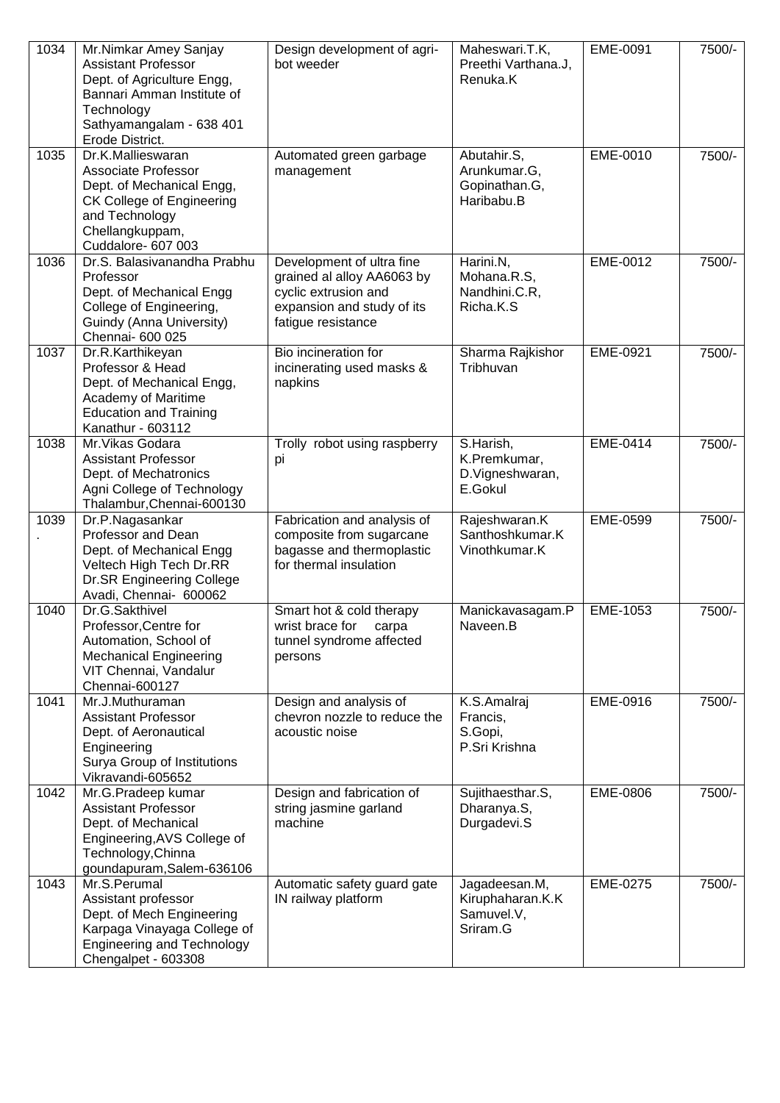| 1034 | Mr.Nimkar Amey Sanjay<br><b>Assistant Professor</b><br>Dept. of Agriculture Engg,<br>Bannari Amman Institute of<br>Technology<br>Sathyamangalam - 638 401<br>Erode District. | Design development of agri-<br>bot weeder                                                                                           | Maheswari.T.K,<br>Preethi Varthana.J,<br>Renuka.K           | EME-0091 | 7500/- |
|------|------------------------------------------------------------------------------------------------------------------------------------------------------------------------------|-------------------------------------------------------------------------------------------------------------------------------------|-------------------------------------------------------------|----------|--------|
| 1035 | Dr.K.Mallieswaran<br>Associate Professor<br>Dept. of Mechanical Engg,<br>CK College of Engineering<br>and Technology<br>Chellangkuppam,<br>Cuddalore- 607 003                | Automated green garbage<br>management                                                                                               | Abutahir.S,<br>Arunkumar.G,<br>Gopinathan.G,<br>Haribabu.B  | EME-0010 | 7500/- |
| 1036 | Dr.S. Balasivanandha Prabhu<br><b>Professor</b><br>Dept. of Mechanical Engg<br>College of Engineering,<br>Guindy (Anna University)<br>Chennai- 600 025                       | Development of ultra fine<br>grained al alloy AA6063 by<br>cyclic extrusion and<br>expansion and study of its<br>fatique resistance | Harini.N,<br>Mohana.R.S,<br>Nandhini.C.R,<br>Richa.K.S      | EME-0012 | 7500/- |
| 1037 | Dr.R.Karthikeyan<br>Professor & Head<br>Dept. of Mechanical Engg,<br>Academy of Maritime<br><b>Education and Training</b><br>Kanathur - 603112                               | Bio incineration for<br>incinerating used masks &<br>napkins                                                                        | Sharma Rajkishor<br>Tribhuvan                               | EME-0921 | 7500/- |
| 1038 | Mr. Vikas Godara<br><b>Assistant Professor</b><br>Dept. of Mechatronics<br>Agni College of Technology<br>Thalambur, Chennai-600130                                           | Trolly robot using raspberry<br>pi                                                                                                  | S.Harish,<br>K.Premkumar,<br>D. Vigneshwaran,<br>E.Gokul    | EME-0414 | 7500/- |
| 1039 | Dr.P.Nagasankar<br>Professor and Dean<br>Dept. of Mechanical Engg<br>Veltech High Tech Dr.RR<br>Dr.SR Engineering College<br>Avadi, Chennai- 600062                          | Fabrication and analysis of<br>composite from sugarcane<br>bagasse and thermoplastic<br>for thermal insulation                      | Rajeshwaran.K<br>Santhoshkumar.K<br>Vinothkumar.K           | EME-0599 | 7500/- |
| 1040 | Dr.G.Sakthivel<br>Professor, Centre for<br>Automation, School of<br><b>Mechanical Engineering</b><br>VIT Chennai, Vandalur<br>Chennai-600127                                 | Smart hot & cold therapy<br>wrist brace for<br>carpa<br>tunnel syndrome affected<br>persons                                         | Manickavasagam.P<br>Naveen.B                                | EME-1053 | 7500/- |
| 1041 | Mr.J.Muthuraman<br><b>Assistant Professor</b><br>Dept. of Aeronautical<br>Engineering<br>Surya Group of Institutions<br>Vikravandi-605652                                    | Design and analysis of<br>chevron nozzle to reduce the<br>acoustic noise                                                            | K.S.Amalraj<br>Francis,<br>S.Gopi,<br>P.Sri Krishna         | EME-0916 | 7500/- |
| 1042 | Mr.G.Pradeep kumar<br><b>Assistant Professor</b><br>Dept. of Mechanical<br>Engineering, AVS College of<br>Technology, Chinna<br>goundapuram, Salem-636106                    | Design and fabrication of<br>string jasmine garland<br>machine                                                                      | Sujithaesthar.S,<br>Dharanya.S,<br>Durgadevi.S              | EME-0806 | 7500/- |
| 1043 | Mr.S.Perumal<br>Assistant professor<br>Dept. of Mech Engineering<br>Karpaga Vinayaga College of<br><b>Engineering and Technology</b><br>Chengalpet - 603308                  | Automatic safety guard gate<br>IN railway platform                                                                                  | Jagadeesan.M,<br>Kiruphaharan.K.K<br>Samuvel.V,<br>Sriram.G | EME-0275 | 7500/- |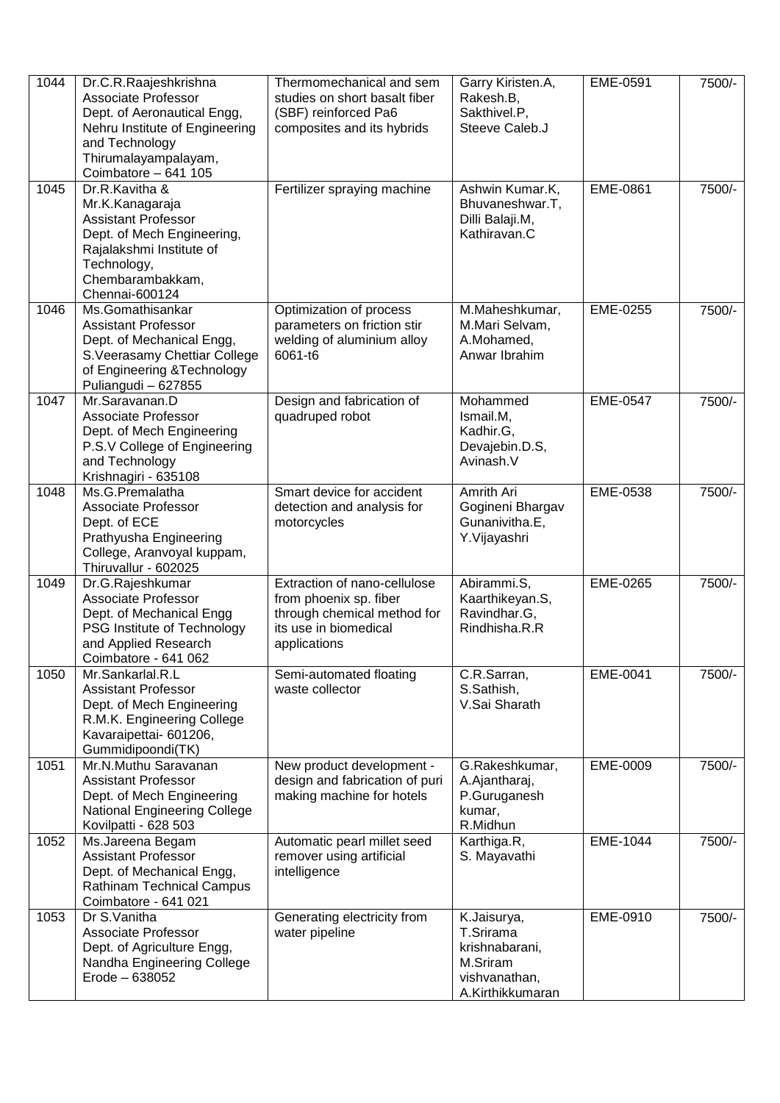| 1044 | Dr.C.R.Raajeshkrishna<br><b>Associate Professor</b><br>Dept. of Aeronautical Engg,<br>Nehru Institute of Engineering<br>and Technology<br>Thirumalayampalayam,<br>Coimbatore - 641 105 | Thermomechanical and sem<br>studies on short basalt fiber<br>(SBF) reinforced Pa6<br>composites and its hybrids                | Garry Kiristen.A,<br>Rakesh.B,<br>Sakthivel.P.<br>Steeve Caleb.J                            | EME-0591        | 7500/- |
|------|----------------------------------------------------------------------------------------------------------------------------------------------------------------------------------------|--------------------------------------------------------------------------------------------------------------------------------|---------------------------------------------------------------------------------------------|-----------------|--------|
| 1045 | Dr.R.Kavitha &<br>Mr.K.Kanagaraja<br><b>Assistant Professor</b><br>Dept. of Mech Engineering,<br>Rajalakshmi Institute of<br>Technology,<br>Chembarambakkam,<br>Chennai-600124         | Fertilizer spraying machine                                                                                                    | Ashwin Kumar.K,<br>Bhuvaneshwar.T,<br>Dilli Balaji.M,<br>Kathiravan.C                       | EME-0861        | 7500/- |
| 1046 | Ms.Gomathisankar<br><b>Assistant Professor</b><br>Dept. of Mechanical Engg,<br>S. Veerasamy Chettiar College<br>of Engineering & Technology<br>Puliangudi - 627855                     | Optimization of process<br>parameters on friction stir<br>welding of aluminium alloy<br>6061-t6                                | M.Maheshkumar,<br>M.Mari Selvam,<br>A.Mohamed,<br>Anwar Ibrahim                             | EME-0255        | 7500/- |
| 1047 | Mr.Saravanan.D<br><b>Associate Professor</b><br>Dept. of Mech Engineering<br>P.S.V College of Engineering<br>and Technology<br>Krishnagiri - 635108                                    | Design and fabrication of<br>quadruped robot                                                                                   | Mohammed<br>Ismail.M,<br>Kadhir.G,<br>Devajebin.D.S,<br>Avinash.V                           | <b>EME-0547</b> | 7500/- |
| 1048 | Ms.G.Premalatha<br>Associate Professor<br>Dept. of ECE<br>Prathyusha Engineering<br>College, Aranvoyal kuppam,<br>Thiruvallur - 602025                                                 | Smart device for accident<br>detection and analysis for<br>motorcycles                                                         | Amrith Ari<br>Gogineni Bhargav<br>Gunanivitha.E,<br>Y.Vijayashri                            | EME-0538        | 7500/- |
| 1049 | Dr.G.Rajeshkumar<br><b>Associate Professor</b><br>Dept. of Mechanical Engg<br>PSG Institute of Technology<br>and Applied Research<br>Coimbatore - 641 062                              | Extraction of nano-cellulose<br>from phoenix sp. fiber<br>through chemical method for<br>its use in biomedical<br>applications | Abirammi.S,<br>Kaarthikeyan.S,<br>Ravindhar.G,<br>Rindhisha.R.R                             | EME-0265        | 7500/- |
| 1050 | Mr.Sankarlal.R.L<br><b>Assistant Professor</b><br>Dept. of Mech Engineering<br>R.M.K. Engineering College<br>Kavaraipettai- 601206,<br>Gummidipoondi(TK)                               | Semi-automated floating<br>waste collector                                                                                     | C.R.Sarran,<br>S.Sathish,<br>V.Sai Sharath                                                  | EME-0041        | 7500/- |
| 1051 | Mr.N.Muthu Saravanan<br><b>Assistant Professor</b><br>Dept. of Mech Engineering<br><b>National Engineering College</b><br>Kovilpatti - 628 503                                         | New product development -<br>design and fabrication of puri<br>making machine for hotels                                       | G.Rakeshkumar,<br>A.Ajantharaj,<br>P.Guruganesh<br>kumar,<br>R.Midhun                       | EME-0009        | 7500/- |
| 1052 | Ms.Jareena Begam<br><b>Assistant Professor</b><br>Dept. of Mechanical Engg,<br><b>Rathinam Technical Campus</b><br>Coimbatore - 641 021                                                | Automatic pearl millet seed<br>remover using artificial<br>intelligence                                                        | Karthiga.R,<br>S. Mayavathi                                                                 | EME-1044        | 7500/- |
| 1053 | Dr S.Vanitha<br>Associate Professor<br>Dept. of Agriculture Engg,<br>Nandha Engineering College<br>Erode - 638052                                                                      | Generating electricity from<br>water pipeline                                                                                  | K.Jaisurya,<br>T.Srirama<br>krishnabarani,<br>M.Sriram<br>vishvanathan,<br>A.Kirthikkumaran | EME-0910        | 7500/- |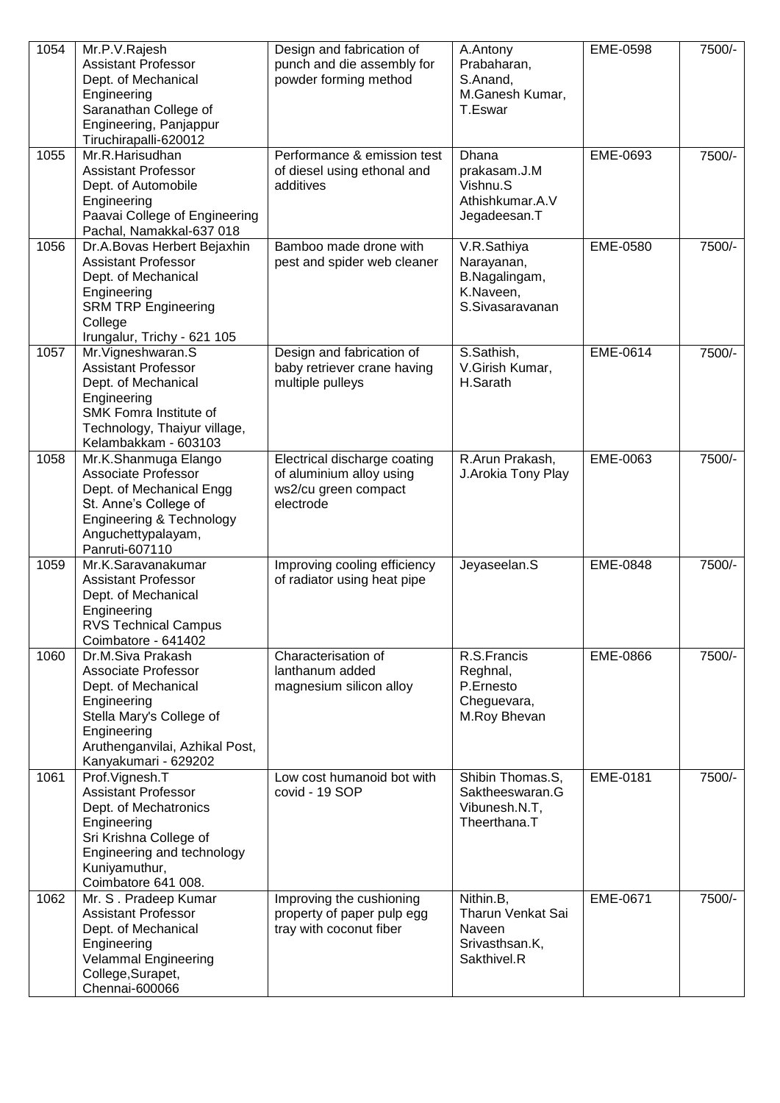| 1054 | Mr.P.V.Rajesh<br><b>Assistant Professor</b><br>Dept. of Mechanical<br>Engineering<br>Saranathan College of<br>Engineering, Panjappur<br>Tiruchirapalli-620012                        | Design and fabrication of<br>punch and die assembly for<br>powder forming method              | A.Antony<br>Prabaharan,<br>S.Anand,<br>M.Ganesh Kumar,<br>T.Eswar          | EME-0598 | 7500/- |
|------|--------------------------------------------------------------------------------------------------------------------------------------------------------------------------------------|-----------------------------------------------------------------------------------------------|----------------------------------------------------------------------------|----------|--------|
| 1055 | Mr.R.Harisudhan<br><b>Assistant Professor</b><br>Dept. of Automobile<br>Engineering<br>Paavai College of Engineering<br>Pachal, Namakkal-637 018                                     | Performance & emission test<br>of diesel using ethonal and<br>additives                       | Dhana<br>prakasam.J.M<br>Vishnu.S<br>Athishkumar.A.V<br>Jegadeesan.T       | EME-0693 | 7500/- |
| 1056 | Dr.A.Bovas Herbert Bejaxhin<br><b>Assistant Professor</b><br>Dept. of Mechanical<br>Engineering<br><b>SRM TRP Engineering</b><br>College<br>Irungalur, Trichy - 621 105              | Bamboo made drone with<br>pest and spider web cleaner                                         | V.R.Sathiya<br>Narayanan,<br>B.Nagalingam,<br>K.Naveen,<br>S.Sivasaravanan | EME-0580 | 7500/- |
| 1057 | Mr. Vigneshwaran. S<br><b>Assistant Professor</b><br>Dept. of Mechanical<br>Engineering<br>SMK Fomra Institute of<br>Technology, Thaiyur village,<br>Kelambakkam - 603103            | Design and fabrication of<br>baby retriever crane having<br>multiple pulleys                  | S.Sathish,<br>V.Girish Kumar,<br>H.Sarath                                  | EME-0614 | 7500/- |
| 1058 | Mr.K.Shanmuga Elango<br><b>Associate Professor</b><br>Dept. of Mechanical Engg<br>St. Anne's College of<br>Engineering & Technology<br>Anguchettypalayam,<br>Panruti-607110          | Electrical discharge coating<br>of aluminium alloy using<br>ws2/cu green compact<br>electrode | R.Arun Prakash,<br>J. Arokia Tony Play                                     | EME-0063 | 7500/- |
| 1059 | Mr.K.Saravanakumar<br><b>Assistant Professor</b><br>Dept. of Mechanical<br>Engineering<br><b>RVS Technical Campus</b><br>Coimbatore - 641402                                         | Improving cooling efficiency<br>of radiator using heat pipe                                   | Jeyaseelan.S                                                               | EME-0848 | 7500/- |
| 1060 | Dr.M.Siva Prakash<br>Associate Professor<br>Dept. of Mechanical<br>Engineering<br>Stella Mary's College of<br>Engineering<br>Aruthenganvilai, Azhikal Post,<br>Kanyakumari - 629202  | Characterisation of<br>lanthanum added<br>magnesium silicon alloy                             | R.S.Francis<br>Reghnal,<br>P.Ernesto<br>Cheguevara,<br>M.Roy Bhevan        | EME-0866 | 7500/- |
| 1061 | Prof.Vignesh.T<br><b>Assistant Professor</b><br>Dept. of Mechatronics<br>Engineering<br>Sri Krishna College of<br>Engineering and technology<br>Kuniyamuthur,<br>Coimbatore 641 008. | Low cost humanoid bot with<br>covid - 19 SOP                                                  | Shibin Thomas.S,<br>Saktheeswaran.G<br>Vibunesh.N.T,<br>Theerthana.T       | EME-0181 | 7500/- |
| 1062 | Mr. S. Pradeep Kumar<br><b>Assistant Professor</b><br>Dept. of Mechanical<br>Engineering<br><b>Velammal Engineering</b><br>College, Surapet,<br>Chennai-600066                       | Improving the cushioning<br>property of paper pulp egg<br>tray with coconut fiber             | Nithin.B,<br>Tharun Venkat Sai<br>Naveen<br>Srivasthsan.K,<br>Sakthivel.R  | EME-0671 | 7500/- |